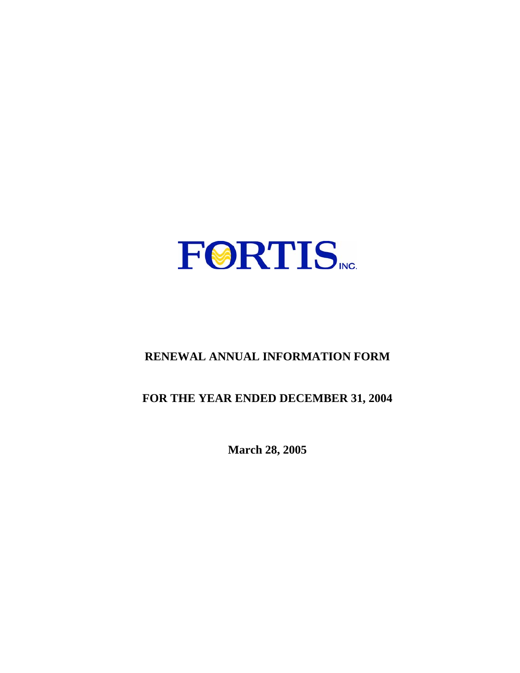

# **RENEWAL ANNUAL INFORMATION FORM**

# **FOR THE YEAR ENDED DECEMBER 31, 2004**

**March 28, 2005**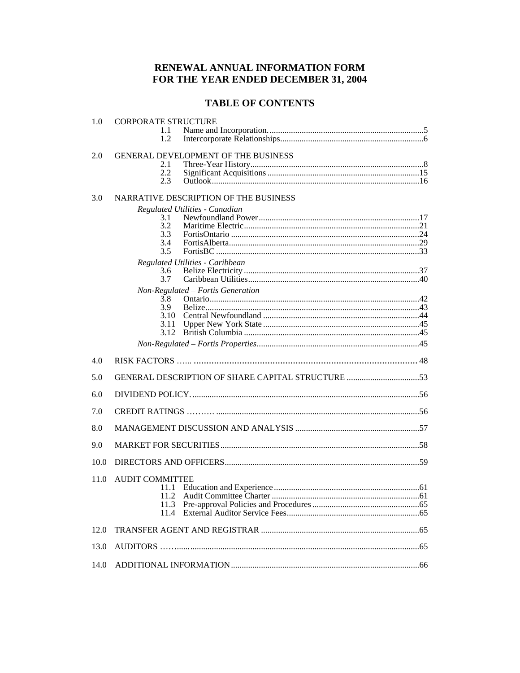# RENEWAL ANNUAL INFORMATION FORM FOR THE YEAR ENDED DECEMBER 31, 2004

# **TABLE OF CONTENTS**

| 1.0  | <b>CORPORATE STRUCTURE</b>                 |
|------|--------------------------------------------|
|      | 1.1<br>1.2                                 |
|      |                                            |
| 2.0  | <b>GENERAL DEVELOPMENT OF THE BUSINESS</b> |
|      | 2.1<br>2.2                                 |
|      | 2.3                                        |
|      |                                            |
| 3.0  | NARRATIVE DESCRIPTION OF THE BUSINESS      |
|      | Regulated Utilities - Canadian<br>3.1      |
|      | 3.2                                        |
|      | 3.3                                        |
|      | 3.4                                        |
|      | 3.5                                        |
|      | Regulated Utilities - Caribbean<br>3.6     |
|      | 3.7                                        |
|      | Non-Regulated - Fortis Generation          |
|      | 3.8<br>3.9                                 |
|      | 3.10                                       |
|      | 3.11                                       |
|      | 3.12                                       |
|      |                                            |
|      |                                            |
| 4.0  |                                            |
| 5.0  |                                            |
| 6.0  |                                            |
| 7.0  |                                            |
| 8.0  |                                            |
| 9.0  |                                            |
| 10.0 |                                            |
| 11.0 | <b>AUDIT COMMITTEE</b>                     |
|      | 11.1                                       |
|      | 11.2                                       |
|      | 11.3<br>11.4                               |
| 12.0 |                                            |
| 13.0 |                                            |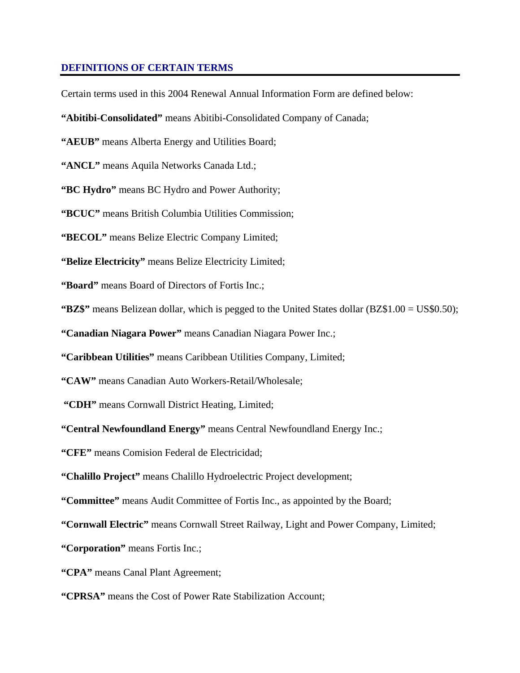#### **DEFINITIONS OF CERTAIN TERMS**

Certain terms used in this 2004 Renewal Annual Information Form are defined below:

**"Abitibi-Consolidated"** means Abitibi-Consolidated Company of Canada;

**"AEUB"** means Alberta Energy and Utilities Board;

"ANCL" means Aquila Networks Canada Ltd.;

**"BC Hydro"** means BC Hydro and Power Authority;

**"BCUC"** means British Columbia Utilities Commission;

**"BECOL"** means Belize Electric Company Limited;

**"Belize Electricity"** means Belize Electricity Limited;

**"Board"** means Board of Directors of Fortis Inc.;

**"BZ\$"** means Belizean dollar, which is pegged to the United States dollar (BZ\$1.00 = US\$0.50);

**"Canadian Niagara Power"** means Canadian Niagara Power Inc.;

**"Caribbean Utilities"** means Caribbean Utilities Company, Limited;

**"CAW"** means Canadian Auto Workers-Retail/Wholesale;

 **"CDH"** means Cornwall District Heating, Limited;

**"Central Newfoundland Energy"** means Central Newfoundland Energy Inc.;

**"CFE"** means Comision Federal de Electricidad;

**"Chalillo Project"** means Chalillo Hydroelectric Project development;

**"Committee"** means Audit Committee of Fortis Inc., as appointed by the Board;

**"Cornwall Electric"** means Cornwall Street Railway, Light and Power Company, Limited;

**"Corporation"** means Fortis Inc.;

**"CPA"** means Canal Plant Agreement;

**"CPRSA"** means the Cost of Power Rate Stabilization Account;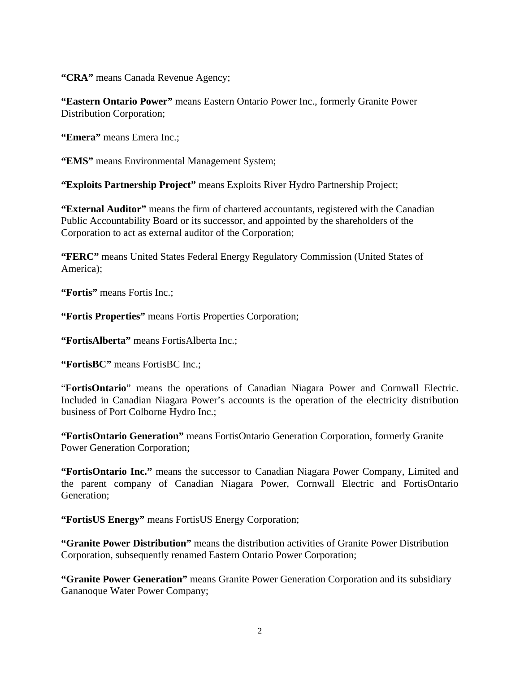**"CRA"** means Canada Revenue Agency;

**"Eastern Ontario Power"** means Eastern Ontario Power Inc., formerly Granite Power Distribution Corporation;

**"Emera"** means Emera Inc.;

**"EMS"** means Environmental Management System;

**"Exploits Partnership Project"** means Exploits River Hydro Partnership Project;

**"External Auditor"** means the firm of chartered accountants, registered with the Canadian Public Accountability Board or its successor, and appointed by the shareholders of the Corporation to act as external auditor of the Corporation;

**"FERC"** means United States Federal Energy Regulatory Commission (United States of America);

**"Fortis"** means Fortis Inc.;

**"Fortis Properties"** means Fortis Properties Corporation;

**"FortisAlberta"** means FortisAlberta Inc.;

**"FortisBC"** means FortisBC Inc.;

"**FortisOntario**" means the operations of Canadian Niagara Power and Cornwall Electric. Included in Canadian Niagara Power's accounts is the operation of the electricity distribution business of Port Colborne Hydro Inc.;

**"FortisOntario Generation"** means FortisOntario Generation Corporation, formerly Granite Power Generation Corporation;

**"FortisOntario Inc."** means the successor to Canadian Niagara Power Company, Limited and the parent company of Canadian Niagara Power, Cornwall Electric and FortisOntario Generation;

**"FortisUS Energy"** means FortisUS Energy Corporation;

**"Granite Power Distribution"** means the distribution activities of Granite Power Distribution Corporation, subsequently renamed Eastern Ontario Power Corporation;

**"Granite Power Generation"** means Granite Power Generation Corporation and its subsidiary Gananoque Water Power Company;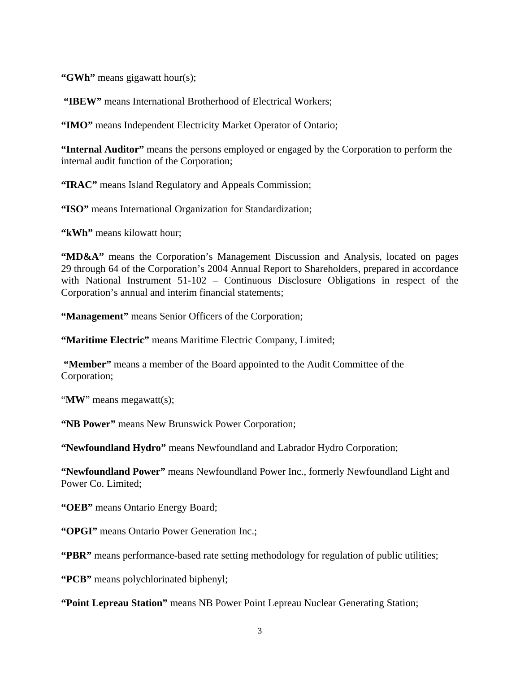**"GWh"** means gigawatt hour(s);

**"IBEW"** means International Brotherhood of Electrical Workers;

**"IMO"** means Independent Electricity Market Operator of Ontario;

**"Internal Auditor"** means the persons employed or engaged by the Corporation to perform the internal audit function of the Corporation;

**"IRAC"** means Island Regulatory and Appeals Commission;

**"ISO"** means International Organization for Standardization;

**"kWh"** means kilowatt hour;

**"MD&A"** means the Corporation's Management Discussion and Analysis, located on pages 29 through 64 of the Corporation's 2004 Annual Report to Shareholders, prepared in accordance with National Instrument 51-102 – Continuous Disclosure Obligations in respect of the Corporation's annual and interim financial statements;

**"Management"** means Senior Officers of the Corporation;

**"Maritime Electric"** means Maritime Electric Company, Limited;

 **"Member"** means a member of the Board appointed to the Audit Committee of the Corporation;

"**MW**" means megawatt(s);

**"NB Power"** means New Brunswick Power Corporation;

**"Newfoundland Hydro"** means Newfoundland and Labrador Hydro Corporation;

**"Newfoundland Power"** means Newfoundland Power Inc., formerly Newfoundland Light and Power Co. Limited;

**"OEB"** means Ontario Energy Board;

**"OPGI"** means Ontario Power Generation Inc.;

**"PBR"** means performance-based rate setting methodology for regulation of public utilities;

**"PCB"** means polychlorinated biphenyl;

**"Point Lepreau Station"** means NB Power Point Lepreau Nuclear Generating Station;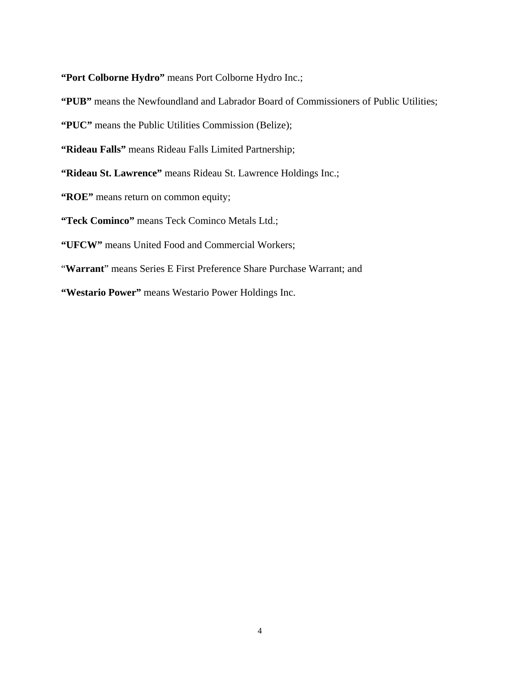**"Port Colborne Hydro"** means Port Colborne Hydro Inc.;

**"PUB"** means the Newfoundland and Labrador Board of Commissioners of Public Utilities;

**"PUC"** means the Public Utilities Commission (Belize);

**"Rideau Falls"** means Rideau Falls Limited Partnership;

**"Rideau St. Lawrence"** means Rideau St. Lawrence Holdings Inc.;

**"ROE"** means return on common equity;

**"Teck Cominco"** means Teck Cominco Metals Ltd.;

**"UFCW"** means United Food and Commercial Workers;

"**Warrant**" means Series E First Preference Share Purchase Warrant; and

**"Westario Power"** means Westario Power Holdings Inc.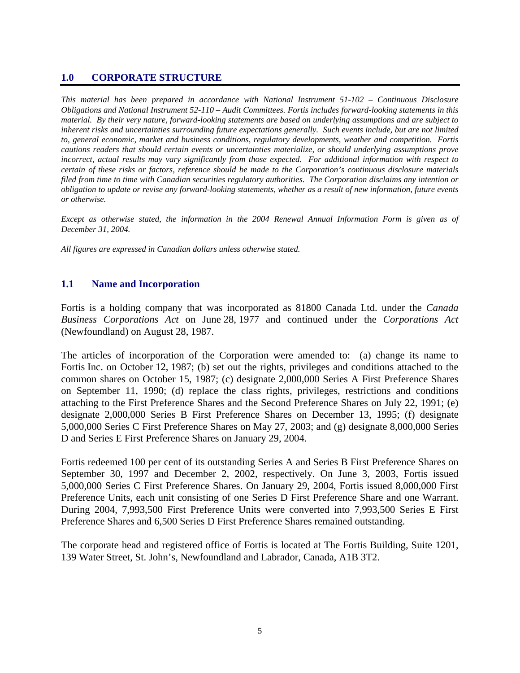### **1.0 CORPORATE STRUCTURE**

*This material has been prepared in accordance with National Instrument 51-102 – Continuous Disclosure Obligations and National Instrument 52-110 – Audit Committees. Fortis includes forward-looking statements in this material. By their very nature, forward-looking statements are based on underlying assumptions and are subject to inherent risks and uncertainties surrounding future expectations generally. Such events include, but are not limited to, general economic, market and business conditions, regulatory developments, weather and competition. Fortis cautions readers that should certain events or uncertainties materialize, or should underlying assumptions prove incorrect, actual results may vary significantly from those expected. For additional information with respect to certain of these risks or factors, reference should be made to the Corporation's continuous disclosure materials filed from time to time with Canadian securities regulatory authorities. The Corporation disclaims any intention or obligation to update or revise any forward-looking statements, whether as a result of new information, future events or otherwise.* 

*Except as otherwise stated, the information in the 2004 Renewal Annual Information Form is given as of December 31, 2004.* 

*All figures are expressed in Canadian dollars unless otherwise stated.* 

### **1.1 Name and Incorporation**

Fortis is a holding company that was incorporated as 81800 Canada Ltd. under the *Canada Business Corporations Act* on June 28, 1977 and continued under the *Corporations Act* (Newfoundland) on August 28, 1987.

The articles of incorporation of the Corporation were amended to: (a) change its name to Fortis Inc. on October 12, 1987; (b) set out the rights, privileges and conditions attached to the common shares on October 15, 1987; (c) designate 2,000,000 Series A First Preference Shares on September 11, 1990; (d) replace the class rights, privileges, restrictions and conditions attaching to the First Preference Shares and the Second Preference Shares on July 22, 1991; (e) designate 2,000,000 Series B First Preference Shares on December 13, 1995; (f) designate 5,000,000 Series C First Preference Shares on May 27, 2003; and (g) designate 8,000,000 Series D and Series E First Preference Shares on January 29, 2004.

Fortis redeemed 100 per cent of its outstanding Series A and Series B First Preference Shares on September 30, 1997 and December 2, 2002, respectively. On June 3, 2003, Fortis issued 5,000,000 Series C First Preference Shares. On January 29, 2004, Fortis issued 8,000,000 First Preference Units, each unit consisting of one Series D First Preference Share and one Warrant. During 2004, 7,993,500 First Preference Units were converted into 7,993,500 Series E First Preference Shares and 6,500 Series D First Preference Shares remained outstanding.

The corporate head and registered office of Fortis is located at The Fortis Building, Suite 1201, 139 Water Street, St. John's, Newfoundland and Labrador, Canada, A1B 3T2.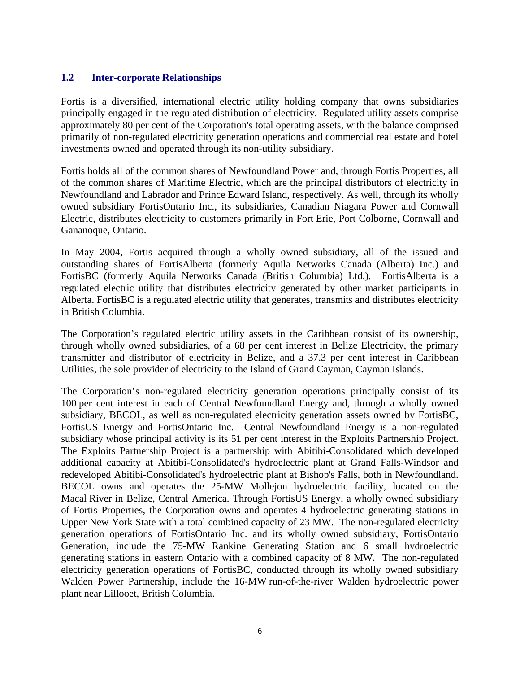### **1.2 Inter-corporate Relationships**

Fortis is a diversified, international electric utility holding company that owns subsidiaries principally engaged in the regulated distribution of electricity. Regulated utility assets comprise approximately 80 per cent of the Corporation's total operating assets, with the balance comprised primarily of non-regulated electricity generation operations and commercial real estate and hotel investments owned and operated through its non-utility subsidiary.

Fortis holds all of the common shares of Newfoundland Power and, through Fortis Properties, all of the common shares of Maritime Electric, which are the principal distributors of electricity in Newfoundland and Labrador and Prince Edward Island, respectively. As well, through its wholly owned subsidiary FortisOntario Inc., its subsidiaries, Canadian Niagara Power and Cornwall Electric, distributes electricity to customers primarily in Fort Erie, Port Colborne, Cornwall and Gananoque, Ontario.

In May 2004, Fortis acquired through a wholly owned subsidiary, all of the issued and outstanding shares of FortisAlberta (formerly Aquila Networks Canada (Alberta) Inc.) and FortisBC (formerly Aquila Networks Canada (British Columbia) Ltd.). FortisAlberta is a regulated electric utility that distributes electricity generated by other market participants in Alberta. FortisBC is a regulated electric utility that generates, transmits and distributes electricity in British Columbia.

The Corporation's regulated electric utility assets in the Caribbean consist of its ownership, through wholly owned subsidiaries, of a 68 per cent interest in Belize Electricity, the primary transmitter and distributor of electricity in Belize, and a 37.3 per cent interest in Caribbean Utilities, the sole provider of electricity to the Island of Grand Cayman, Cayman Islands.

The Corporation's non-regulated electricity generation operations principally consist of its 100 per cent interest in each of Central Newfoundland Energy and, through a wholly owned subsidiary, BECOL, as well as non-regulated electricity generation assets owned by FortisBC, FortisUS Energy and FortisOntario Inc. Central Newfoundland Energy is a non-regulated subsidiary whose principal activity is its 51 per cent interest in the Exploits Partnership Project. The Exploits Partnership Project is a partnership with Abitibi-Consolidated which developed additional capacity at Abitibi-Consolidated's hydroelectric plant at Grand Falls-Windsor and redeveloped Abitibi-Consolidated's hydroelectric plant at Bishop's Falls, both in Newfoundland. BECOL owns and operates the 25-MW Mollejon hydroelectric facility, located on the Macal River in Belize, Central America. Through FortisUS Energy, a wholly owned subsidiary of Fortis Properties, the Corporation owns and operates 4 hydroelectric generating stations in Upper New York State with a total combined capacity of 23 MW. The non-regulated electricity generation operations of FortisOntario Inc. and its wholly owned subsidiary, FortisOntario Generation, include the 75-MW Rankine Generating Station and 6 small hydroelectric generating stations in eastern Ontario with a combined capacity of 8 MW. The non-regulated electricity generation operations of FortisBC, conducted through its wholly owned subsidiary Walden Power Partnership, include the 16-MW run-of-the-river Walden hydroelectric power plant near Lillooet, British Columbia.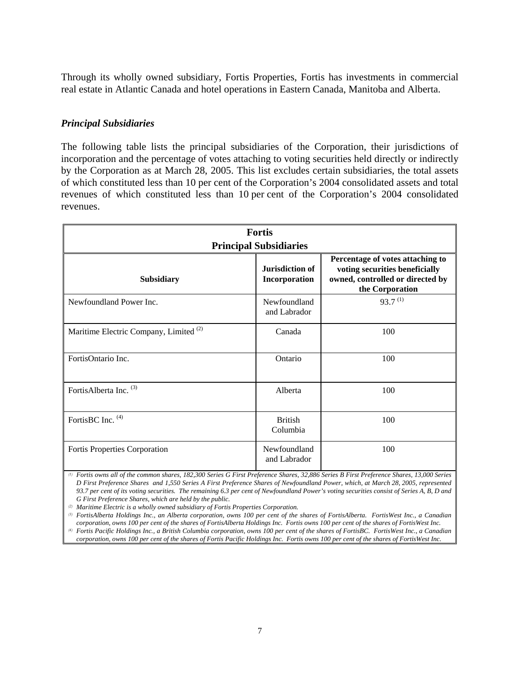Through its wholly owned subsidiary, Fortis Properties, Fortis has investments in commercial real estate in Atlantic Canada and hotel operations in Eastern Canada, Manitoba and Alberta.

### *Principal Subsidiaries*

The following table lists the principal subsidiaries of the Corporation, their jurisdictions of incorporation and the percentage of votes attaching to voting securities held directly or indirectly by the Corporation as at March 28, 2005. This list excludes certain subsidiaries, the total assets of which constituted less than 10 per cent of the Corporation's 2004 consolidated assets and total revenues of which constituted less than 10 per cent of the Corporation's 2004 consolidated revenues.

|                                                   | <b>Fortis</b>                    |                                                                                                                           |  |  |  |  |
|---------------------------------------------------|----------------------------------|---------------------------------------------------------------------------------------------------------------------------|--|--|--|--|
| <b>Principal Subsidiaries</b>                     |                                  |                                                                                                                           |  |  |  |  |
| <b>Subsidiary</b>                                 | Jurisdiction of<br>Incorporation | Percentage of votes attaching to<br>voting securities beneficially<br>owned, controlled or directed by<br>the Corporation |  |  |  |  |
| Newfoundland Power Inc.                           | Newfoundland<br>and Labrador     | $93.7^{(1)}$                                                                                                              |  |  |  |  |
| Maritime Electric Company, Limited <sup>(2)</sup> | Canada                           | 100                                                                                                                       |  |  |  |  |
| FortisOntario Inc.                                | Ontario                          | 100                                                                                                                       |  |  |  |  |
| FortisAlberta Inc. <sup>(3)</sup>                 | Alberta                          | 100                                                                                                                       |  |  |  |  |
| FortisBC Inc. (4)                                 | <b>British</b><br>Columbia       | 100                                                                                                                       |  |  |  |  |
| Fortis Properties Corporation                     | Newfoundland<br>and Labrador     | 100                                                                                                                       |  |  |  |  |

*(1) Fortis owns all of the common shares, 182,300 Series G First Preference Shares, 32,886 Series B First Preference Shares, 13,000 Series D First Preference Shares and 1,550 Series A First Preference Shares of Newfoundland Power, which, at March 28, 2005, represented 93.7 per cent of its voting securities. The remaining 6.3 per cent of Newfoundland Power's voting securities consist of Series A, B, D and G First Preference Shares, which are held by the public.* 

*(2) Maritime Electric is a wholly owned subsidiary of Fortis Properties Corporation.* 

*(3) FortisAlberta Holdings Inc., an Alberta corporation, owns 100 per cent of the shares of FortisAlberta. FortisWest Inc., a Canadian corporation, owns 100 per cent of the shares of FortisAlberta Holdings Inc. Fortis owns 100 per cent of the shares of FortisWest Inc. (4) Fortis Pacific Holdings Inc., a British Columbia corporation, owns 100 per cent of the shares of FortisBC. FortisWest Inc., a Canadian corporation, owns 100 per cent of the shares of Fortis Pacific Holdings Inc. Fortis owns 100 per cent of the shares of FortisWest Inc.*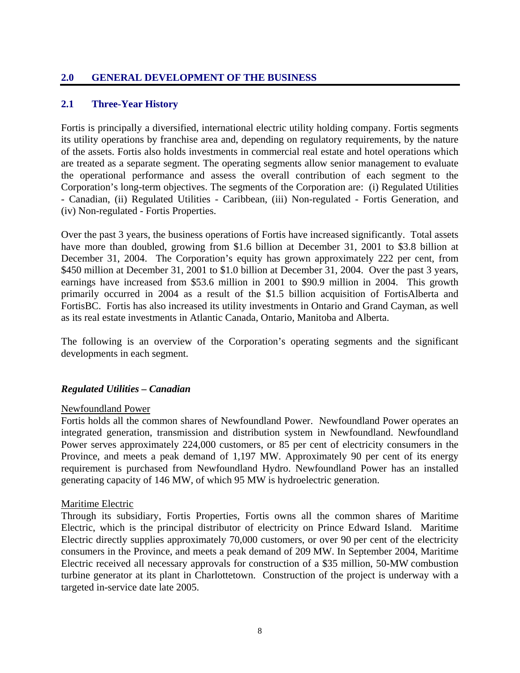# **2.0 GENERAL DEVELOPMENT OF THE BUSINESS**

### **2.1 Three-Year History**

Fortis is principally a diversified, international electric utility holding company. Fortis segments its utility operations by franchise area and, depending on regulatory requirements, by the nature of the assets. Fortis also holds investments in commercial real estate and hotel operations which are treated as a separate segment. The operating segments allow senior management to evaluate the operational performance and assess the overall contribution of each segment to the Corporation's long-term objectives. The segments of the Corporation are: (i) Regulated Utilities - Canadian, (ii) Regulated Utilities - Caribbean, (iii) Non-regulated - Fortis Generation, and (iv) Non-regulated - Fortis Properties.

Over the past 3 years, the business operations of Fortis have increased significantly. Total assets have more than doubled, growing from \$1.6 billion at December 31, 2001 to \$3.8 billion at December 31, 2004. The Corporation's equity has grown approximately 222 per cent, from \$450 million at December 31, 2001 to \$1.0 billion at December 31, 2004. Over the past 3 years, earnings have increased from \$53.6 million in 2001 to \$90.9 million in 2004. This growth primarily occurred in 2004 as a result of the \$1.5 billion acquisition of FortisAlberta and FortisBC. Fortis has also increased its utility investments in Ontario and Grand Cayman, as well as its real estate investments in Atlantic Canada, Ontario, Manitoba and Alberta.

The following is an overview of the Corporation's operating segments and the significant developments in each segment.

#### *Regulated Utilities – Canadian*

#### Newfoundland Power

Fortis holds all the common shares of Newfoundland Power. Newfoundland Power operates an integrated generation, transmission and distribution system in Newfoundland. Newfoundland Power serves approximately 224,000 customers, or 85 per cent of electricity consumers in the Province, and meets a peak demand of 1,197 MW. Approximately 90 per cent of its energy requirement is purchased from Newfoundland Hydro. Newfoundland Power has an installed generating capacity of 146 MW, of which 95 MW is hydroelectric generation.

#### Maritime Electric

Through its subsidiary, Fortis Properties, Fortis owns all the common shares of Maritime Electric, which is the principal distributor of electricity on Prince Edward Island. Maritime Electric directly supplies approximately 70,000 customers, or over 90 per cent of the electricity consumers in the Province, and meets a peak demand of 209 MW. In September 2004, Maritime Electric received all necessary approvals for construction of a \$35 million, 50-MW combustion turbine generator at its plant in Charlottetown. Construction of the project is underway with a targeted in-service date late 2005.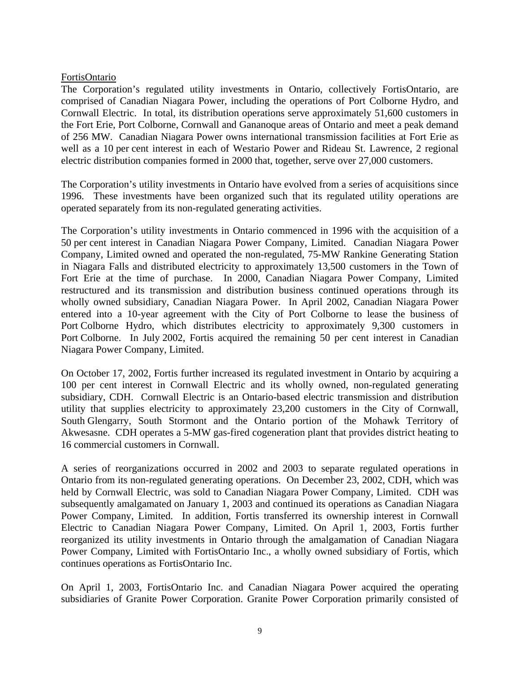#### FortisOntario

The Corporation's regulated utility investments in Ontario, collectively FortisOntario, are comprised of Canadian Niagara Power, including the operations of Port Colborne Hydro, and Cornwall Electric. In total, its distribution operations serve approximately 51,600 customers in the Fort Erie, Port Colborne, Cornwall and Gananoque areas of Ontario and meet a peak demand of 256 MW. Canadian Niagara Power owns international transmission facilities at Fort Erie as well as a 10 per cent interest in each of Westario Power and Rideau St. Lawrence, 2 regional electric distribution companies formed in 2000 that, together, serve over 27,000 customers.

The Corporation's utility investments in Ontario have evolved from a series of acquisitions since 1996. These investments have been organized such that its regulated utility operations are operated separately from its non-regulated generating activities.

The Corporation's utility investments in Ontario commenced in 1996 with the acquisition of a 50 per cent interest in Canadian Niagara Power Company, Limited. Canadian Niagara Power Company, Limited owned and operated the non-regulated, 75-MW Rankine Generating Station in Niagara Falls and distributed electricity to approximately 13,500 customers in the Town of Fort Erie at the time of purchase. In 2000, Canadian Niagara Power Company, Limited restructured and its transmission and distribution business continued operations through its wholly owned subsidiary, Canadian Niagara Power. In April 2002, Canadian Niagara Power entered into a 10-year agreement with the City of Port Colborne to lease the business of Port Colborne Hydro, which distributes electricity to approximately 9,300 customers in Port Colborne. In July 2002, Fortis acquired the remaining 50 per cent interest in Canadian Niagara Power Company, Limited.

On October 17, 2002, Fortis further increased its regulated investment in Ontario by acquiring a 100 per cent interest in Cornwall Electric and its wholly owned, non-regulated generating subsidiary, CDH. Cornwall Electric is an Ontario-based electric transmission and distribution utility that supplies electricity to approximately 23,200 customers in the City of Cornwall, South Glengarry, South Stormont and the Ontario portion of the Mohawk Territory of Akwesasne. CDH operates a 5-MW gas-fired cogeneration plant that provides district heating to 16 commercial customers in Cornwall.

A series of reorganizations occurred in 2002 and 2003 to separate regulated operations in Ontario from its non-regulated generating operations. On December 23, 2002, CDH, which was held by Cornwall Electric, was sold to Canadian Niagara Power Company, Limited. CDH was subsequently amalgamated on January 1, 2003 and continued its operations as Canadian Niagara Power Company, Limited. In addition, Fortis transferred its ownership interest in Cornwall Electric to Canadian Niagara Power Company, Limited. On April 1, 2003, Fortis further reorganized its utility investments in Ontario through the amalgamation of Canadian Niagara Power Company, Limited with FortisOntario Inc., a wholly owned subsidiary of Fortis, which continues operations as FortisOntario Inc.

On April 1, 2003, FortisOntario Inc. and Canadian Niagara Power acquired the operating subsidiaries of Granite Power Corporation. Granite Power Corporation primarily consisted of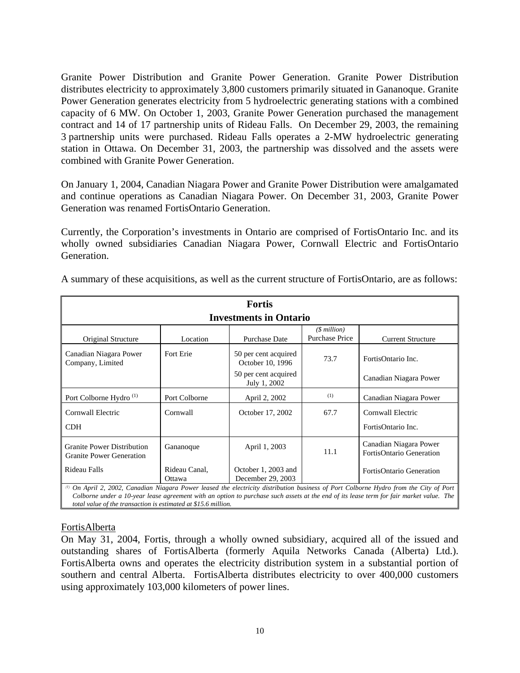Granite Power Distribution and Granite Power Generation. Granite Power Distribution distributes electricity to approximately 3,800 customers primarily situated in Gananoque. Granite Power Generation generates electricity from 5 hydroelectric generating stations with a combined capacity of 6 MW. On October 1, 2003, Granite Power Generation purchased the management contract and 14 of 17 partnership units of Rideau Falls. On December 29, 2003, the remaining 3 partnership units were purchased. Rideau Falls operates a 2-MW hydroelectric generating station in Ottawa. On December 31, 2003, the partnership was dissolved and the assets were combined with Granite Power Generation.

On January 1, 2004, Canadian Niagara Power and Granite Power Distribution were amalgamated and continue operations as Canadian Niagara Power. On December 31, 2003, Granite Power Generation was renamed FortisOntario Generation.

Currently, the Corporation's investments in Ontario are comprised of FortisOntario Inc. and its wholly owned subsidiaries Canadian Niagara Power, Cornwall Electric and FortisOntario Generation.

| <b>Fortis</b>                                                        |                         |                                          |                                           |                                                                                                                                        |  |
|----------------------------------------------------------------------|-------------------------|------------------------------------------|-------------------------------------------|----------------------------------------------------------------------------------------------------------------------------------------|--|
|                                                                      |                         | <b>Investments in Ontario</b>            |                                           |                                                                                                                                        |  |
| Original Structure                                                   | Location                | <b>Purchase Date</b>                     | $($$ million $)$<br><b>Purchase Price</b> | <b>Current Structure</b>                                                                                                               |  |
| Canadian Niagara Power<br>Company, Limited                           | Fort Erie               | 50 per cent acquired<br>October 10, 1996 | 73.7                                      | FortisOntario Inc.                                                                                                                     |  |
|                                                                      |                         | 50 per cent acquired<br>July 1, 2002     |                                           | Canadian Niagara Power                                                                                                                 |  |
| Port Colborne Hydro <sup>(1)</sup>                                   | Port Colborne           | April 2, 2002                            | (1)                                       | Canadian Niagara Power                                                                                                                 |  |
| Cornwall Electric                                                    | Cornwall                | October 17, 2002                         | 67.7                                      | Cornwall Electric                                                                                                                      |  |
| <b>CDH</b>                                                           |                         |                                          |                                           | FortisOntario Inc.                                                                                                                     |  |
| <b>Granite Power Distribution</b><br><b>Granite Power Generation</b> | Gananoque               | April 1, 2003                            | 11.1                                      | Canadian Niagara Power<br>FortisOntario Generation                                                                                     |  |
| Rideau Falls                                                         | Rideau Canal.<br>Ottawa | October 1, 2003 and<br>December 29, 2003 |                                           | <b>FortisOntario Generation</b>                                                                                                        |  |
|                                                                      |                         |                                          |                                           | (1) On April 2, 2002. Canadian Niagara Power leased the electricity distribution business of Port Colborne Hydro from the City of Port |  |

A summary of these acquisitions, as well as the current structure of FortisOntario, are as follows:

*(1) On April 2, 2002, Canadian Niagara Power leased the electricity distribution business of Port Colborne Hydro from the City of Port Colborne under a 10-year lease agreement with an option to purchase such assets at the end of its lease term for fair market value. The total value of the transaction is estimated at \$15.6 million.*

### FortisAlberta

On May 31, 2004, Fortis, through a wholly owned subsidiary, acquired all of the issued and outstanding shares of FortisAlberta (formerly Aquila Networks Canada (Alberta) Ltd.). FortisAlberta owns and operates the electricity distribution system in a substantial portion of southern and central Alberta. FortisAlberta distributes electricity to over 400,000 customers using approximately 103,000 kilometers of power lines.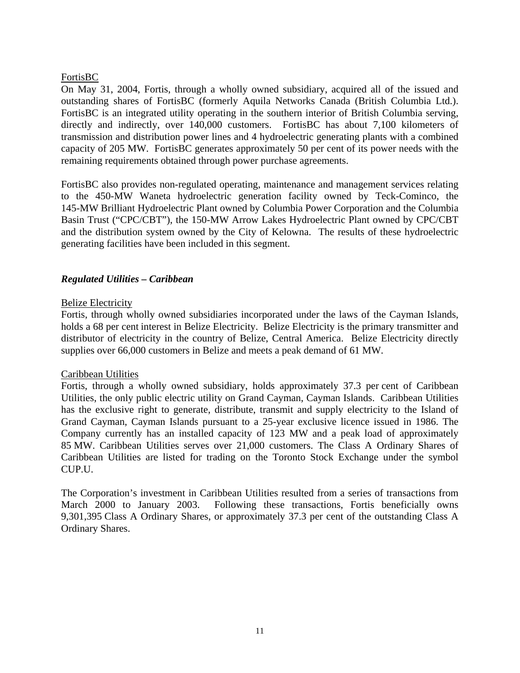### FortisBC

On May 31, 2004, Fortis, through a wholly owned subsidiary, acquired all of the issued and outstanding shares of FortisBC (formerly Aquila Networks Canada (British Columbia Ltd.). FortisBC is an integrated utility operating in the southern interior of British Columbia serving, directly and indirectly, over 140,000 customers. FortisBC has about 7,100 kilometers of transmission and distribution power lines and 4 hydroelectric generating plants with a combined capacity of 205 MW. FortisBC generates approximately 50 per cent of its power needs with the remaining requirements obtained through power purchase agreements.

FortisBC also provides non-regulated operating, maintenance and management services relating to the 450-MW Waneta hydroelectric generation facility owned by Teck-Cominco, the 145-MW Brilliant Hydroelectric Plant owned by Columbia Power Corporation and the Columbia Basin Trust ("CPC/CBT"), the 150-MW Arrow Lakes Hydroelectric Plant owned by CPC/CBT and the distribution system owned by the City of Kelowna. The results of these hydroelectric generating facilities have been included in this segment.

### *Regulated Utilities – Caribbean*

### Belize Electricity

Fortis, through wholly owned subsidiaries incorporated under the laws of the Cayman Islands, holds a 68 per cent interest in Belize Electricity. Belize Electricity is the primary transmitter and distributor of electricity in the country of Belize, Central America. Belize Electricity directly supplies over 66,000 customers in Belize and meets a peak demand of 61 MW.

#### Caribbean Utilities

Fortis, through a wholly owned subsidiary, holds approximately 37.3 per cent of Caribbean Utilities, the only public electric utility on Grand Cayman, Cayman Islands. Caribbean Utilities has the exclusive right to generate, distribute, transmit and supply electricity to the Island of Grand Cayman, Cayman Islands pursuant to a 25-year exclusive licence issued in 1986. The Company currently has an installed capacity of 123 MW and a peak load of approximately 85 MW. Caribbean Utilities serves over 21,000 customers. The Class A Ordinary Shares of Caribbean Utilities are listed for trading on the Toronto Stock Exchange under the symbol CUP.U.

The Corporation's investment in Caribbean Utilities resulted from a series of transactions from March 2000 to January 2003. Following these transactions, Fortis beneficially owns 9,301,395 Class A Ordinary Shares, or approximately 37.3 per cent of the outstanding Class A Ordinary Shares.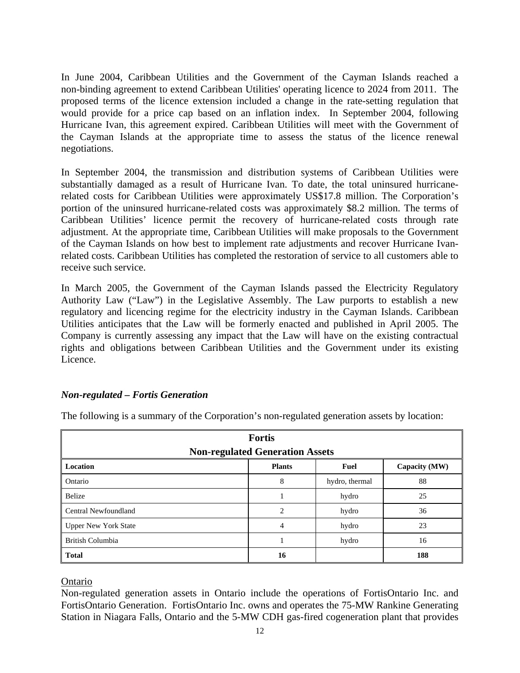In June 2004, Caribbean Utilities and the Government of the Cayman Islands reached a non-binding agreement to extend Caribbean Utilities' operating licence to 2024 from 2011. The proposed terms of the licence extension included a change in the rate-setting regulation that would provide for a price cap based on an inflation index. In September 2004, following Hurricane Ivan, this agreement expired. Caribbean Utilities will meet with the Government of the Cayman Islands at the appropriate time to assess the status of the licence renewal negotiations.

In September 2004, the transmission and distribution systems of Caribbean Utilities were substantially damaged as a result of Hurricane Ivan. To date, the total uninsured hurricanerelated costs for Caribbean Utilities were approximately US\$17.8 million. The Corporation's portion of the uninsured hurricane-related costs was approximately \$8.2 million. The terms of Caribbean Utilities' licence permit the recovery of hurricane-related costs through rate adjustment. At the appropriate time, Caribbean Utilities will make proposals to the Government of the Cayman Islands on how best to implement rate adjustments and recover Hurricane Ivanrelated costs. Caribbean Utilities has completed the restoration of service to all customers able to receive such service.

In March 2005, the Government of the Cayman Islands passed the Electricity Regulatory Authority Law ("Law") in the Legislative Assembly. The Law purports to establish a new regulatory and licencing regime for the electricity industry in the Cayman Islands. Caribbean Utilities anticipates that the Law will be formerly enacted and published in April 2005. The Company is currently assessing any impact that the Law will have on the existing contractual rights and obligations between Caribbean Utilities and the Government under its existing Licence.

### *Non-regulated – Fortis Generation*

| <b>Fortis</b>                                             |                                        |                |     |  |  |  |
|-----------------------------------------------------------|----------------------------------------|----------------|-----|--|--|--|
|                                                           | <b>Non-regulated Generation Assets</b> |                |     |  |  |  |
| Location<br><b>Plants</b><br>Capacity (MW)<br><b>Fuel</b> |                                        |                |     |  |  |  |
| Ontario                                                   | 8                                      | hydro, thermal | 88  |  |  |  |
| Belize                                                    |                                        | hydro          | 25  |  |  |  |
| <b>Central Newfoundland</b>                               | $\overline{c}$                         | hydro          | 36  |  |  |  |
| <b>Upper New York State</b>                               | 4                                      | hydro          | 23  |  |  |  |
| British Columbia                                          |                                        | hydro          | 16  |  |  |  |
| <b>Total</b>                                              | 16                                     |                | 188 |  |  |  |

The following is a summary of the Corporation's non-regulated generation assets by location:

#### Ontario

Non-regulated generation assets in Ontario include the operations of FortisOntario Inc. and FortisOntario Generation. FortisOntario Inc. owns and operates the 75-MW Rankine Generating Station in Niagara Falls, Ontario and the 5-MW CDH gas-fired cogeneration plant that provides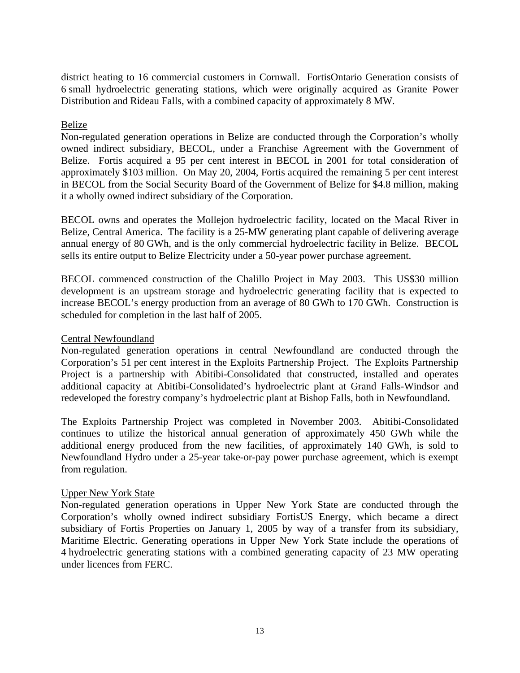district heating to 16 commercial customers in Cornwall. FortisOntario Generation consists of 6 small hydroelectric generating stations, which were originally acquired as Granite Power Distribution and Rideau Falls, with a combined capacity of approximately 8 MW.

### Belize

Non-regulated generation operations in Belize are conducted through the Corporation's wholly owned indirect subsidiary, BECOL, under a Franchise Agreement with the Government of Belize. Fortis acquired a 95 per cent interest in BECOL in 2001 for total consideration of approximately \$103 million. On May 20, 2004, Fortis acquired the remaining 5 per cent interest in BECOL from the Social Security Board of the Government of Belize for \$4.8 million, making it a wholly owned indirect subsidiary of the Corporation.

BECOL owns and operates the Mollejon hydroelectric facility, located on the Macal River in Belize, Central America. The facility is a 25-MW generating plant capable of delivering average annual energy of 80 GWh, and is the only commercial hydroelectric facility in Belize. BECOL sells its entire output to Belize Electricity under a 50-year power purchase agreement.

BECOL commenced construction of the Chalillo Project in May 2003. This US\$30 million development is an upstream storage and hydroelectric generating facility that is expected to increase BECOL's energy production from an average of 80 GWh to 170 GWh. Construction is scheduled for completion in the last half of 2005.

#### Central Newfoundland

Non-regulated generation operations in central Newfoundland are conducted through the Corporation's 51 per cent interest in the Exploits Partnership Project. The Exploits Partnership Project is a partnership with Abitibi-Consolidated that constructed, installed and operates additional capacity at Abitibi-Consolidated's hydroelectric plant at Grand Falls-Windsor and redeveloped the forestry company's hydroelectric plant at Bishop Falls, both in Newfoundland.

The Exploits Partnership Project was completed in November 2003. Abitibi-Consolidated continues to utilize the historical annual generation of approximately 450 GWh while the additional energy produced from the new facilities, of approximately 140 GWh, is sold to Newfoundland Hydro under a 25-year take-or-pay power purchase agreement, which is exempt from regulation.

#### Upper New York State

Non-regulated generation operations in Upper New York State are conducted through the Corporation's wholly owned indirect subsidiary FortisUS Energy, which became a direct subsidiary of Fortis Properties on January 1, 2005 by way of a transfer from its subsidiary, Maritime Electric. Generating operations in Upper New York State include the operations of 4 hydroelectric generating stations with a combined generating capacity of 23 MW operating under licences from FERC.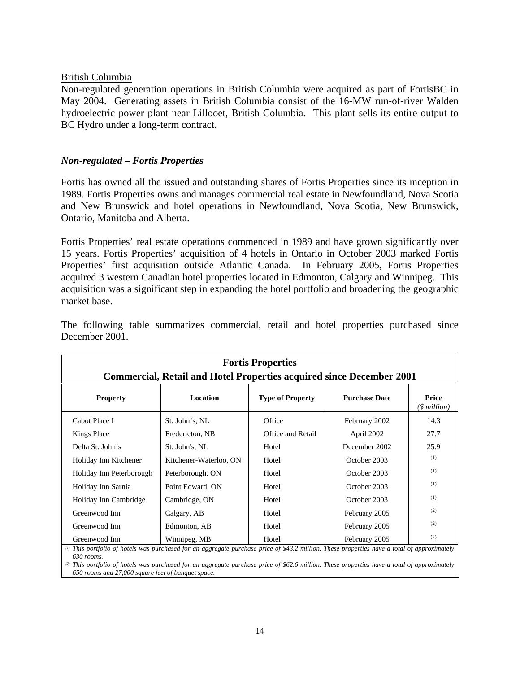#### British Columbia

Non-regulated generation operations in British Columbia were acquired as part of FortisBC in May 2004. Generating assets in British Columbia consist of the 16-MW run-of-river Walden hydroelectric power plant near Lillooet, British Columbia. This plant sells its entire output to BC Hydro under a long-term contract.

#### *Non-regulated – Fortis Properties*

Fortis has owned all the issued and outstanding shares of Fortis Properties since its inception in 1989. Fortis Properties owns and manages commercial real estate in Newfoundland, Nova Scotia and New Brunswick and hotel operations in Newfoundland, Nova Scotia, New Brunswick, Ontario, Manitoba and Alberta.

Fortis Properties' real estate operations commenced in 1989 and have grown significantly over 15 years. Fortis Properties' acquisition of 4 hotels in Ontario in October 2003 marked Fortis Properties' first acquisition outside Atlantic Canada. In February 2005, Fortis Properties acquired 3 western Canadian hotel properties located in Edmonton, Calgary and Winnipeg. This acquisition was a significant step in expanding the hotel portfolio and broadening the geographic market base.

| <b>Fortis Properties</b><br><b>Commercial, Retail and Hotel Properties acquired since December 2001</b>                                      |                        |                         |                      |                           |  |  |
|----------------------------------------------------------------------------------------------------------------------------------------------|------------------------|-------------------------|----------------------|---------------------------|--|--|
| <b>Property</b>                                                                                                                              | <b>Location</b>        | <b>Type of Property</b> | <b>Purchase Date</b> | Price<br>$($$ million $)$ |  |  |
| Cabot Place I                                                                                                                                | St. John's, NL         | Office                  | February 2002        | 14.3                      |  |  |
| Kings Place                                                                                                                                  | Fredericton, NB        | Office and Retail       | April 2002           | 27.7                      |  |  |
| Delta St. John's                                                                                                                             | St. John's, NL         | Hotel                   | December 2002        | 25.9                      |  |  |
| Holiday Inn Kitchener                                                                                                                        | Kitchener-Waterloo, ON | Hotel                   | October 2003         | (1)                       |  |  |
| Holiday Inn Peterborough                                                                                                                     | Peterborough, ON       | Hotel                   | October 2003         | (1)                       |  |  |
| Holiday Inn Sarnia                                                                                                                           | Point Edward, ON       | Hotel                   | October 2003         | (1)                       |  |  |
| Holiday Inn Cambridge                                                                                                                        | Cambridge, ON          | Hotel                   | October 2003         | (1)                       |  |  |
| Greenwood Inn                                                                                                                                | Calgary, AB            | Hotel                   | February 2005        | (2)                       |  |  |
| Greenwood Inn                                                                                                                                | Edmonton, AB           | Hotel                   | February 2005        | (2)                       |  |  |
| Greenwood Inn                                                                                                                                | Winnipeg, MB           | Hotel                   | February 2005        | (2)                       |  |  |
| (1) This portfolio of hotels was purchased for an aggregate purchase price of \$43.2 million. These properties have a total of approximately |                        |                         |                      |                           |  |  |

The following table summarizes commercial, retail and hotel properties purchased since December 2001.

*630 rooms.*

*(2) This portfolio of hotels was purchased for an aggregate purchase price of \$62.6 million. These properties have a total of approximately 650 rooms and 27,000 square feet of banquet space.*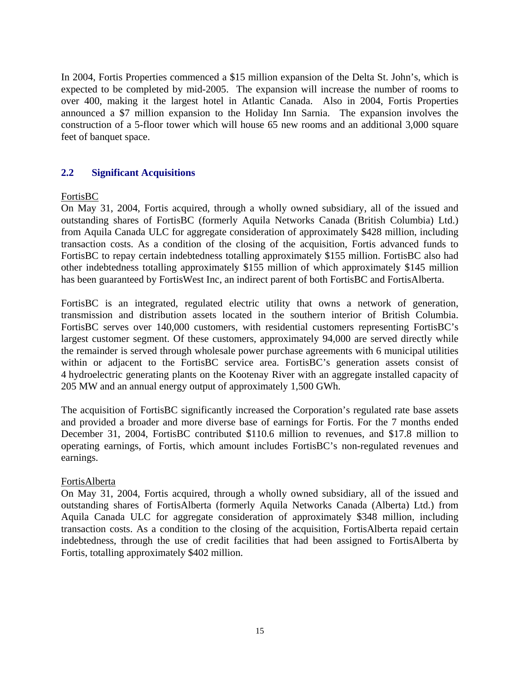In 2004, Fortis Properties commenced a \$15 million expansion of the Delta St. John's, which is expected to be completed by mid-2005. The expansion will increase the number of rooms to over 400, making it the largest hotel in Atlantic Canada. Also in 2004, Fortis Properties announced a \$7 million expansion to the Holiday Inn Sarnia. The expansion involves the construction of a 5-floor tower which will house 65 new rooms and an additional 3,000 square feet of banquet space.

### **2.2 Significant Acquisitions**

### FortisBC

On May 31, 2004, Fortis acquired, through a wholly owned subsidiary, all of the issued and outstanding shares of FortisBC (formerly Aquila Networks Canada (British Columbia) Ltd.) from Aquila Canada ULC for aggregate consideration of approximately \$428 million, including transaction costs. As a condition of the closing of the acquisition, Fortis advanced funds to FortisBC to repay certain indebtedness totalling approximately \$155 million. FortisBC also had other indebtedness totalling approximately \$155 million of which approximately \$145 million has been guaranteed by FortisWest Inc, an indirect parent of both FortisBC and FortisAlberta.

FortisBC is an integrated, regulated electric utility that owns a network of generation, transmission and distribution assets located in the southern interior of British Columbia. FortisBC serves over 140,000 customers, with residential customers representing FortisBC's largest customer segment. Of these customers, approximately 94,000 are served directly while the remainder is served through wholesale power purchase agreements with 6 municipal utilities within or adjacent to the FortisBC service area. FortisBC's generation assets consist of 4 hydroelectric generating plants on the Kootenay River with an aggregate installed capacity of 205 MW and an annual energy output of approximately 1,500 GWh.

The acquisition of FortisBC significantly increased the Corporation's regulated rate base assets and provided a broader and more diverse base of earnings for Fortis. For the 7 months ended December 31, 2004, FortisBC contributed \$110.6 million to revenues, and \$17.8 million to operating earnings, of Fortis, which amount includes FortisBC's non-regulated revenues and earnings.

#### FortisAlberta

On May 31, 2004, Fortis acquired, through a wholly owned subsidiary, all of the issued and outstanding shares of FortisAlberta (formerly Aquila Networks Canada (Alberta) Ltd.) from Aquila Canada ULC for aggregate consideration of approximately \$348 million, including transaction costs. As a condition to the closing of the acquisition, FortisAlberta repaid certain indebtedness, through the use of credit facilities that had been assigned to FortisAlberta by Fortis, totalling approximately \$402 million.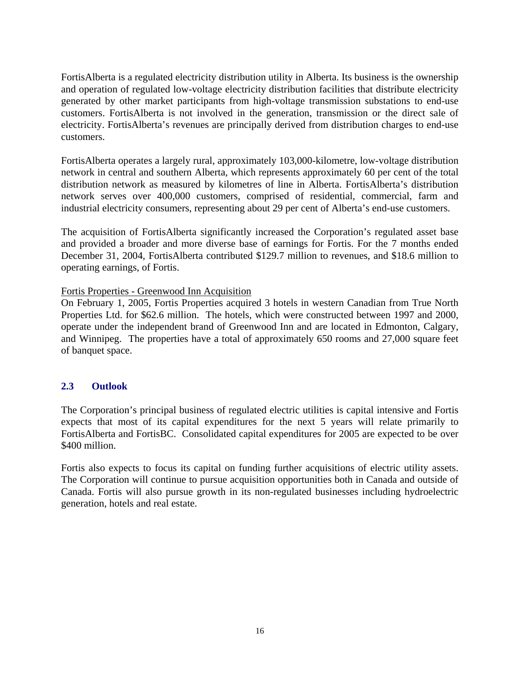FortisAlberta is a regulated electricity distribution utility in Alberta. Its business is the ownership and operation of regulated low-voltage electricity distribution facilities that distribute electricity generated by other market participants from high-voltage transmission substations to end-use customers. FortisAlberta is not involved in the generation, transmission or the direct sale of electricity. FortisAlberta's revenues are principally derived from distribution charges to end-use customers.

FortisAlberta operates a largely rural, approximately 103,000-kilometre, low-voltage distribution network in central and southern Alberta, which represents approximately 60 per cent of the total distribution network as measured by kilometres of line in Alberta. FortisAlberta's distribution network serves over 400,000 customers, comprised of residential, commercial, farm and industrial electricity consumers, representing about 29 per cent of Alberta's end-use customers.

The acquisition of FortisAlberta significantly increased the Corporation's regulated asset base and provided a broader and more diverse base of earnings for Fortis. For the 7 months ended December 31, 2004, FortisAlberta contributed \$129.7 million to revenues, and \$18.6 million to operating earnings, of Fortis.

### Fortis Properties - Greenwood Inn Acquisition

On February 1, 2005, Fortis Properties acquired 3 hotels in western Canadian from True North Properties Ltd. for \$62.6 million. The hotels, which were constructed between 1997 and 2000, operate under the independent brand of Greenwood Inn and are located in Edmonton, Calgary, and Winnipeg. The properties have a total of approximately 650 rooms and 27,000 square feet of banquet space.

### **2.3 Outlook**

The Corporation's principal business of regulated electric utilities is capital intensive and Fortis expects that most of its capital expenditures for the next 5 years will relate primarily to FortisAlberta and FortisBC. Consolidated capital expenditures for 2005 are expected to be over \$400 million.

Fortis also expects to focus its capital on funding further acquisitions of electric utility assets. The Corporation will continue to pursue acquisition opportunities both in Canada and outside of Canada. Fortis will also pursue growth in its non-regulated businesses including hydroelectric generation, hotels and real estate.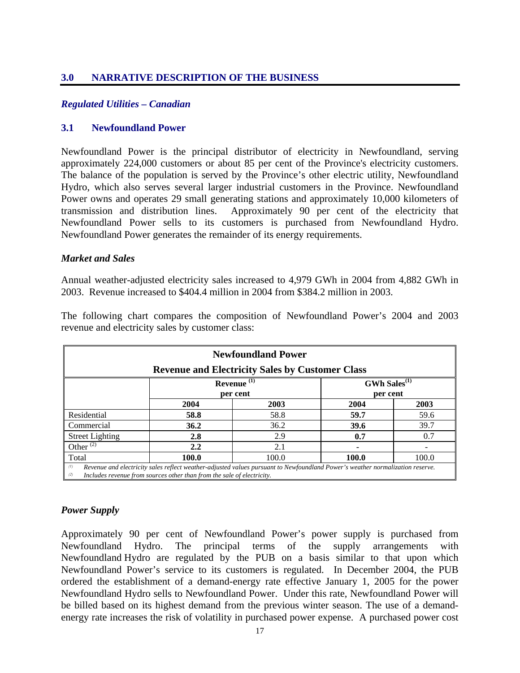### **3.0 NARRATIVE DESCRIPTION OF THE BUSINESS**

#### *Regulated Utilities – Canadian*

#### **3.1 Newfoundland Power**

Newfoundland Power is the principal distributor of electricity in Newfoundland, serving approximately 224,000 customers or about 85 per cent of the Province's electricity customers. The balance of the population is served by the Province's other electric utility, Newfoundland Hydro, which also serves several larger industrial customers in the Province. Newfoundland Power owns and operates 29 small generating stations and approximately 10,000 kilometers of transmission and distribution lines. Approximately 90 per cent of the electricity that Newfoundland Power sells to its customers is purchased from Newfoundland Hydro. Newfoundland Power generates the remainder of its energy requirements.

#### *Market and Sales*

Annual weather-adjusted electricity sales increased to 4,979 GWh in 2004 from 4,882 GWh in 2003. Revenue increased to \$404.4 million in 2004 from \$384.2 million in 2003.

| <b>Newfoundland Power</b>                                                    |                                                                                                                                                                                                         |      |      |      |  |  |  |  |
|------------------------------------------------------------------------------|---------------------------------------------------------------------------------------------------------------------------------------------------------------------------------------------------------|------|------|------|--|--|--|--|
|                                                                              | <b>Revenue and Electricity Sales by Customer Class</b>                                                                                                                                                  |      |      |      |  |  |  |  |
| Revenue <sup>(1)</sup><br>$GWh$ Sales <sup>(1)</sup><br>per cent<br>per cent |                                                                                                                                                                                                         |      |      |      |  |  |  |  |
| 2004<br>2003<br>2004<br>2003                                                 |                                                                                                                                                                                                         |      |      |      |  |  |  |  |
| Residential                                                                  | 58.8                                                                                                                                                                                                    | 58.8 | 59.7 | 59.6 |  |  |  |  |
| Commercial                                                                   | 36.2                                                                                                                                                                                                    | 36.2 | 39.6 | 39.7 |  |  |  |  |
| <b>Street Lighting</b>                                                       | 2.8                                                                                                                                                                                                     | 2.9  | 0.7  | 0.7  |  |  |  |  |
| Other $\overline{^{(2)}}$                                                    | $2.2\,$                                                                                                                                                                                                 | 2.1  |      |      |  |  |  |  |
| 100.0<br>Total<br>100.0<br>100.0<br>100.0                                    |                                                                                                                                                                                                         |      |      |      |  |  |  |  |
| (1)<br>(2)                                                                   | Revenue and electricity sales reflect weather-adjusted values pursuant to Newfoundland Power's weather normalization reserve.<br>Includes revenue from sources other than from the sale of electricity. |      |      |      |  |  |  |  |

The following chart compares the composition of Newfoundland Power's 2004 and 2003 revenue and electricity sales by customer class:

#### *Power Supply*

Approximately 90 per cent of Newfoundland Power's power supply is purchased from Newfoundland Hydro. The principal terms of the supply arrangements with Newfoundland Hydro are regulated by the PUB on a basis similar to that upon which Newfoundland Power's service to its customers is regulated. In December 2004, the PUB ordered the establishment of a demand-energy rate effective January 1, 2005 for the power Newfoundland Hydro sells to Newfoundland Power. Under this rate, Newfoundland Power will be billed based on its highest demand from the previous winter season. The use of a demandenergy rate increases the risk of volatility in purchased power expense. A purchased power cost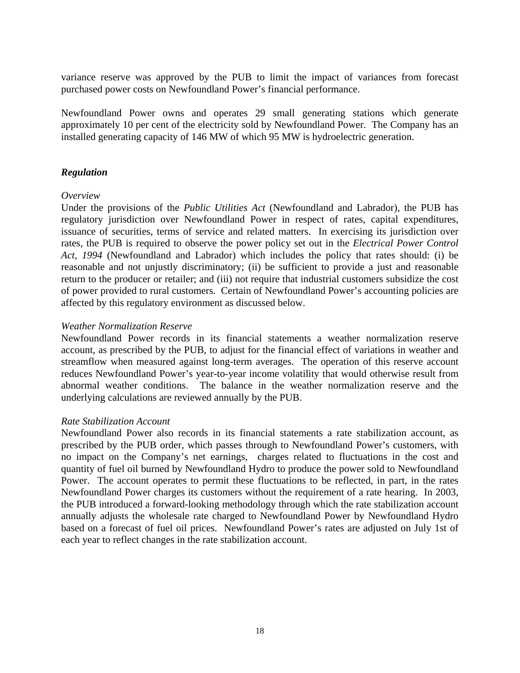variance reserve was approved by the PUB to limit the impact of variances from forecast purchased power costs on Newfoundland Power's financial performance.

Newfoundland Power owns and operates 29 small generating stations which generate approximately 10 per cent of the electricity sold by Newfoundland Power. The Company has an installed generating capacity of 146 MW of which 95 MW is hydroelectric generation.

### *Regulation*

#### *Overview*

Under the provisions of the *Public Utilities Act* (Newfoundland and Labrador), the PUB has regulatory jurisdiction over Newfoundland Power in respect of rates, capital expenditures, issuance of securities, terms of service and related matters. In exercising its jurisdiction over rates, the PUB is required to observe the power policy set out in the *Electrical Power Control Act, 1994* (Newfoundland and Labrador) which includes the policy that rates should: (i) be reasonable and not unjustly discriminatory; (ii) be sufficient to provide a just and reasonable return to the producer or retailer; and (iii) not require that industrial customers subsidize the cost of power provided to rural customers. Certain of Newfoundland Power's accounting policies are affected by this regulatory environment as discussed below.

#### *Weather Normalization Reserve*

Newfoundland Power records in its financial statements a weather normalization reserve account, as prescribed by the PUB, to adjust for the financial effect of variations in weather and streamflow when measured against long-term averages. The operation of this reserve account reduces Newfoundland Power's year-to-year income volatility that would otherwise result from abnormal weather conditions. The balance in the weather normalization reserve and the underlying calculations are reviewed annually by the PUB.

#### *Rate Stabilization Account*

Newfoundland Power also records in its financial statements a rate stabilization account, as prescribed by the PUB order, which passes through to Newfoundland Power's customers, with no impact on the Company's net earnings, charges related to fluctuations in the cost and quantity of fuel oil burned by Newfoundland Hydro to produce the power sold to Newfoundland Power. The account operates to permit these fluctuations to be reflected, in part, in the rates Newfoundland Power charges its customers without the requirement of a rate hearing. In 2003, the PUB introduced a forward-looking methodology through which the rate stabilization account annually adjusts the wholesale rate charged to Newfoundland Power by Newfoundland Hydro based on a forecast of fuel oil prices. Newfoundland Power's rates are adjusted on July 1st of each year to reflect changes in the rate stabilization account.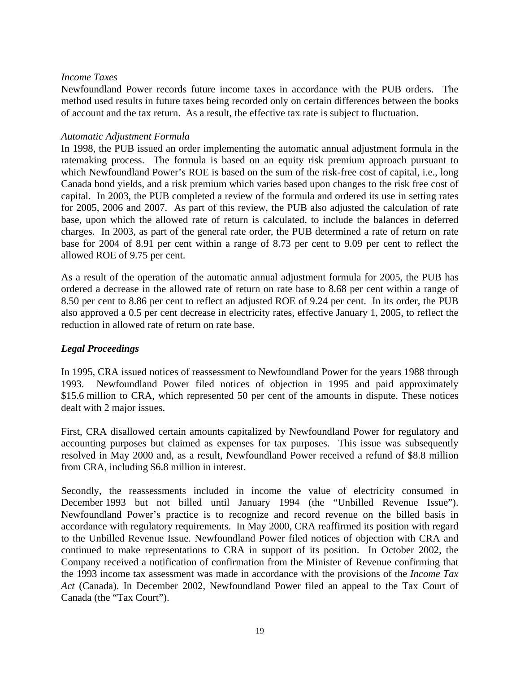#### *Income Taxes*

Newfoundland Power records future income taxes in accordance with the PUB orders. The method used results in future taxes being recorded only on certain differences between the books of account and the tax return. As a result, the effective tax rate is subject to fluctuation.

#### *Automatic Adjustment Formula*

In 1998, the PUB issued an order implementing the automatic annual adjustment formula in the ratemaking process. The formula is based on an equity risk premium approach pursuant to which Newfoundland Power's ROE is based on the sum of the risk-free cost of capital, i.e., long Canada bond yields, and a risk premium which varies based upon changes to the risk free cost of capital. In 2003, the PUB completed a review of the formula and ordered its use in setting rates for 2005, 2006 and 2007. As part of this review, the PUB also adjusted the calculation of rate base, upon which the allowed rate of return is calculated, to include the balances in deferred charges. In 2003, as part of the general rate order, the PUB determined a rate of return on rate base for 2004 of 8.91 per cent within a range of 8.73 per cent to 9.09 per cent to reflect the allowed ROE of 9.75 per cent.

As a result of the operation of the automatic annual adjustment formula for 2005, the PUB has ordered a decrease in the allowed rate of return on rate base to 8.68 per cent within a range of 8.50 per cent to 8.86 per cent to reflect an adjusted ROE of 9.24 per cent. In its order, the PUB also approved a 0.5 per cent decrease in electricity rates, effective January 1, 2005, to reflect the reduction in allowed rate of return on rate base.

#### *Legal Proceedings*

In 1995, CRA issued notices of reassessment to Newfoundland Power for the years 1988 through 1993. Newfoundland Power filed notices of objection in 1995 and paid approximately \$15.6 million to CRA, which represented 50 per cent of the amounts in dispute. These notices dealt with 2 major issues.

First, CRA disallowed certain amounts capitalized by Newfoundland Power for regulatory and accounting purposes but claimed as expenses for tax purposes. This issue was subsequently resolved in May 2000 and, as a result, Newfoundland Power received a refund of \$8.8 million from CRA, including \$6.8 million in interest.

Secondly, the reassessments included in income the value of electricity consumed in December 1993 but not billed until January 1994 (the "Unbilled Revenue Issue"). Newfoundland Power's practice is to recognize and record revenue on the billed basis in accordance with regulatory requirements. In May 2000, CRA reaffirmed its position with regard to the Unbilled Revenue Issue. Newfoundland Power filed notices of objection with CRA and continued to make representations to CRA in support of its position. In October 2002, the Company received a notification of confirmation from the Minister of Revenue confirming that the 1993 income tax assessment was made in accordance with the provisions of the *Income Tax Act* (Canada). In December 2002, Newfoundland Power filed an appeal to the Tax Court of Canada (the "Tax Court").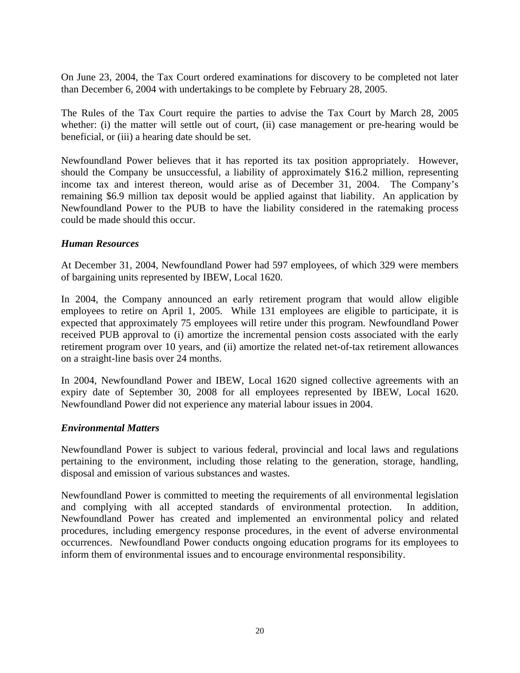On June 23, 2004, the Tax Court ordered examinations for discovery to be completed not later than December 6, 2004 with undertakings to be complete by February 28, 2005.

The Rules of the Tax Court require the parties to advise the Tax Court by March 28, 2005 whether: (i) the matter will settle out of court, (ii) case management or pre-hearing would be beneficial, or (iii) a hearing date should be set.

Newfoundland Power believes that it has reported its tax position appropriately. However, should the Company be unsuccessful, a liability of approximately \$16.2 million, representing income tax and interest thereon, would arise as of December 31, 2004. The Company's remaining \$6.9 million tax deposit would be applied against that liability. An application by Newfoundland Power to the PUB to have the liability considered in the ratemaking process could be made should this occur.

#### *Human Resources*

At December 31, 2004, Newfoundland Power had 597 employees, of which 329 were members of bargaining units represented by IBEW, Local 1620.

In 2004, the Company announced an early retirement program that would allow eligible employees to retire on April 1, 2005. While 131 employees are eligible to participate, it is expected that approximately 75 employees will retire under this program. Newfoundland Power received PUB approval to (i) amortize the incremental pension costs associated with the early retirement program over 10 years, and (ii) amortize the related net-of-tax retirement allowances on a straight-line basis over 24 months.

In 2004, Newfoundland Power and IBEW, Local 1620 signed collective agreements with an expiry date of September 30, 2008 for all employees represented by IBEW, Local 1620. Newfoundland Power did not experience any material labour issues in 2004.

#### *Environmental Matters*

Newfoundland Power is subject to various federal, provincial and local laws and regulations pertaining to the environment, including those relating to the generation, storage, handling, disposal and emission of various substances and wastes.

Newfoundland Power is committed to meeting the requirements of all environmental legislation and complying with all accepted standards of environmental protection. In addition, Newfoundland Power has created and implemented an environmental policy and related procedures, including emergency response procedures, in the event of adverse environmental occurrences. Newfoundland Power conducts ongoing education programs for its employees to inform them of environmental issues and to encourage environmental responsibility.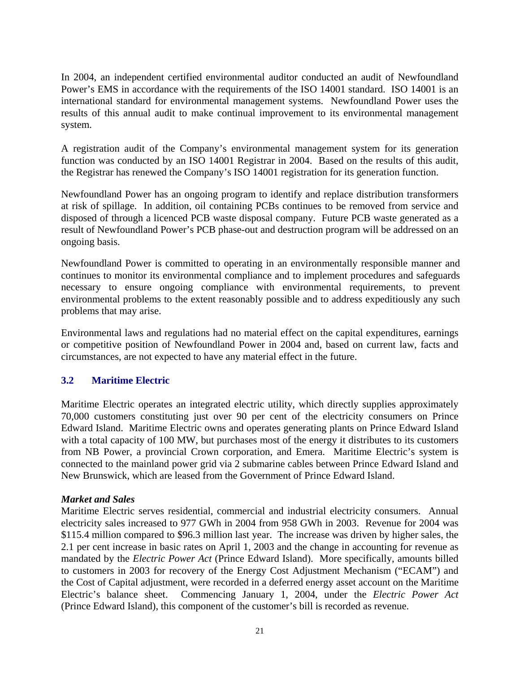In 2004, an independent certified environmental auditor conducted an audit of Newfoundland Power's EMS in accordance with the requirements of the ISO 14001 standard. ISO 14001 is an international standard for environmental management systems. Newfoundland Power uses the results of this annual audit to make continual improvement to its environmental management system.

A registration audit of the Company's environmental management system for its generation function was conducted by an ISO 14001 Registrar in 2004. Based on the results of this audit, the Registrar has renewed the Company's ISO 14001 registration for its generation function.

Newfoundland Power has an ongoing program to identify and replace distribution transformers at risk of spillage. In addition, oil containing PCBs continues to be removed from service and disposed of through a licenced PCB waste disposal company. Future PCB waste generated as a result of Newfoundland Power's PCB phase-out and destruction program will be addressed on an ongoing basis.

Newfoundland Power is committed to operating in an environmentally responsible manner and continues to monitor its environmental compliance and to implement procedures and safeguards necessary to ensure ongoing compliance with environmental requirements, to prevent environmental problems to the extent reasonably possible and to address expeditiously any such problems that may arise.

Environmental laws and regulations had no material effect on the capital expenditures, earnings or competitive position of Newfoundland Power in 2004 and, based on current law, facts and circumstances, are not expected to have any material effect in the future.

### **3.2 Maritime Electric**

Maritime Electric operates an integrated electric utility, which directly supplies approximately 70,000 customers constituting just over 90 per cent of the electricity consumers on Prince Edward Island. Maritime Electric owns and operates generating plants on Prince Edward Island with a total capacity of 100 MW, but purchases most of the energy it distributes to its customers from NB Power, a provincial Crown corporation, and Emera. Maritime Electric's system is connected to the mainland power grid via 2 submarine cables between Prince Edward Island and New Brunswick, which are leased from the Government of Prince Edward Island.

### *Market and Sales*

Maritime Electric serves residential, commercial and industrial electricity consumers. Annual electricity sales increased to 977 GWh in 2004 from 958 GWh in 2003. Revenue for 2004 was \$115.4 million compared to \$96.3 million last year. The increase was driven by higher sales, the 2.1 per cent increase in basic rates on April 1, 2003 and the change in accounting for revenue as mandated by the *Electric Power Act* (Prince Edward Island). More specifically, amounts billed to customers in 2003 for recovery of the Energy Cost Adjustment Mechanism ("ECAM") and the Cost of Capital adjustment, were recorded in a deferred energy asset account on the Maritime Electric's balance sheet. Commencing January 1, 2004, under the *Electric Power Act*  (Prince Edward Island), this component of the customer's bill is recorded as revenue.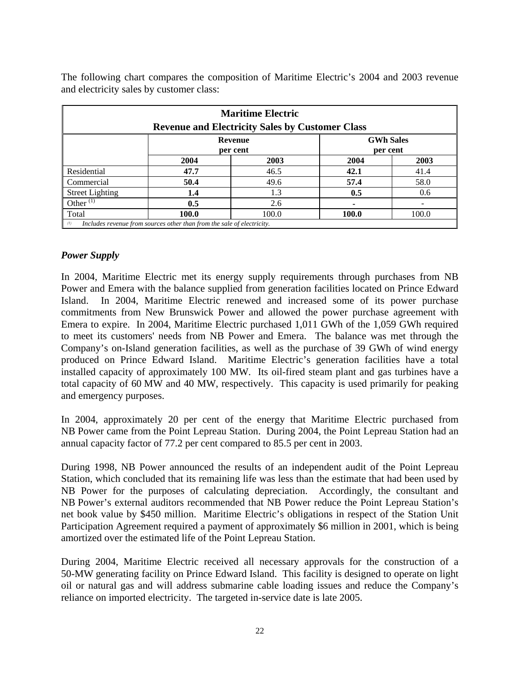The following chart compares the composition of Maritime Electric's 2004 and 2003 revenue and electricity sales by customer class:

| <b>Maritime Electric</b><br><b>Revenue and Electricity Sales by Customer Class</b> |                                                                        |       |       |       |  |  |
|------------------------------------------------------------------------------------|------------------------------------------------------------------------|-------|-------|-------|--|--|
| <b>GWh Sales</b><br>Revenue                                                        |                                                                        |       |       |       |  |  |
| per cent<br>per cent                                                               |                                                                        |       |       |       |  |  |
|                                                                                    | 2004                                                                   | 2003  | 2004  | 2003  |  |  |
| Residential                                                                        | 47.7                                                                   | 46.5  | 42.1  | 41.4  |  |  |
| Commercial                                                                         | 50.4                                                                   | 49.6  | 57.4  | 58.0  |  |  |
| <b>Street Lighting</b>                                                             | 1.4                                                                    | 1.3   | 0.5   | 0.6   |  |  |
| Other $(1)$                                                                        | 0.5                                                                    | 2.6   |       |       |  |  |
| Total                                                                              | 100.0                                                                  | 100.0 | 100.0 | 100.0 |  |  |
| (1)                                                                                | Includes revenue from sources other than from the sale of electricity. |       |       |       |  |  |

### *Power Supply*

In 2004, Maritime Electric met its energy supply requirements through purchases from NB Power and Emera with the balance supplied from generation facilities located on Prince Edward Island. In 2004, Maritime Electric renewed and increased some of its power purchase commitments from New Brunswick Power and allowed the power purchase agreement with Emera to expire. In 2004, Maritime Electric purchased 1,011 GWh of the 1,059 GWh required to meet its customers' needs from NB Power and Emera. The balance was met through the Company's on-Island generation facilities, as well as the purchase of 39 GWh of wind energy produced on Prince Edward Island. Maritime Electric's generation facilities have a total installed capacity of approximately 100 MW. Its oil-fired steam plant and gas turbines have a total capacity of 60 MW and 40 MW, respectively. This capacity is used primarily for peaking and emergency purposes.

In 2004, approximately 20 per cent of the energy that Maritime Electric purchased from NB Power came from the Point Lepreau Station. During 2004, the Point Lepreau Station had an annual capacity factor of 77.2 per cent compared to 85.5 per cent in 2003.

During 1998, NB Power announced the results of an independent audit of the Point Lepreau Station, which concluded that its remaining life was less than the estimate that had been used by NB Power for the purposes of calculating depreciation. Accordingly, the consultant and NB Power's external auditors recommended that NB Power reduce the Point Lepreau Station's net book value by \$450 million. Maritime Electric's obligations in respect of the Station Unit Participation Agreement required a payment of approximately \$6 million in 2001, which is being amortized over the estimated life of the Point Lepreau Station.

During 2004, Maritime Electric received all necessary approvals for the construction of a 50-MW generating facility on Prince Edward Island. This facility is designed to operate on light oil or natural gas and will address submarine cable loading issues and reduce the Company's reliance on imported electricity. The targeted in-service date is late 2005.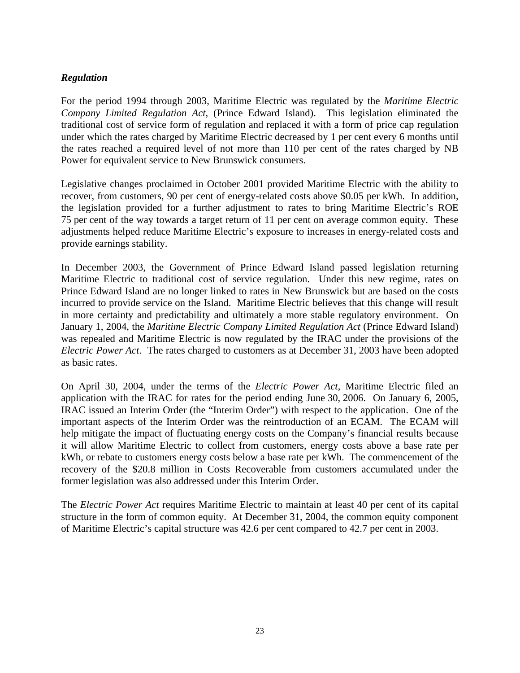### *Regulation*

For the period 1994 through 2003, Maritime Electric was regulated by the *Maritime Electric Company Limited Regulation Act,* (Prince Edward Island). This legislation eliminated the traditional cost of service form of regulation and replaced it with a form of price cap regulation under which the rates charged by Maritime Electric decreased by 1 per cent every 6 months until the rates reached a required level of not more than 110 per cent of the rates charged by NB Power for equivalent service to New Brunswick consumers.

Legislative changes proclaimed in October 2001 provided Maritime Electric with the ability to recover, from customers, 90 per cent of energy-related costs above \$0.05 per kWh. In addition, the legislation provided for a further adjustment to rates to bring Maritime Electric's ROE 75 per cent of the way towards a target return of 11 per cent on average common equity. These adjustments helped reduce Maritime Electric's exposure to increases in energy-related costs and provide earnings stability.

In December 2003, the Government of Prince Edward Island passed legislation returning Maritime Electric to traditional cost of service regulation. Under this new regime, rates on Prince Edward Island are no longer linked to rates in New Brunswick but are based on the costs incurred to provide service on the Island. Maritime Electric believes that this change will result in more certainty and predictability and ultimately a more stable regulatory environment. On January 1, 2004, the *Maritime Electric Company Limited Regulation Act* (Prince Edward Island) was repealed and Maritime Electric is now regulated by the IRAC under the provisions of the *Electric Power Act*. The rates charged to customers as at December 31, 2003 have been adopted as basic rates.

On April 30, 2004, under the terms of the *Electric Power Act*, Maritime Electric filed an application with the IRAC for rates for the period ending June 30, 2006. On January 6, 2005, IRAC issued an Interim Order (the "Interim Order") with respect to the application. One of the important aspects of the Interim Order was the reintroduction of an ECAM. The ECAM will help mitigate the impact of fluctuating energy costs on the Company's financial results because it will allow Maritime Electric to collect from customers, energy costs above a base rate per kWh, or rebate to customers energy costs below a base rate per kWh. The commencement of the recovery of the \$20.8 million in Costs Recoverable from customers accumulated under the former legislation was also addressed under this Interim Order.

The *Electric Power Act* requires Maritime Electric to maintain at least 40 per cent of its capital structure in the form of common equity. At December 31, 2004, the common equity component of Maritime Electric's capital structure was 42.6 per cent compared to 42.7 per cent in 2003.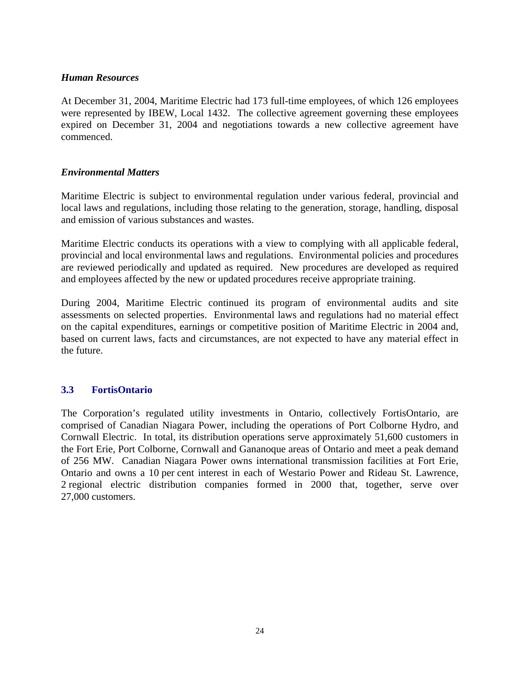#### *Human Resources*

At December 31, 2004, Maritime Electric had 173 full-time employees, of which 126 employees were represented by IBEW, Local 1432. The collective agreement governing these employees expired on December 31, 2004 and negotiations towards a new collective agreement have commenced.

#### *Environmental Matters*

Maritime Electric is subject to environmental regulation under various federal, provincial and local laws and regulations, including those relating to the generation, storage, handling, disposal and emission of various substances and wastes.

Maritime Electric conducts its operations with a view to complying with all applicable federal, provincial and local environmental laws and regulations. Environmental policies and procedures are reviewed periodically and updated as required. New procedures are developed as required and employees affected by the new or updated procedures receive appropriate training.

During 2004, Maritime Electric continued its program of environmental audits and site assessments on selected properties. Environmental laws and regulations had no material effect on the capital expenditures, earnings or competitive position of Maritime Electric in 2004 and, based on current laws, facts and circumstances, are not expected to have any material effect in the future.

#### **3.3 FortisOntario**

The Corporation's regulated utility investments in Ontario, collectively FortisOntario, are comprised of Canadian Niagara Power, including the operations of Port Colborne Hydro, and Cornwall Electric. In total, its distribution operations serve approximately 51,600 customers in the Fort Erie, Port Colborne, Cornwall and Gananoque areas of Ontario and meet a peak demand of 256 MW. Canadian Niagara Power owns international transmission facilities at Fort Erie, Ontario and owns a 10 per cent interest in each of Westario Power and Rideau St. Lawrence, 2 regional electric distribution companies formed in 2000 that, together, serve over 27,000 customers.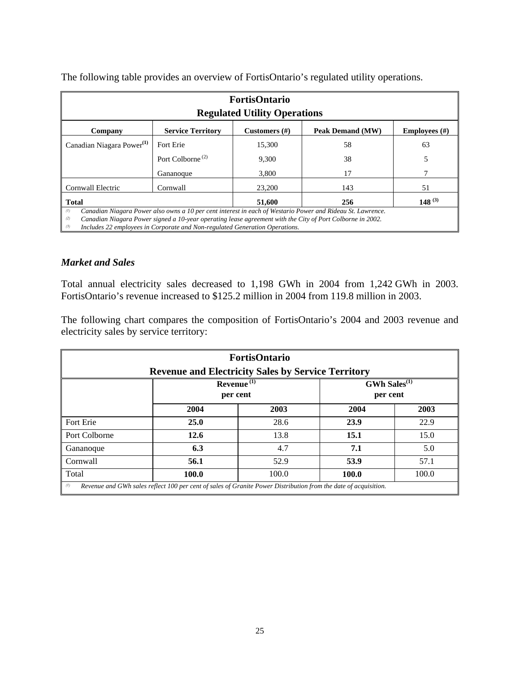The following table provides an overview of FortisOntario's regulated utility operations.

| <b>FortisOntario</b><br><b>Regulated Utility Operations</b>                                                                                                                                                                                                                                                                 |                              |        |     |    |  |  |
|-----------------------------------------------------------------------------------------------------------------------------------------------------------------------------------------------------------------------------------------------------------------------------------------------------------------------------|------------------------------|--------|-----|----|--|--|
| <b>Service Territory</b><br>Peak Demand (MW)<br>Customers $(\#)$<br>Employees $(\#)$<br>Company                                                                                                                                                                                                                             |                              |        |     |    |  |  |
| Canadian Niagara Power <sup>(1)</sup>                                                                                                                                                                                                                                                                                       | Fort Erie                    | 15,300 | 58  | 63 |  |  |
|                                                                                                                                                                                                                                                                                                                             | Port Colborne <sup>(2)</sup> | 9,300  | 38  |    |  |  |
|                                                                                                                                                                                                                                                                                                                             | Gananoque                    | 3,800  | 17  |    |  |  |
| Cornwall Electric                                                                                                                                                                                                                                                                                                           | Cornwall                     | 23,200 | 143 | 51 |  |  |
| $148^{(3)}$<br>51,600<br>256<br><b>Total</b>                                                                                                                                                                                                                                                                                |                              |        |     |    |  |  |
| (1)<br>Canadian Niagara Power also owns a 10 per cent interest in each of Westario Power and Rideau St. Lawrence.<br>Canadian Niagara Power signed a 10-year operating lease agreement with the City of Port Colborne in 2002.<br>(2)<br>Includes 22 employees in Corporate and Non-regulated Generation Operations.<br>(3) |                              |        |     |    |  |  |

### *Market and Sales*

Total annual electricity sales decreased to 1,198 GWh in 2004 from 1,242 GWh in 2003. FortisOntario's revenue increased to \$125.2 million in 2004 from 119.8 million in 2003.

The following chart compares the composition of FortisOntario's 2004 and 2003 revenue and electricity sales by service territory:

| <b>FortisOntario</b><br><b>Revenue and Electricity Sales by Service Territory</b> |                                                                                                                 |       |       |       |  |  |  |
|-----------------------------------------------------------------------------------|-----------------------------------------------------------------------------------------------------------------|-------|-------|-------|--|--|--|
| $GWh$ Sales <sup>(1)</sup><br>Revenue $^{(1)}$<br>per cent<br>per cent            |                                                                                                                 |       |       |       |  |  |  |
| 2004<br>2003<br>2004<br>2003                                                      |                                                                                                                 |       |       |       |  |  |  |
| Fort Erie                                                                         | <b>25.0</b>                                                                                                     | 28.6  | 23.9  | 22.9  |  |  |  |
| Port Colborne                                                                     | 12.6                                                                                                            | 13.8  | 15.1  | 15.0  |  |  |  |
| Gananoque                                                                         | 6.3                                                                                                             | 4.7   | 7.1   | 5.0   |  |  |  |
| Cornwall                                                                          | 56.1<br>53.9<br>52.9<br>57.1                                                                                    |       |       |       |  |  |  |
| Total                                                                             | 100.0                                                                                                           | 100.0 | 100.0 | 100.0 |  |  |  |
| (1)                                                                               | Revenue and GWh sales reflect 100 per cent of sales of Granite Power Distribution from the date of acquisition. |       |       |       |  |  |  |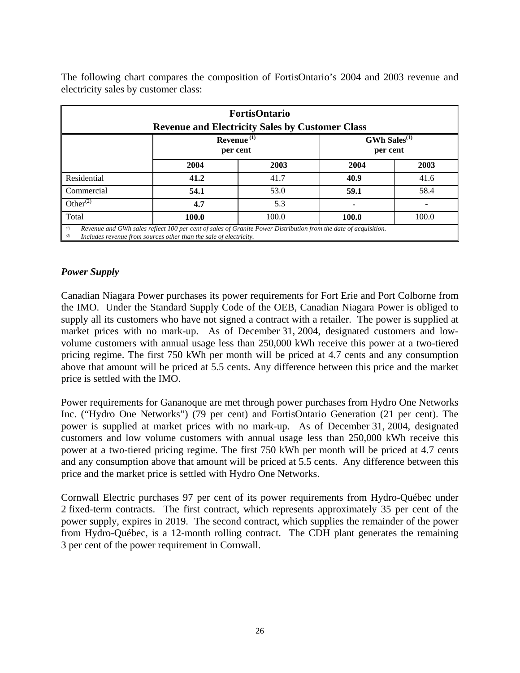| <b>FortisOntario</b><br><b>Revenue and Electricity Sales by Customer Class</b> |       |       |       |       |  |  |  |
|--------------------------------------------------------------------------------|-------|-------|-------|-------|--|--|--|
| Revenue $(1)$<br>$GWh$ Sales <sup>(1)</sup><br>per cent<br>per cent            |       |       |       |       |  |  |  |
|                                                                                | 2004  | 2003  | 2004  | 2003  |  |  |  |
| Residential                                                                    | 41.2  | 41.7  | 40.9  | 41.6  |  |  |  |
| Commercial                                                                     | 54.1  | 53.0  | 59.1  | 58.4  |  |  |  |
| Other $^{(2)}$                                                                 | 4.7   | 5.3   |       |       |  |  |  |
| Total                                                                          | 100.0 | 100.0 | 100.0 | 100.0 |  |  |  |

The following chart compares the composition of FortisOntario's 2004 and 2003 revenue and electricity sales by customer class:

#### *Power Supply*

Canadian Niagara Power purchases its power requirements for Fort Erie and Port Colborne from the IMO. Under the Standard Supply Code of the OEB, Canadian Niagara Power is obliged to supply all its customers who have not signed a contract with a retailer. The power is supplied at market prices with no mark-up. As of December 31, 2004, designated customers and lowvolume customers with annual usage less than 250,000 kWh receive this power at a two-tiered pricing regime. The first 750 kWh per month will be priced at 4.7 cents and any consumption above that amount will be priced at 5.5 cents. Any difference between this price and the market price is settled with the IMO.

Power requirements for Gananoque are met through power purchases from Hydro One Networks Inc. ("Hydro One Networks") (79 per cent) and FortisOntario Generation (21 per cent). The power is supplied at market prices with no mark-up. As of December 31, 2004, designated customers and low volume customers with annual usage less than 250,000 kWh receive this power at a two-tiered pricing regime. The first 750 kWh per month will be priced at 4.7 cents and any consumption above that amount will be priced at 5.5 cents. Any difference between this price and the market price is settled with Hydro One Networks.

Cornwall Electric purchases 97 per cent of its power requirements from Hydro-Québec under 2 fixed-term contracts. The first contract, which represents approximately 35 per cent of the power supply, expires in 2019. The second contract, which supplies the remainder of the power from Hydro-Québec, is a 12-month rolling contract. The CDH plant generates the remaining 3 per cent of the power requirement in Cornwall.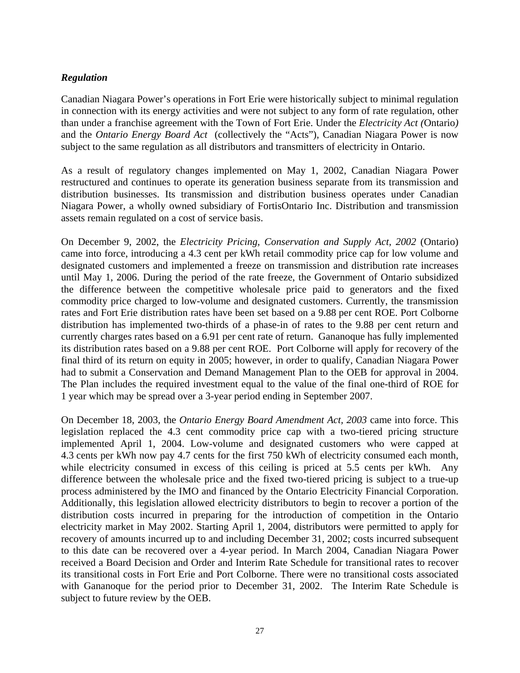### *Regulation*

Canadian Niagara Power's operations in Fort Erie were historically subject to minimal regulation in connection with its energy activities and were not subject to any form of rate regulation, other than under a franchise agreement with the Town of Fort Erie. Under the *Electricity Act (*Ontario*)*  and the *Ontario Energy Board Act* (collectively the "Acts"), Canadian Niagara Power is now subject to the same regulation as all distributors and transmitters of electricity in Ontario.

As a result of regulatory changes implemented on May 1, 2002, Canadian Niagara Power restructured and continues to operate its generation business separate from its transmission and distribution businesses. Its transmission and distribution business operates under Canadian Niagara Power, a wholly owned subsidiary of FortisOntario Inc. Distribution and transmission assets remain regulated on a cost of service basis.

On December 9, 2002, the *Electricity Pricing, Conservation and Supply Act, 2002* (Ontario) came into force, introducing a 4.3 cent per kWh retail commodity price cap for low volume and designated customers and implemented a freeze on transmission and distribution rate increases until May 1, 2006. During the period of the rate freeze, the Government of Ontario subsidized the difference between the competitive wholesale price paid to generators and the fixed commodity price charged to low-volume and designated customers. Currently, the transmission rates and Fort Erie distribution rates have been set based on a 9.88 per cent ROE. Port Colborne distribution has implemented two-thirds of a phase-in of rates to the 9.88 per cent return and currently charges rates based on a 6.91 per cent rate of return. Gananoque has fully implemented its distribution rates based on a 9.88 per cent ROE. Port Colborne will apply for recovery of the final third of its return on equity in 2005; however, in order to qualify, Canadian Niagara Power had to submit a Conservation and Demand Management Plan to the OEB for approval in 2004. The Plan includes the required investment equal to the value of the final one-third of ROE for 1 year which may be spread over a 3-year period ending in September 2007.

On December 18, 2003, the *Ontario Energy Board Amendment Act, 2003* came into force. This legislation replaced the 4.3 cent commodity price cap with a two-tiered pricing structure implemented April 1, 2004. Low-volume and designated customers who were capped at 4.3 cents per kWh now pay 4.7 cents for the first 750 kWh of electricity consumed each month, while electricity consumed in excess of this ceiling is priced at 5.5 cents per kWh. Any difference between the wholesale price and the fixed two-tiered pricing is subject to a true-up process administered by the IMO and financed by the Ontario Electricity Financial Corporation. Additionally, this legislation allowed electricity distributors to begin to recover a portion of the distribution costs incurred in preparing for the introduction of competition in the Ontario electricity market in May 2002. Starting April 1, 2004, distributors were permitted to apply for recovery of amounts incurred up to and including December 31, 2002; costs incurred subsequent to this date can be recovered over a 4-year period. In March 2004, Canadian Niagara Power received a Board Decision and Order and Interim Rate Schedule for transitional rates to recover its transitional costs in Fort Erie and Port Colborne. There were no transitional costs associated with Gananoque for the period prior to December 31, 2002. The Interim Rate Schedule is subject to future review by the OEB.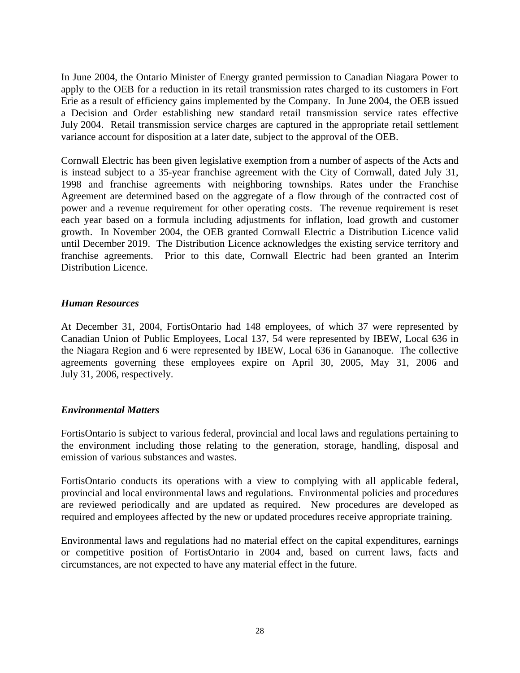In June 2004, the Ontario Minister of Energy granted permission to Canadian Niagara Power to apply to the OEB for a reduction in its retail transmission rates charged to its customers in Fort Erie as a result of efficiency gains implemented by the Company. In June 2004, the OEB issued a Decision and Order establishing new standard retail transmission service rates effective July 2004. Retail transmission service charges are captured in the appropriate retail settlement variance account for disposition at a later date, subject to the approval of the OEB.

Cornwall Electric has been given legislative exemption from a number of aspects of the Acts and is instead subject to a 35-year franchise agreement with the City of Cornwall, dated July 31, 1998 and franchise agreements with neighboring townships. Rates under the Franchise Agreement are determined based on the aggregate of a flow through of the contracted cost of power and a revenue requirement for other operating costs. The revenue requirement is reset each year based on a formula including adjustments for inflation, load growth and customer growth. In November 2004, the OEB granted Cornwall Electric a Distribution Licence valid until December 2019. The Distribution Licence acknowledges the existing service territory and franchise agreements. Prior to this date, Cornwall Electric had been granted an Interim Distribution Licence.

#### *Human Resources*

At December 31, 2004, FortisOntario had 148 employees, of which 37 were represented by Canadian Union of Public Employees, Local 137, 54 were represented by IBEW, Local 636 in the Niagara Region and 6 were represented by IBEW, Local 636 in Gananoque. The collective agreements governing these employees expire on April 30, 2005, May 31, 2006 and July 31, 2006, respectively.

#### *Environmental Matters*

FortisOntario is subject to various federal, provincial and local laws and regulations pertaining to the environment including those relating to the generation, storage, handling, disposal and emission of various substances and wastes.

FortisOntario conducts its operations with a view to complying with all applicable federal, provincial and local environmental laws and regulations. Environmental policies and procedures are reviewed periodically and are updated as required. New procedures are developed as required and employees affected by the new or updated procedures receive appropriate training.

Environmental laws and regulations had no material effect on the capital expenditures, earnings or competitive position of FortisOntario in 2004 and, based on current laws, facts and circumstances, are not expected to have any material effect in the future.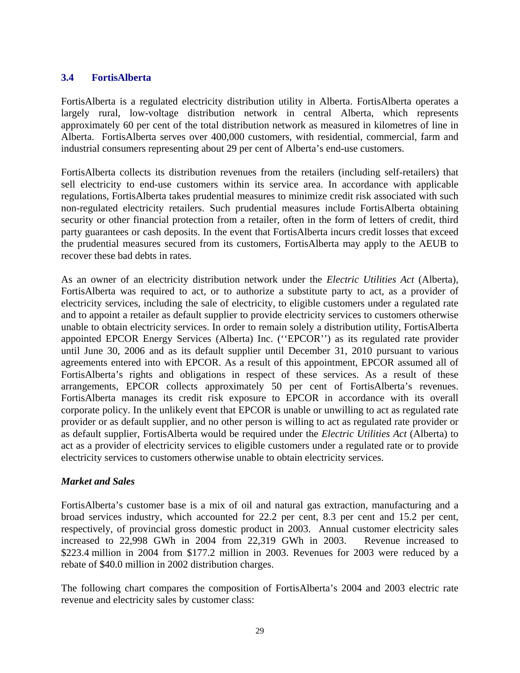### **3.4 FortisAlberta**

FortisAlberta is a regulated electricity distribution utility in Alberta. FortisAlberta operates a largely rural, low-voltage distribution network in central Alberta, which represents approximately 60 per cent of the total distribution network as measured in kilometres of line in Alberta. FortisAlberta serves over 400,000 customers, with residential, commercial, farm and industrial consumers representing about 29 per cent of Alberta's end-use customers.

FortisAlberta collects its distribution revenues from the retailers (including self-retailers) that sell electricity to end-use customers within its service area. In accordance with applicable regulations, FortisAlberta takes prudential measures to minimize credit risk associated with such non-regulated electricity retailers. Such prudential measures include FortisAlberta obtaining security or other financial protection from a retailer, often in the form of letters of credit, third party guarantees or cash deposits. In the event that FortisAlberta incurs credit losses that exceed the prudential measures secured from its customers, FortisAlberta may apply to the AEUB to recover these bad debts in rates.

As an owner of an electricity distribution network under the *Electric Utilities Act* (Alberta), FortisAlberta was required to act, or to authorize a substitute party to act, as a provider of electricity services, including the sale of electricity, to eligible customers under a regulated rate and to appoint a retailer as default supplier to provide electricity services to customers otherwise unable to obtain electricity services. In order to remain solely a distribution utility, FortisAlberta appointed EPCOR Energy Services (Alberta) Inc. (''EPCOR'') as its regulated rate provider until June 30, 2006 and as its default supplier until December 31, 2010 pursuant to various agreements entered into with EPCOR. As a result of this appointment, EPCOR assumed all of FortisAlberta's rights and obligations in respect of these services. As a result of these arrangements, EPCOR collects approximately 50 per cent of FortisAlberta's revenues. FortisAlberta manages its credit risk exposure to EPCOR in accordance with its overall corporate policy. In the unlikely event that EPCOR is unable or unwilling to act as regulated rate provider or as default supplier, and no other person is willing to act as regulated rate provider or as default supplier, FortisAlberta would be required under the *Electric Utilities Act* (Alberta) to act as a provider of electricity services to eligible customers under a regulated rate or to provide electricity services to customers otherwise unable to obtain electricity services.

### *Market and Sales*

FortisAlberta's customer base is a mix of oil and natural gas extraction, manufacturing and a broad services industry, which accounted for 22.2 per cent, 8.3 per cent and 15.2 per cent, respectively, of provincial gross domestic product in 2003. Annual customer electricity sales increased to 22,998 GWh in 2004 from 22,319 GWh in 2003. Revenue increased to \$223.4 million in 2004 from \$177.2 million in 2003. Revenues for 2003 were reduced by a rebate of \$40.0 million in 2002 distribution charges.

The following chart compares the composition of FortisAlberta's 2004 and 2003 electric rate revenue and electricity sales by customer class: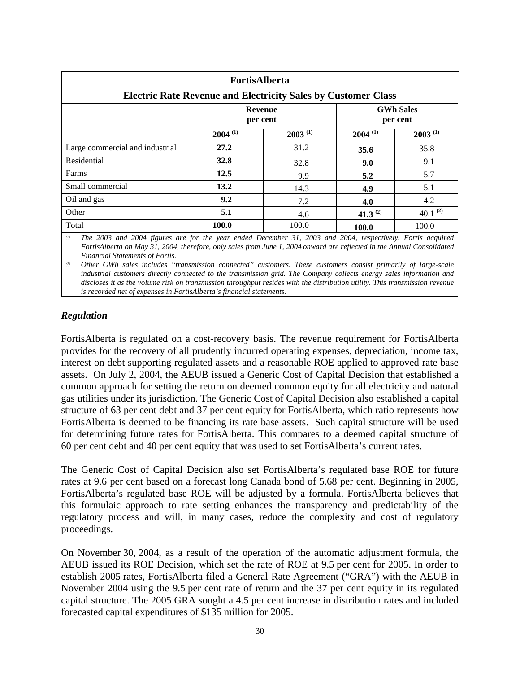| <b>FortisAlberta</b><br><b>Electric Rate Revenue and Electricity Sales by Customer Class</b> |                                                            |              |                       |               |  |  |
|----------------------------------------------------------------------------------------------|------------------------------------------------------------|--------------|-----------------------|---------------|--|--|
|                                                                                              | <b>GWh Sales</b><br><b>Revenue</b><br>per cent<br>per cent |              |                       |               |  |  |
|                                                                                              | $2004^{(1)}$                                               | $2003^{(1)}$ | $2004$ <sup>(1)</sup> | $2003^{(1)}$  |  |  |
| Large commercial and industrial                                                              | 27.2                                                       | 31.2         | 35.6                  | 35.8          |  |  |
| Residential                                                                                  | 32.8                                                       | 32.8         | 9.0                   | 9.1           |  |  |
| Farms                                                                                        | 12.5                                                       | 9.9          | 5.2                   | 5.7           |  |  |
| Small commercial                                                                             | 13.2                                                       | 14.3         | 4.9                   | 5.1           |  |  |
| Oil and gas                                                                                  | 9.2                                                        | 7.2          | 4.0                   | 4.2           |  |  |
| Other                                                                                        | 5.1                                                        | 4.6          | 41.3 <sup>(2)</sup>   | 40.1 $^{(2)}$ |  |  |
| Total                                                                                        | <b>100.0</b>                                               | 100.0        | 100.0                 | 100.0         |  |  |

*(1) The 2003 and 2004 figures are for the year ended December 31, 2003 and 2004, respectively. Fortis acquired FortisAlberta on May 31, 2004, therefore, only sales from June 1, 2004 onward are reflected in the Annual Consolidated Financial Statements of Fortis.* 

*(2) Other GWh sales includes "transmission connected" customers. These customers consist primarily of large-scale industrial customers directly connected to the transmission grid. The Company collects energy sales information and discloses it as the volume risk on transmission throughput resides with the distribution utility. This transmission revenue is recorded net of expenses in FortisAlberta's financial statements.*

### *Regulation*

FortisAlberta is regulated on a cost-recovery basis. The revenue requirement for FortisAlberta provides for the recovery of all prudently incurred operating expenses, depreciation, income tax, interest on debt supporting regulated assets and a reasonable ROE applied to approved rate base assets. On July 2, 2004, the AEUB issued a Generic Cost of Capital Decision that established a common approach for setting the return on deemed common equity for all electricity and natural gas utilities under its jurisdiction. The Generic Cost of Capital Decision also established a capital structure of 63 per cent debt and 37 per cent equity for FortisAlberta, which ratio represents how FortisAlberta is deemed to be financing its rate base assets. Such capital structure will be used for determining future rates for FortisAlberta. This compares to a deemed capital structure of 60 per cent debt and 40 per cent equity that was used to set FortisAlberta's current rates.

The Generic Cost of Capital Decision also set FortisAlberta's regulated base ROE for future rates at 9.6 per cent based on a forecast long Canada bond of 5.68 per cent. Beginning in 2005, FortisAlberta's regulated base ROE will be adjusted by a formula. FortisAlberta believes that this formulaic approach to rate setting enhances the transparency and predictability of the regulatory process and will, in many cases, reduce the complexity and cost of regulatory proceedings.

On November 30, 2004, as a result of the operation of the automatic adjustment formula, the AEUB issued its ROE Decision, which set the rate of ROE at 9.5 per cent for 2005. In order to establish 2005 rates, FortisAlberta filed a General Rate Agreement ("GRA") with the AEUB in November 2004 using the 9.5 per cent rate of return and the 37 per cent equity in its regulated capital structure. The 2005 GRA sought a 4.5 per cent increase in distribution rates and included forecasted capital expenditures of \$135 million for 2005.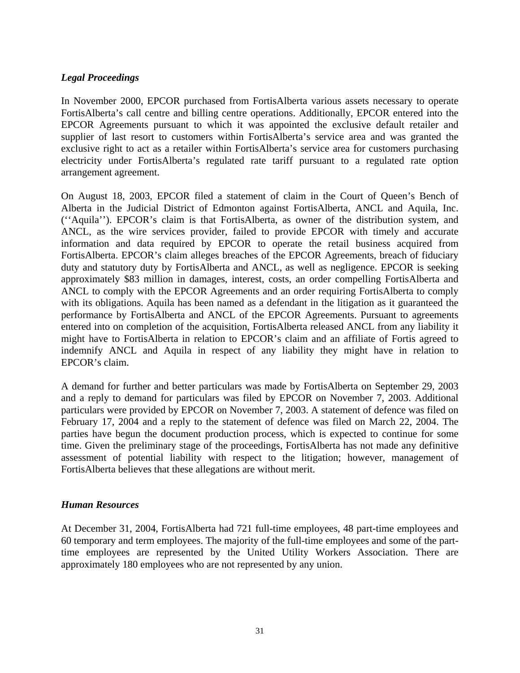### *Legal Proceedings*

In November 2000, EPCOR purchased from FortisAlberta various assets necessary to operate FortisAlberta's call centre and billing centre operations. Additionally, EPCOR entered into the EPCOR Agreements pursuant to which it was appointed the exclusive default retailer and supplier of last resort to customers within FortisAlberta's service area and was granted the exclusive right to act as a retailer within FortisAlberta's service area for customers purchasing electricity under FortisAlberta's regulated rate tariff pursuant to a regulated rate option arrangement agreement.

On August 18, 2003, EPCOR filed a statement of claim in the Court of Queen's Bench of Alberta in the Judicial District of Edmonton against FortisAlberta, ANCL and Aquila, Inc. (''Aquila''). EPCOR's claim is that FortisAlberta, as owner of the distribution system, and ANCL, as the wire services provider, failed to provide EPCOR with timely and accurate information and data required by EPCOR to operate the retail business acquired from FortisAlberta. EPCOR's claim alleges breaches of the EPCOR Agreements, breach of fiduciary duty and statutory duty by FortisAlberta and ANCL, as well as negligence. EPCOR is seeking approximately \$83 million in damages, interest, costs, an order compelling FortisAlberta and ANCL to comply with the EPCOR Agreements and an order requiring FortisAlberta to comply with its obligations. Aquila has been named as a defendant in the litigation as it guaranteed the performance by FortisAlberta and ANCL of the EPCOR Agreements. Pursuant to agreements entered into on completion of the acquisition, FortisAlberta released ANCL from any liability it might have to FortisAlberta in relation to EPCOR's claim and an affiliate of Fortis agreed to indemnify ANCL and Aquila in respect of any liability they might have in relation to EPCOR's claim.

A demand for further and better particulars was made by FortisAlberta on September 29, 2003 and a reply to demand for particulars was filed by EPCOR on November 7, 2003. Additional particulars were provided by EPCOR on November 7, 2003. A statement of defence was filed on February 17, 2004 and a reply to the statement of defence was filed on March 22, 2004. The parties have begun the document production process, which is expected to continue for some time. Given the preliminary stage of the proceedings, FortisAlberta has not made any definitive assessment of potential liability with respect to the litigation; however, management of FortisAlberta believes that these allegations are without merit.

#### *Human Resources*

At December 31, 2004, FortisAlberta had 721 full-time employees, 48 part-time employees and 60 temporary and term employees. The majority of the full-time employees and some of the parttime employees are represented by the United Utility Workers Association. There are approximately 180 employees who are not represented by any union.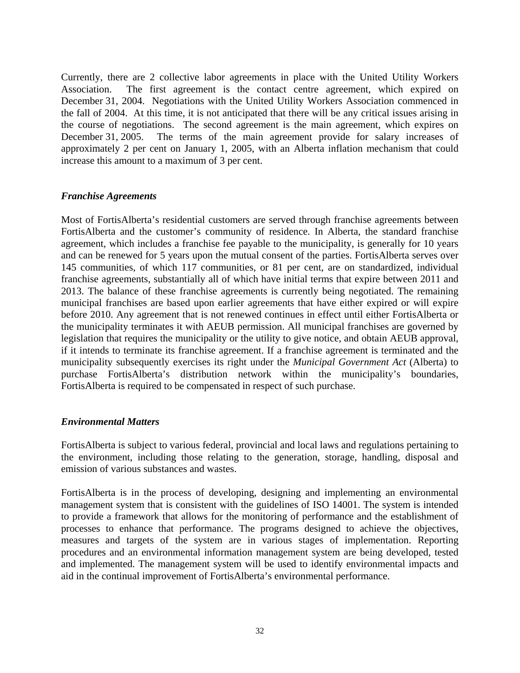Currently, there are 2 collective labor agreements in place with the United Utility Workers Association. The first agreement is the contact centre agreement, which expired on December 31, 2004. Negotiations with the United Utility Workers Association commenced in the fall of 2004. At this time, it is not anticipated that there will be any critical issues arising in the course of negotiations. The second agreement is the main agreement, which expires on December 31, 2005. The terms of the main agreement provide for salary increases of approximately 2 per cent on January 1, 2005, with an Alberta inflation mechanism that could increase this amount to a maximum of 3 per cent.

#### *Franchise Agreements*

Most of FortisAlberta's residential customers are served through franchise agreements between FortisAlberta and the customer's community of residence. In Alberta, the standard franchise agreement, which includes a franchise fee payable to the municipality, is generally for 10 years and can be renewed for 5 years upon the mutual consent of the parties. FortisAlberta serves over 145 communities, of which 117 communities, or 81 per cent, are on standardized, individual franchise agreements, substantially all of which have initial terms that expire between 2011 and 2013. The balance of these franchise agreements is currently being negotiated. The remaining municipal franchises are based upon earlier agreements that have either expired or will expire before 2010. Any agreement that is not renewed continues in effect until either FortisAlberta or the municipality terminates it with AEUB permission. All municipal franchises are governed by legislation that requires the municipality or the utility to give notice, and obtain AEUB approval, if it intends to terminate its franchise agreement. If a franchise agreement is terminated and the municipality subsequently exercises its right under the *Municipal Government Act* (Alberta) to purchase FortisAlberta's distribution network within the municipality's boundaries, FortisAlberta is required to be compensated in respect of such purchase.

#### *Environmental Matters*

FortisAlberta is subject to various federal, provincial and local laws and regulations pertaining to the environment, including those relating to the generation, storage, handling, disposal and emission of various substances and wastes.

FortisAlberta is in the process of developing, designing and implementing an environmental management system that is consistent with the guidelines of ISO 14001. The system is intended to provide a framework that allows for the monitoring of performance and the establishment of processes to enhance that performance. The programs designed to achieve the objectives, measures and targets of the system are in various stages of implementation. Reporting procedures and an environmental information management system are being developed, tested and implemented. The management system will be used to identify environmental impacts and aid in the continual improvement of FortisAlberta's environmental performance.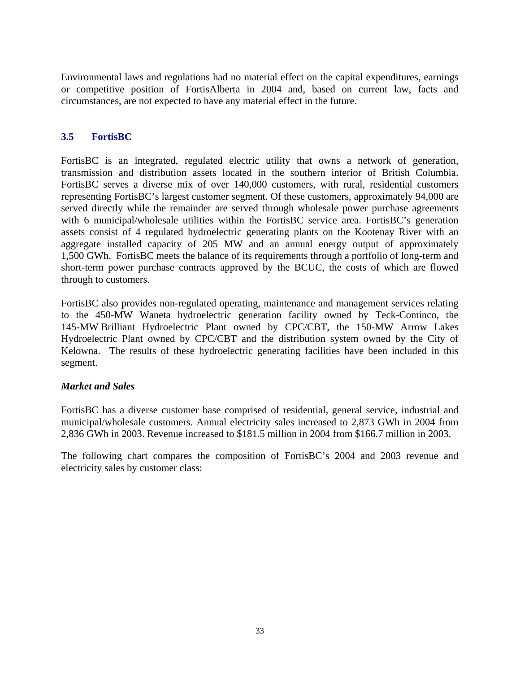Environmental laws and regulations had no material effect on the capital expenditures, earnings or competitive position of FortisAlberta in 2004 and, based on current law, facts and circumstances, are not expected to have any material effect in the future.

### **3.5 FortisBC**

FortisBC is an integrated, regulated electric utility that owns a network of generation, transmission and distribution assets located in the southern interior of British Columbia. FortisBC serves a diverse mix of over 140,000 customers, with rural, residential customers representing FortisBC's largest customer segment. Of these customers, approximately 94,000 are served directly while the remainder are served through wholesale power purchase agreements with 6 municipal/wholesale utilities within the FortisBC service area. FortisBC's generation assets consist of 4 regulated hydroelectric generating plants on the Kootenay River with an aggregate installed capacity of 205 MW and an annual energy output of approximately 1,500 GWh. FortisBC meets the balance of its requirements through a portfolio of long-term and short-term power purchase contracts approved by the BCUC, the costs of which are flowed through to customers.

FortisBC also provides non-regulated operating, maintenance and management services relating to the 450-MW Waneta hydroelectric generation facility owned by Teck-Cominco, the 145-MW Brilliant Hydroelectric Plant owned by CPC/CBT, the 150-MW Arrow Lakes Hydroelectric Plant owned by CPC/CBT and the distribution system owned by the City of Kelowna. The results of these hydroelectric generating facilities have been included in this segment.

#### *Market and Sales*

FortisBC has a diverse customer base comprised of residential, general service, industrial and municipal/wholesale customers. Annual electricity sales increased to 2,873 GWh in 2004 from 2,836 GWh in 2003. Revenue increased to \$181.5 million in 2004 from \$166.7 million in 2003.

The following chart compares the composition of FortisBC's 2004 and 2003 revenue and electricity sales by customer class: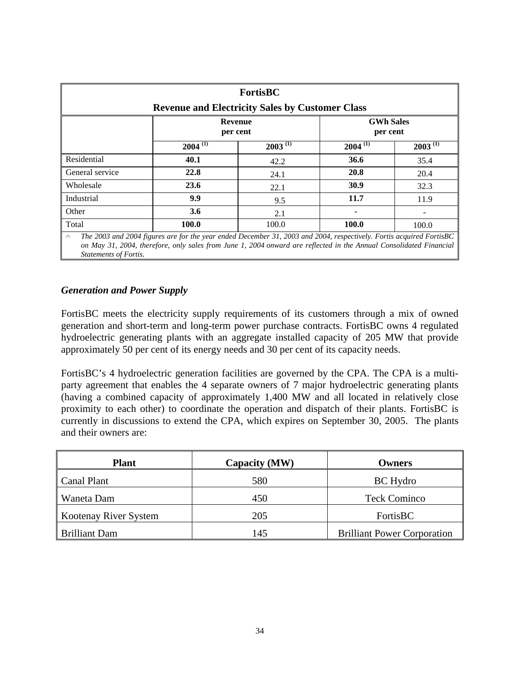| <b>FortisBC</b>                                                                                                                                                                                                                                  |                                                        |              |              |              |  |  |
|--------------------------------------------------------------------------------------------------------------------------------------------------------------------------------------------------------------------------------------------------|--------------------------------------------------------|--------------|--------------|--------------|--|--|
|                                                                                                                                                                                                                                                  | <b>Revenue and Electricity Sales by Customer Class</b> |              |              |              |  |  |
| <b>GWh Sales</b><br><b>Revenue</b><br>per cent<br>per cent                                                                                                                                                                                       |                                                        |              |              |              |  |  |
|                                                                                                                                                                                                                                                  | $2004^{(1)}$                                           | $2003^{(1)}$ | $2004^{(1)}$ | $2003^{(1)}$ |  |  |
| Residential                                                                                                                                                                                                                                      | 40.1                                                   | 42.2         | 36.6         | 35.4         |  |  |
| General service                                                                                                                                                                                                                                  | 22.8                                                   | 24.1         | 20.8         | 20.4         |  |  |
| Wholesale                                                                                                                                                                                                                                        | 23.6                                                   | 22.1         | 30.9         | 32.3         |  |  |
| Industrial                                                                                                                                                                                                                                       | 9.9                                                    | 9.5          | 11.7         | 11.9         |  |  |
| Other                                                                                                                                                                                                                                            | 3.6                                                    | 2.1          |              |              |  |  |
| Total<br>100.0<br>100.0<br>100.0<br>100.0                                                                                                                                                                                                        |                                                        |              |              |              |  |  |
| The 2003 and 2004 figures are for the year ended December 31, 2003 and 2004, respectively. Fortis acquired FortisBC<br>(1)<br>on May 31, 2004, therefore, only sales from June 1, 2004 onward are reflected in the Annual Consolidated Financial |                                                        |              |              |              |  |  |

*Statements of Fortis.*

### *Generation and Power Supply*

FortisBC meets the electricity supply requirements of its customers through a mix of owned generation and short-term and long-term power purchase contracts. FortisBC owns 4 regulated hydroelectric generating plants with an aggregate installed capacity of 205 MW that provide approximately 50 per cent of its energy needs and 30 per cent of its capacity needs.

FortisBC's 4 hydroelectric generation facilities are governed by the CPA. The CPA is a multiparty agreement that enables the 4 separate owners of 7 major hydroelectric generating plants (having a combined capacity of approximately 1,400 MW and all located in relatively close proximity to each other) to coordinate the operation and dispatch of their plants. FortisBC is currently in discussions to extend the CPA, which expires on September 30, 2005. The plants and their owners are:

| <b>Plant</b>          | <b>Capacity (MW)</b> | <b>Owners</b>                      |
|-----------------------|----------------------|------------------------------------|
| Canal Plant           | 580                  | <b>BC</b> Hydro                    |
| Waneta Dam            | 450                  | <b>Teck Cominco</b>                |
| Kootenay River System | 205                  | FortisBC                           |
| <b>Brilliant Dam</b>  | 145                  | <b>Brilliant Power Corporation</b> |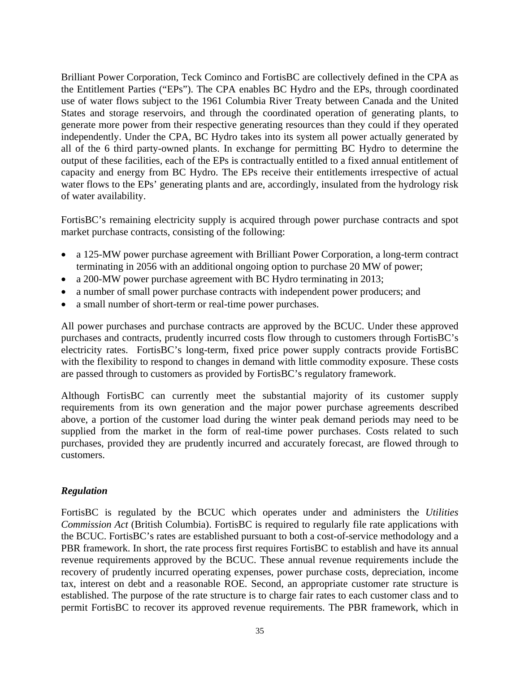Brilliant Power Corporation, Teck Cominco and FortisBC are collectively defined in the CPA as the Entitlement Parties ("EPs"). The CPA enables BC Hydro and the EPs, through coordinated use of water flows subject to the 1961 Columbia River Treaty between Canada and the United States and storage reservoirs, and through the coordinated operation of generating plants, to generate more power from their respective generating resources than they could if they operated independently. Under the CPA, BC Hydro takes into its system all power actually generated by all of the 6 third party-owned plants. In exchange for permitting BC Hydro to determine the output of these facilities, each of the EPs is contractually entitled to a fixed annual entitlement of capacity and energy from BC Hydro. The EPs receive their entitlements irrespective of actual water flows to the EPs' generating plants and are, accordingly, insulated from the hydrology risk of water availability.

FortisBC's remaining electricity supply is acquired through power purchase contracts and spot market purchase contracts, consisting of the following:

- a 125-MW power purchase agreement with Brilliant Power Corporation, a long-term contract terminating in 2056 with an additional ongoing option to purchase 20 MW of power;
- a 200-MW power purchase agreement with BC Hydro terminating in 2013;
- a number of small power purchase contracts with independent power producers; and
- a small number of short-term or real-time power purchases.

All power purchases and purchase contracts are approved by the BCUC. Under these approved purchases and contracts, prudently incurred costs flow through to customers through FortisBC's electricity rates. FortisBC's long-term, fixed price power supply contracts provide FortisBC with the flexibility to respond to changes in demand with little commodity exposure. These costs are passed through to customers as provided by FortisBC's regulatory framework.

Although FortisBC can currently meet the substantial majority of its customer supply requirements from its own generation and the major power purchase agreements described above, a portion of the customer load during the winter peak demand periods may need to be supplied from the market in the form of real-time power purchases. Costs related to such purchases, provided they are prudently incurred and accurately forecast, are flowed through to customers.

# *Regulation*

FortisBC is regulated by the BCUC which operates under and administers the *Utilities Commission Act* (British Columbia). FortisBC is required to regularly file rate applications with the BCUC. FortisBC's rates are established pursuant to both a cost-of-service methodology and a PBR framework. In short, the rate process first requires FortisBC to establish and have its annual revenue requirements approved by the BCUC. These annual revenue requirements include the recovery of prudently incurred operating expenses, power purchase costs, depreciation, income tax, interest on debt and a reasonable ROE. Second, an appropriate customer rate structure is established. The purpose of the rate structure is to charge fair rates to each customer class and to permit FortisBC to recover its approved revenue requirements. The PBR framework, which in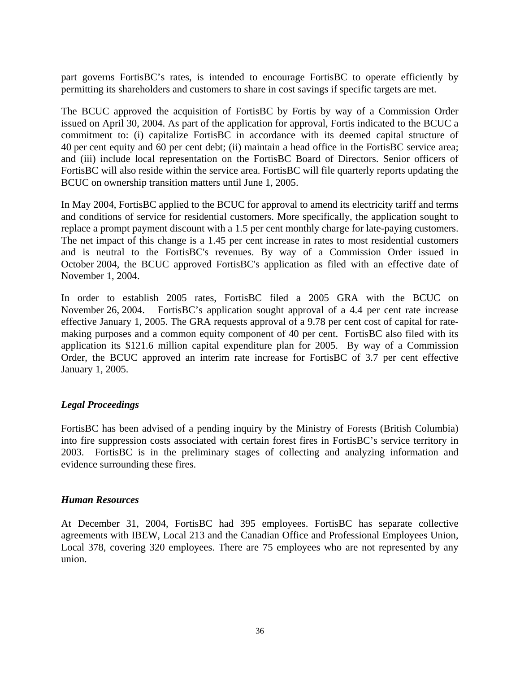part governs FortisBC's rates, is intended to encourage FortisBC to operate efficiently by permitting its shareholders and customers to share in cost savings if specific targets are met.

The BCUC approved the acquisition of FortisBC by Fortis by way of a Commission Order issued on April 30, 2004. As part of the application for approval, Fortis indicated to the BCUC a commitment to: (i) capitalize FortisBC in accordance with its deemed capital structure of 40 per cent equity and 60 per cent debt; (ii) maintain a head office in the FortisBC service area; and (iii) include local representation on the FortisBC Board of Directors. Senior officers of FortisBC will also reside within the service area. FortisBC will file quarterly reports updating the BCUC on ownership transition matters until June 1, 2005.

In May 2004, FortisBC applied to the BCUC for approval to amend its electricity tariff and terms and conditions of service for residential customers. More specifically, the application sought to replace a prompt payment discount with a 1.5 per cent monthly charge for late-paying customers. The net impact of this change is a 1.45 per cent increase in rates to most residential customers and is neutral to the FortisBC's revenues. By way of a Commission Order issued in October 2004, the BCUC approved FortisBC's application as filed with an effective date of November 1, 2004.

In order to establish 2005 rates, FortisBC filed a 2005 GRA with the BCUC on November 26, 2004. FortisBC's application sought approval of a 4.4 per cent rate increase effective January 1, 2005. The GRA requests approval of a 9.78 per cent cost of capital for ratemaking purposes and a common equity component of 40 per cent. FortisBC also filed with its application its \$121.6 million capital expenditure plan for 2005. By way of a Commission Order, the BCUC approved an interim rate increase for FortisBC of 3.7 per cent effective January 1, 2005.

#### *Legal Proceedings*

FortisBC has been advised of a pending inquiry by the Ministry of Forests (British Columbia) into fire suppression costs associated with certain forest fires in FortisBC's service territory in 2003. FortisBC is in the preliminary stages of collecting and analyzing information and evidence surrounding these fires.

#### *Human Resources*

At December 31, 2004, FortisBC had 395 employees. FortisBC has separate collective agreements with IBEW, Local 213 and the Canadian Office and Professional Employees Union, Local 378, covering 320 employees. There are 75 employees who are not represented by any union.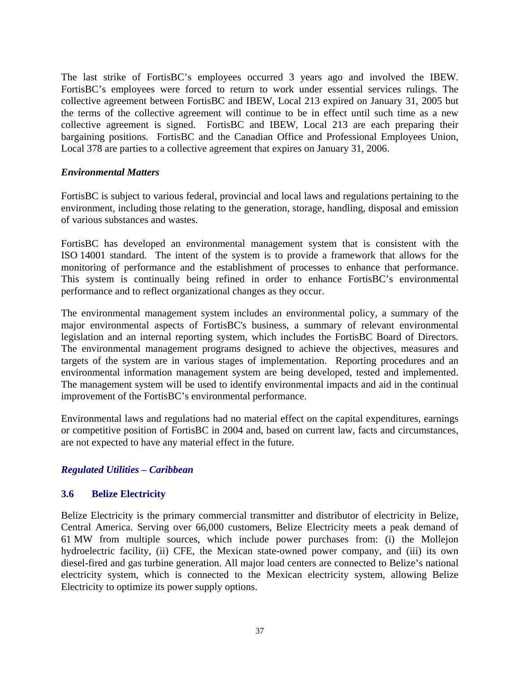The last strike of FortisBC's employees occurred 3 years ago and involved the IBEW. FortisBC's employees were forced to return to work under essential services rulings. The collective agreement between FortisBC and IBEW, Local 213 expired on January 31, 2005 but the terms of the collective agreement will continue to be in effect until such time as a new collective agreement is signed. FortisBC and IBEW, Local 213 are each preparing their bargaining positions. FortisBC and the Canadian Office and Professional Employees Union, Local 378 are parties to a collective agreement that expires on January 31, 2006.

#### *Environmental Matters*

FortisBC is subject to various federal, provincial and local laws and regulations pertaining to the environment, including those relating to the generation, storage, handling, disposal and emission of various substances and wastes.

FortisBC has developed an environmental management system that is consistent with the ISO 14001 standard. The intent of the system is to provide a framework that allows for the monitoring of performance and the establishment of processes to enhance that performance. This system is continually being refined in order to enhance FortisBC's environmental performance and to reflect organizational changes as they occur.

The environmental management system includes an environmental policy, a summary of the major environmental aspects of FortisBC's business, a summary of relevant environmental legislation and an internal reporting system, which includes the FortisBC Board of Directors. The environmental management programs designed to achieve the objectives, measures and targets of the system are in various stages of implementation. Reporting procedures and an environmental information management system are being developed, tested and implemented. The management system will be used to identify environmental impacts and aid in the continual improvement of the FortisBC's environmental performance.

Environmental laws and regulations had no material effect on the capital expenditures, earnings or competitive position of FortisBC in 2004 and, based on current law, facts and circumstances, are not expected to have any material effect in the future.

### *Regulated Utilities – Caribbean*

### **3.6 Belize Electricity**

Belize Electricity is the primary commercial transmitter and distributor of electricity in Belize, Central America. Serving over 66,000 customers, Belize Electricity meets a peak demand of 61 MW from multiple sources, which include power purchases from: (i) the Mollejon hydroelectric facility, (ii) CFE, the Mexican state-owned power company, and (iii) its own diesel-fired and gas turbine generation. All major load centers are connected to Belize's national electricity system, which is connected to the Mexican electricity system, allowing Belize Electricity to optimize its power supply options.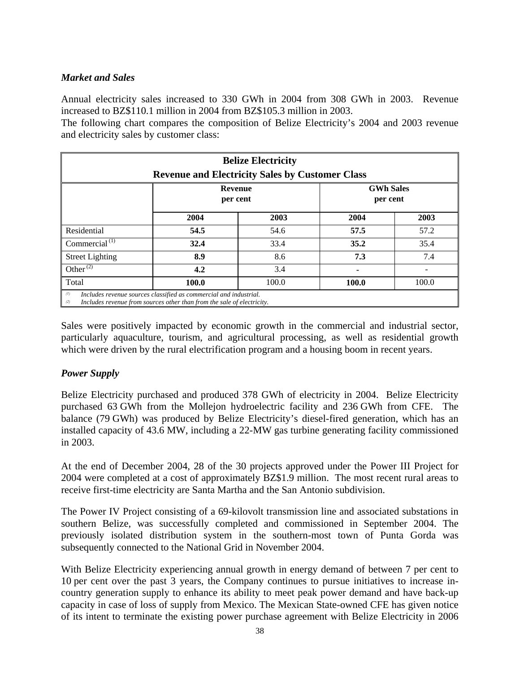# *Market and Sales*

Annual electricity sales increased to 330 GWh in 2004 from 308 GWh in 2003. Revenue increased to BZ\$110.1 million in 2004 from BZ\$105.3 million in 2003.

The following chart compares the composition of Belize Electricity's 2004 and 2003 revenue and electricity sales by customer class:

| <b>Belize Electricity</b><br><b>Revenue and Electricity Sales by Customer Class</b>                                                                       |       |       |       |       |  |
|-----------------------------------------------------------------------------------------------------------------------------------------------------------|-------|-------|-------|-------|--|
| <b>GWh Sales</b><br><b>Revenue</b><br>per cent<br>per cent                                                                                                |       |       |       |       |  |
|                                                                                                                                                           | 2004  | 2003  | 2004  | 2003  |  |
| Residential                                                                                                                                               | 54.5  | 54.6  | 57.5  | 57.2  |  |
| Commercial $(1)$                                                                                                                                          | 32.4  | 33.4  | 35.2  | 35.4  |  |
| <b>Street Lighting</b>                                                                                                                                    | 8.9   | 8.6   | 7.3   | 7.4   |  |
| Other <sup>(2)</sup>                                                                                                                                      | 4.2   | 3.4   |       |       |  |
| Total                                                                                                                                                     | 100.0 | 100.0 | 100.0 | 100.0 |  |
| (1)<br>Includes revenue sources classified as commercial and industrial.<br>Includes revenue from sources other than from the sale of electricity.<br>(2) |       |       |       |       |  |

Sales were positively impacted by economic growth in the commercial and industrial sector, particularly aquaculture, tourism, and agricultural processing, as well as residential growth which were driven by the rural electrification program and a housing boom in recent years.

### *Power Supply*

Belize Electricity purchased and produced 378 GWh of electricity in 2004. Belize Electricity purchased 63 GWh from the Mollejon hydroelectric facility and 236 GWh from CFE. The balance (79 GWh) was produced by Belize Electricity's diesel-fired generation, which has an installed capacity of 43.6 MW, including a 22-MW gas turbine generating facility commissioned in 2003.

At the end of December 2004, 28 of the 30 projects approved under the Power III Project for 2004 were completed at a cost of approximately BZ\$1.9 million. The most recent rural areas to receive first-time electricity are Santa Martha and the San Antonio subdivision.

The Power IV Project consisting of a 69-kilovolt transmission line and associated substations in southern Belize, was successfully completed and commissioned in September 2004. The previously isolated distribution system in the southern-most town of Punta Gorda was subsequently connected to the National Grid in November 2004.

With Belize Electricity experiencing annual growth in energy demand of between 7 per cent to 10 per cent over the past 3 years, the Company continues to pursue initiatives to increase incountry generation supply to enhance its ability to meet peak power demand and have back-up capacity in case of loss of supply from Mexico. The Mexican State-owned CFE has given notice of its intent to terminate the existing power purchase agreement with Belize Electricity in 2006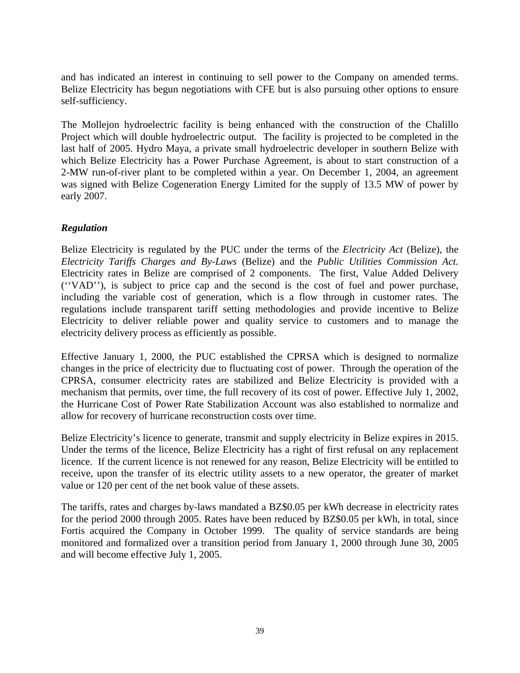and has indicated an interest in continuing to sell power to the Company on amended terms. Belize Electricity has begun negotiations with CFE but is also pursuing other options to ensure self-sufficiency.

The Mollejon hydroelectric facility is being enhanced with the construction of the Chalillo Project which will double hydroelectric output. The facility is projected to be completed in the last half of 2005. Hydro Maya, a private small hydroelectric developer in southern Belize with which Belize Electricity has a Power Purchase Agreement, is about to start construction of a 2-MW run-of-river plant to be completed within a year. On December 1, 2004, an agreement was signed with Belize Cogeneration Energy Limited for the supply of 13.5 MW of power by early 2007.

### *Regulation*

Belize Electricity is regulated by the PUC under the terms of the *Electricity Act* (Belize)*,* the *Electricity Tariffs Charges and By-Laws* (Belize) and the *Public Utilities Commission Act.* Electricity rates in Belize are comprised of 2 components. The first, Value Added Delivery (''VAD''), is subject to price cap and the second is the cost of fuel and power purchase, including the variable cost of generation, which is a flow through in customer rates. The regulations include transparent tariff setting methodologies and provide incentive to Belize Electricity to deliver reliable power and quality service to customers and to manage the electricity delivery process as efficiently as possible.

Effective January 1, 2000, the PUC established the CPRSA which is designed to normalize changes in the price of electricity due to fluctuating cost of power. Through the operation of the CPRSA, consumer electricity rates are stabilized and Belize Electricity is provided with a mechanism that permits, over time, the full recovery of its cost of power. Effective July 1, 2002, the Hurricane Cost of Power Rate Stabilization Account was also established to normalize and allow for recovery of hurricane reconstruction costs over time.

Belize Electricity's licence to generate, transmit and supply electricity in Belize expires in 2015. Under the terms of the licence, Belize Electricity has a right of first refusal on any replacement licence. If the current licence is not renewed for any reason, Belize Electricity will be entitled to receive, upon the transfer of its electric utility assets to a new operator, the greater of market value or 120 per cent of the net book value of these assets.

The tariffs, rates and charges by-laws mandated a BZ\$0.05 per kWh decrease in electricity rates for the period 2000 through 2005. Rates have been reduced by BZ\$0.05 per kWh, in total, since Fortis acquired the Company in October 1999. The quality of service standards are being monitored and formalized over a transition period from January 1, 2000 through June 30, 2005 and will become effective July 1, 2005.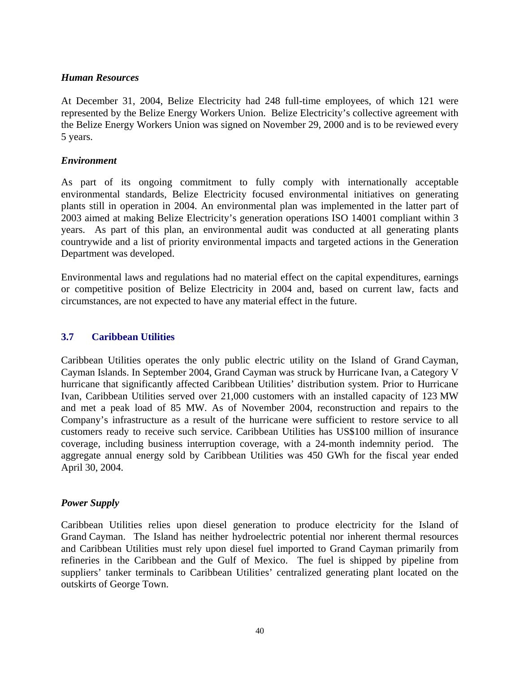#### *Human Resources*

At December 31, 2004, Belize Electricity had 248 full-time employees, of which 121 were represented by the Belize Energy Workers Union. Belize Electricity's collective agreement with the Belize Energy Workers Union was signed on November 29, 2000 and is to be reviewed every 5 years.

#### *Environment*

As part of its ongoing commitment to fully comply with internationally acceptable environmental standards, Belize Electricity focused environmental initiatives on generating plants still in operation in 2004. An environmental plan was implemented in the latter part of 2003 aimed at making Belize Electricity's generation operations ISO 14001 compliant within 3 years. As part of this plan, an environmental audit was conducted at all generating plants countrywide and a list of priority environmental impacts and targeted actions in the Generation Department was developed.

Environmental laws and regulations had no material effect on the capital expenditures, earnings or competitive position of Belize Electricity in 2004 and, based on current law, facts and circumstances, are not expected to have any material effect in the future.

#### **3.7 Caribbean Utilities**

Caribbean Utilities operates the only public electric utility on the Island of Grand Cayman, Cayman Islands. In September 2004, Grand Cayman was struck by Hurricane Ivan, a Category V hurricane that significantly affected Caribbean Utilities' distribution system. Prior to Hurricane Ivan, Caribbean Utilities served over 21,000 customers with an installed capacity of 123 MW and met a peak load of 85 MW. As of November 2004, reconstruction and repairs to the Company's infrastructure as a result of the hurricane were sufficient to restore service to all customers ready to receive such service. Caribbean Utilities has US\$100 million of insurance coverage, including business interruption coverage, with a 24-month indemnity period. The aggregate annual energy sold by Caribbean Utilities was 450 GWh for the fiscal year ended April 30, 2004.

#### *Power Supply*

Caribbean Utilities relies upon diesel generation to produce electricity for the Island of Grand Cayman. The Island has neither hydroelectric potential nor inherent thermal resources and Caribbean Utilities must rely upon diesel fuel imported to Grand Cayman primarily from refineries in the Caribbean and the Gulf of Mexico. The fuel is shipped by pipeline from suppliers' tanker terminals to Caribbean Utilities' centralized generating plant located on the outskirts of George Town.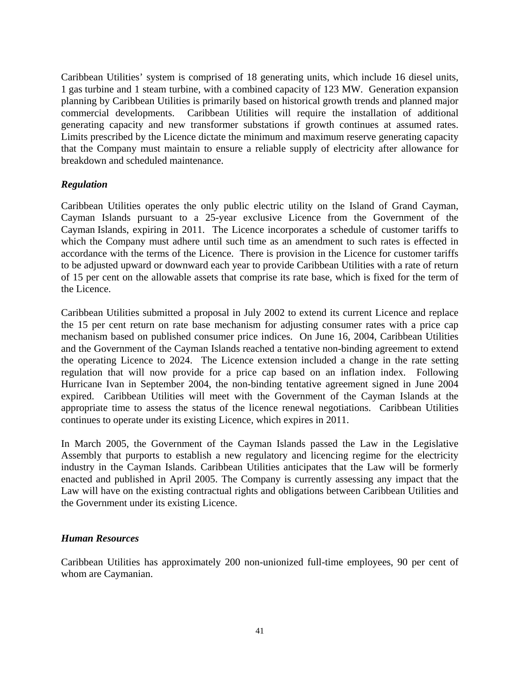Caribbean Utilities' system is comprised of 18 generating units, which include 16 diesel units, 1 gas turbine and 1 steam turbine, with a combined capacity of 123 MW. Generation expansion planning by Caribbean Utilities is primarily based on historical growth trends and planned major commercial developments. Caribbean Utilities will require the installation of additional generating capacity and new transformer substations if growth continues at assumed rates. Limits prescribed by the Licence dictate the minimum and maximum reserve generating capacity that the Company must maintain to ensure a reliable supply of electricity after allowance for breakdown and scheduled maintenance.

### *Regulation*

Caribbean Utilities operates the only public electric utility on the Island of Grand Cayman, Cayman Islands pursuant to a 25-year exclusive Licence from the Government of the Cayman Islands, expiring in 2011. The Licence incorporates a schedule of customer tariffs to which the Company must adhere until such time as an amendment to such rates is effected in accordance with the terms of the Licence. There is provision in the Licence for customer tariffs to be adjusted upward or downward each year to provide Caribbean Utilities with a rate of return of 15 per cent on the allowable assets that comprise its rate base, which is fixed for the term of the Licence.

Caribbean Utilities submitted a proposal in July 2002 to extend its current Licence and replace the 15 per cent return on rate base mechanism for adjusting consumer rates with a price cap mechanism based on published consumer price indices. On June 16, 2004, Caribbean Utilities and the Government of the Cayman Islands reached a tentative non-binding agreement to extend the operating Licence to 2024. The Licence extension included a change in the rate setting regulation that will now provide for a price cap based on an inflation index. Following Hurricane Ivan in September 2004, the non-binding tentative agreement signed in June 2004 expired. Caribbean Utilities will meet with the Government of the Cayman Islands at the appropriate time to assess the status of the licence renewal negotiations. Caribbean Utilities continues to operate under its existing Licence, which expires in 2011.

In March 2005, the Government of the Cayman Islands passed the Law in the Legislative Assembly that purports to establish a new regulatory and licencing regime for the electricity industry in the Cayman Islands. Caribbean Utilities anticipates that the Law will be formerly enacted and published in April 2005. The Company is currently assessing any impact that the Law will have on the existing contractual rights and obligations between Caribbean Utilities and the Government under its existing Licence.

#### *Human Resources*

Caribbean Utilities has approximately 200 non-unionized full-time employees, 90 per cent of whom are Caymanian.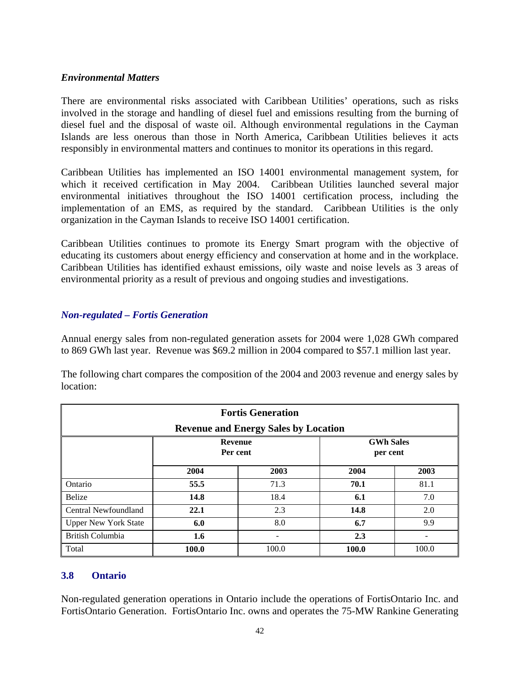#### *Environmental Matters*

There are environmental risks associated with Caribbean Utilities' operations, such as risks involved in the storage and handling of diesel fuel and emissions resulting from the burning of diesel fuel and the disposal of waste oil. Although environmental regulations in the Cayman Islands are less onerous than those in North America, Caribbean Utilities believes it acts responsibly in environmental matters and continues to monitor its operations in this regard.

Caribbean Utilities has implemented an ISO 14001 environmental management system, for which it received certification in May 2004. Caribbean Utilities launched several major environmental initiatives throughout the ISO 14001 certification process, including the implementation of an EMS, as required by the standard. Caribbean Utilities is the only organization in the Cayman Islands to receive ISO 14001 certification.

Caribbean Utilities continues to promote its Energy Smart program with the objective of educating its customers about energy efficiency and conservation at home and in the workplace. Caribbean Utilities has identified exhaust emissions, oily waste and noise levels as 3 areas of environmental priority as a result of previous and ongoing studies and investigations.

### *Non-regulated – Fortis Generation*

Annual energy sales from non-regulated generation assets for 2004 were 1,028 GWh compared to 869 GWh last year. Revenue was \$69.2 million in 2004 compared to \$57.1 million last year.

The following chart compares the composition of the 2004 and 2003 revenue and energy sales by location:

| <b>Fortis Generation</b><br><b>Revenue and Energy Sales by Location</b> |       |       |       |       |  |  |  |
|-------------------------------------------------------------------------|-------|-------|-------|-------|--|--|--|
| <b>GWh Sales</b><br><b>Revenue</b><br>Per cent<br>per cent              |       |       |       |       |  |  |  |
|                                                                         | 2004  | 2003  | 2004  | 2003  |  |  |  |
| Ontario                                                                 | 55.5  | 71.3  | 70.1  | 81.1  |  |  |  |
| Belize                                                                  | 14.8  | 18.4  | 6.1   | 7.0   |  |  |  |
| Central Newfoundland                                                    | 22.1  | 2.3   | 14.8  | 2.0   |  |  |  |
| <b>Upper New York State</b>                                             | 6.0   | 8.0   | 6.7   | 9.9   |  |  |  |
| British Columbia                                                        | 1.6   | 2.3   |       |       |  |  |  |
| Total                                                                   | 100.0 | 100.0 | 100.0 | 100.0 |  |  |  |

### **3.8 Ontario**

Non-regulated generation operations in Ontario include the operations of FortisOntario Inc. and FortisOntario Generation. FortisOntario Inc. owns and operates the 75-MW Rankine Generating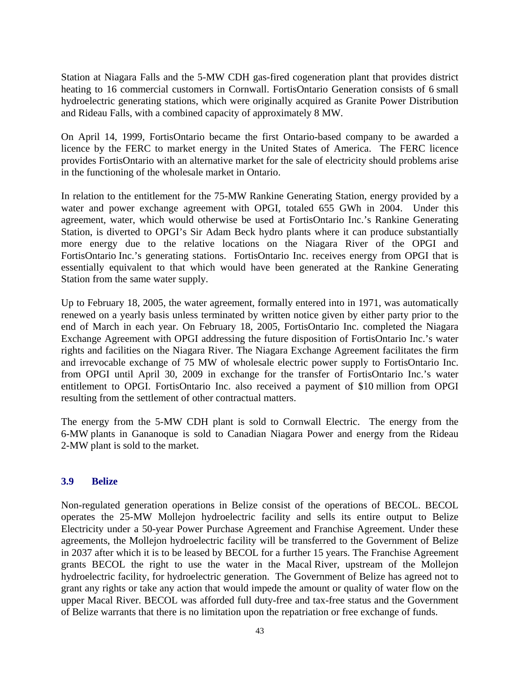Station at Niagara Falls and the 5-MW CDH gas-fired cogeneration plant that provides district heating to 16 commercial customers in Cornwall. FortisOntario Generation consists of 6 small hydroelectric generating stations, which were originally acquired as Granite Power Distribution and Rideau Falls, with a combined capacity of approximately 8 MW.

On April 14, 1999, FortisOntario became the first Ontario-based company to be awarded a licence by the FERC to market energy in the United States of America. The FERC licence provides FortisOntario with an alternative market for the sale of electricity should problems arise in the functioning of the wholesale market in Ontario.

In relation to the entitlement for the 75-MW Rankine Generating Station, energy provided by a water and power exchange agreement with OPGI, totaled 655 GWh in 2004. Under this agreement, water, which would otherwise be used at FortisOntario Inc.'s Rankine Generating Station, is diverted to OPGI's Sir Adam Beck hydro plants where it can produce substantially more energy due to the relative locations on the Niagara River of the OPGI and FortisOntario Inc.'s generating stations. FortisOntario Inc. receives energy from OPGI that is essentially equivalent to that which would have been generated at the Rankine Generating Station from the same water supply.

Up to February 18, 2005, the water agreement, formally entered into in 1971, was automatically renewed on a yearly basis unless terminated by written notice given by either party prior to the end of March in each year. On February 18, 2005, FortisOntario Inc. completed the Niagara Exchange Agreement with OPGI addressing the future disposition of FortisOntario Inc.'s water rights and facilities on the Niagara River. The Niagara Exchange Agreement facilitates the firm and irrevocable exchange of 75 MW of wholesale electric power supply to FortisOntario Inc. from OPGI until April 30, 2009 in exchange for the transfer of FortisOntario Inc.'s water entitlement to OPGI. FortisOntario Inc. also received a payment of \$10 million from OPGI resulting from the settlement of other contractual matters.

The energy from the 5-MW CDH plant is sold to Cornwall Electric. The energy from the 6-MW plants in Gananoque is sold to Canadian Niagara Power and energy from the Rideau 2-MW plant is sold to the market.

### **3.9 Belize**

Non-regulated generation operations in Belize consist of the operations of BECOL. BECOL operates the 25-MW Mollejon hydroelectric facility and sells its entire output to Belize Electricity under a 50-year Power Purchase Agreement and Franchise Agreement. Under these agreements, the Mollejon hydroelectric facility will be transferred to the Government of Belize in 2037 after which it is to be leased by BECOL for a further 15 years. The Franchise Agreement grants BECOL the right to use the water in the Macal River, upstream of the Mollejon hydroelectric facility, for hydroelectric generation. The Government of Belize has agreed not to grant any rights or take any action that would impede the amount or quality of water flow on the upper Macal River. BECOL was afforded full duty-free and tax-free status and the Government of Belize warrants that there is no limitation upon the repatriation or free exchange of funds.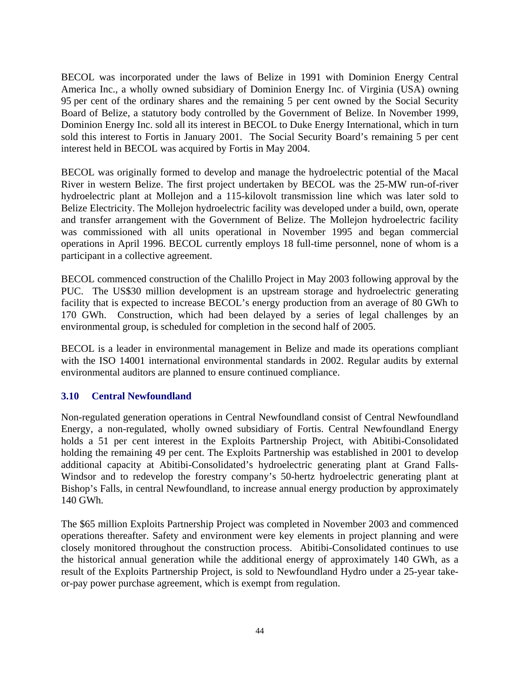BECOL was incorporated under the laws of Belize in 1991 with Dominion Energy Central America Inc., a wholly owned subsidiary of Dominion Energy Inc. of Virginia (USA) owning 95 per cent of the ordinary shares and the remaining 5 per cent owned by the Social Security Board of Belize, a statutory body controlled by the Government of Belize. In November 1999, Dominion Energy Inc. sold all its interest in BECOL to Duke Energy International, which in turn sold this interest to Fortis in January 2001. The Social Security Board's remaining 5 per cent interest held in BECOL was acquired by Fortis in May 2004.

BECOL was originally formed to develop and manage the hydroelectric potential of the Macal River in western Belize. The first project undertaken by BECOL was the 25-MW run-of-river hydroelectric plant at Mollejon and a 115-kilovolt transmission line which was later sold to Belize Electricity. The Mollejon hydroelectric facility was developed under a build, own, operate and transfer arrangement with the Government of Belize. The Mollejon hydroelectric facility was commissioned with all units operational in November 1995 and began commercial operations in April 1996. BECOL currently employs 18 full-time personnel, none of whom is a participant in a collective agreement.

BECOL commenced construction of the Chalillo Project in May 2003 following approval by the PUC. The US\$30 million development is an upstream storage and hydroelectric generating facility that is expected to increase BECOL's energy production from an average of 80 GWh to 170 GWh. Construction, which had been delayed by a series of legal challenges by an environmental group, is scheduled for completion in the second half of 2005.

BECOL is a leader in environmental management in Belize and made its operations compliant with the ISO 14001 international environmental standards in 2002. Regular audits by external environmental auditors are planned to ensure continued compliance.

### **3.10 Central Newfoundland**

Non-regulated generation operations in Central Newfoundland consist of Central Newfoundland Energy, a non-regulated, wholly owned subsidiary of Fortis. Central Newfoundland Energy holds a 51 per cent interest in the Exploits Partnership Project, with Abitibi-Consolidated holding the remaining 49 per cent. The Exploits Partnership was established in 2001 to develop additional capacity at Abitibi-Consolidated's hydroelectric generating plant at Grand Falls-Windsor and to redevelop the forestry company's 50-hertz hydroelectric generating plant at Bishop's Falls, in central Newfoundland, to increase annual energy production by approximately 140 GWh.

The \$65 million Exploits Partnership Project was completed in November 2003 and commenced operations thereafter. Safety and environment were key elements in project planning and were closely monitored throughout the construction process. Abitibi-Consolidated continues to use the historical annual generation while the additional energy of approximately 140 GWh, as a result of the Exploits Partnership Project, is sold to Newfoundland Hydro under a 25-year takeor-pay power purchase agreement, which is exempt from regulation.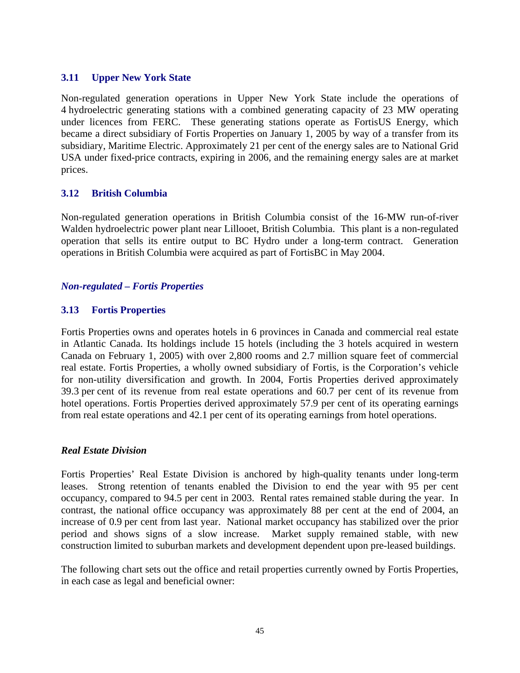### **3.11 Upper New York State**

Non-regulated generation operations in Upper New York State include the operations of 4 hydroelectric generating stations with a combined generating capacity of 23 MW operating under licences from FERC. These generating stations operate as FortisUS Energy, which became a direct subsidiary of Fortis Properties on January 1, 2005 by way of a transfer from its subsidiary, Maritime Electric. Approximately 21 per cent of the energy sales are to National Grid USA under fixed-price contracts, expiring in 2006, and the remaining energy sales are at market prices.

### **3.12 British Columbia**

Non-regulated generation operations in British Columbia consist of the 16-MW run-of-river Walden hydroelectric power plant near Lillooet, British Columbia. This plant is a non-regulated operation that sells its entire output to BC Hydro under a long-term contract. Generation operations in British Columbia were acquired as part of FortisBC in May 2004.

#### *Non-regulated – Fortis Properties*

### **3.13 Fortis Properties**

Fortis Properties owns and operates hotels in 6 provinces in Canada and commercial real estate in Atlantic Canada. Its holdings include 15 hotels (including the 3 hotels acquired in western Canada on February 1, 2005) with over 2,800 rooms and 2.7 million square feet of commercial real estate. Fortis Properties, a wholly owned subsidiary of Fortis, is the Corporation's vehicle for non-utility diversification and growth. In 2004, Fortis Properties derived approximately 39.3 per cent of its revenue from real estate operations and 60.7 per cent of its revenue from hotel operations. Fortis Properties derived approximately 57.9 per cent of its operating earnings from real estate operations and 42.1 per cent of its operating earnings from hotel operations.

#### *Real Estate Division*

Fortis Properties' Real Estate Division is anchored by high-quality tenants under long-term leases. Strong retention of tenants enabled the Division to end the year with 95 per cent occupancy, compared to 94.5 per cent in 2003. Rental rates remained stable during the year. In contrast, the national office occupancy was approximately 88 per cent at the end of 2004, an increase of 0.9 per cent from last year. National market occupancy has stabilized over the prior period and shows signs of a slow increase. Market supply remained stable, with new construction limited to suburban markets and development dependent upon pre-leased buildings.

The following chart sets out the office and retail properties currently owned by Fortis Properties, in each case as legal and beneficial owner: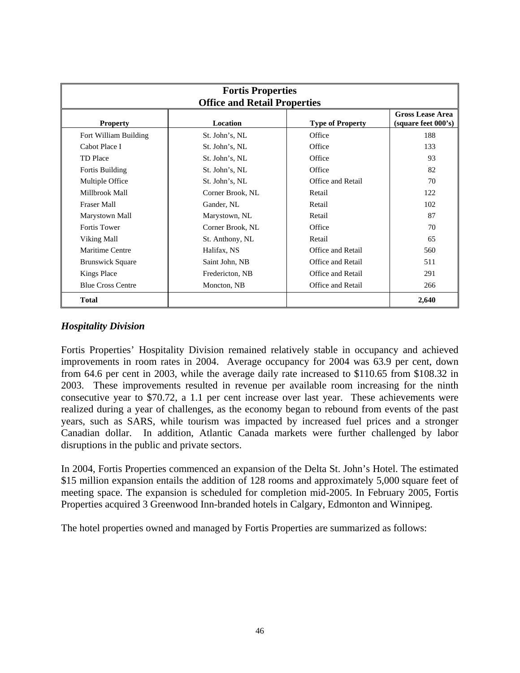| <b>Fortis Properties</b><br><b>Office and Retail Properties</b> |                  |                         |                                                |  |
|-----------------------------------------------------------------|------------------|-------------------------|------------------------------------------------|--|
| <b>Property</b>                                                 | Location         | <b>Type of Property</b> | <b>Gross Lease Area</b><br>(square feet 000's) |  |
| Fort William Building                                           | St. John's, NL   | Office                  | 188                                            |  |
| Cabot Place I                                                   | St. John's, NL   | Office                  | 133                                            |  |
| <b>TD</b> Place                                                 | St. John's, NL   | Office                  | 93                                             |  |
| Fortis Building                                                 | St. John's, NL   | Office                  | 82                                             |  |
| Multiple Office                                                 | St. John's, NL   | Office and Retail       | 70                                             |  |
| Millbrook Mall                                                  | Corner Brook, NL | Retail                  | 122                                            |  |
| <b>Fraser Mall</b>                                              | Gander, NL       | Retail                  | 102                                            |  |
| Marystown Mall                                                  | Marystown, NL    | Retail                  | 87                                             |  |
| <b>Fortis Tower</b>                                             | Corner Brook, NL | Office                  | 70                                             |  |
| Viking Mall                                                     | St. Anthony, NL  | Retail                  | 65                                             |  |
| Maritime Centre                                                 | Halifax, NS      | Office and Retail       | 560                                            |  |
| <b>Brunswick Square</b>                                         | Saint John, NB   | Office and Retail       | 511                                            |  |
| <b>Kings Place</b>                                              | Fredericton, NB  | Office and Retail       | 291                                            |  |
| <b>Blue Cross Centre</b>                                        | Moncton, NB      | Office and Retail       | 266                                            |  |
| <b>Total</b>                                                    |                  |                         | 2,640                                          |  |

### *Hospitality Division*

Fortis Properties' Hospitality Division remained relatively stable in occupancy and achieved improvements in room rates in 2004. Average occupancy for 2004 was 63.9 per cent, down from 64.6 per cent in 2003, while the average daily rate increased to \$110.65 from \$108.32 in 2003. These improvements resulted in revenue per available room increasing for the ninth consecutive year to \$70.72, a 1.1 per cent increase over last year. These achievements were realized during a year of challenges, as the economy began to rebound from events of the past years, such as SARS, while tourism was impacted by increased fuel prices and a stronger Canadian dollar. In addition, Atlantic Canada markets were further challenged by labor disruptions in the public and private sectors.

In 2004, Fortis Properties commenced an expansion of the Delta St. John's Hotel. The estimated \$15 million expansion entails the addition of 128 rooms and approximately 5,000 square feet of meeting space. The expansion is scheduled for completion mid-2005. In February 2005, Fortis Properties acquired 3 Greenwood Inn-branded hotels in Calgary, Edmonton and Winnipeg.

The hotel properties owned and managed by Fortis Properties are summarized as follows: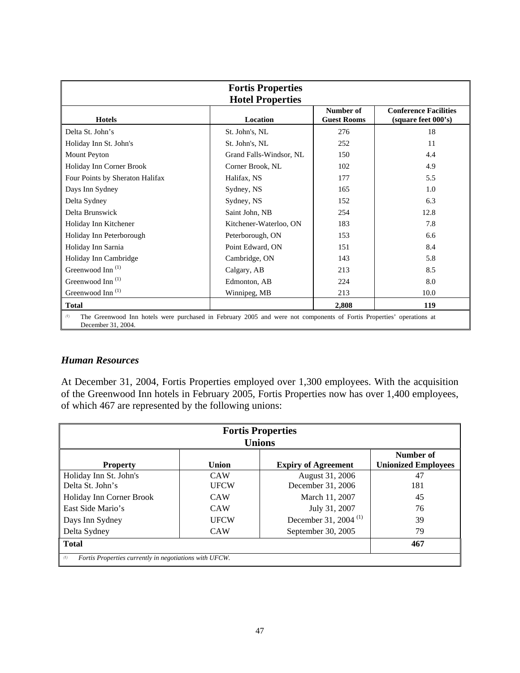| <b>Fortis Properties</b><br><b>Hotel Properties</b>                                                                                               |                         |                                 |                                                     |  |  |
|---------------------------------------------------------------------------------------------------------------------------------------------------|-------------------------|---------------------------------|-----------------------------------------------------|--|--|
| <b>Hotels</b>                                                                                                                                     | Location                | Number of<br><b>Guest Rooms</b> | <b>Conference Facilities</b><br>(square feet 000's) |  |  |
| Delta St. John's                                                                                                                                  | St. John's, NL          | 276                             | 18                                                  |  |  |
| Holiday Inn St. John's                                                                                                                            | St. John's, NL          | 252                             | 11                                                  |  |  |
| Mount Peyton                                                                                                                                      | Grand Falls-Windsor, NL | 150                             | 4.4                                                 |  |  |
| Holiday Inn Corner Brook                                                                                                                          | Corner Brook, NL        | 102                             | 4.9                                                 |  |  |
| Four Points by Sheraton Halifax                                                                                                                   | Halifax, NS             | 177                             | 5.5                                                 |  |  |
| Days Inn Sydney                                                                                                                                   | Sydney, NS              | 165                             | 1.0                                                 |  |  |
| Delta Sydney                                                                                                                                      | Sydney, NS              | 152                             | 6.3                                                 |  |  |
| Delta Brunswick                                                                                                                                   | Saint John, NB          | 254                             | 12.8                                                |  |  |
| Holiday Inn Kitchener                                                                                                                             | Kitchener-Waterloo, ON  | 183                             | 7.8                                                 |  |  |
| Holiday Inn Peterborough                                                                                                                          | Peterborough, ON        | 153                             | 6.6                                                 |  |  |
| Holiday Inn Sarnia                                                                                                                                | Point Edward, ON        | 151                             | 8.4                                                 |  |  |
| Holiday Inn Cambridge                                                                                                                             | Cambridge, ON           | 143                             | 5.8                                                 |  |  |
| Greenwood Inn <sup>(1)</sup>                                                                                                                      | Calgary, AB             | 213                             | 8.5                                                 |  |  |
| Greenwood Inn <sup>(1)</sup>                                                                                                                      | Edmonton, AB            | 224                             | 8.0                                                 |  |  |
| Greenwood Inn <sup>(1)</sup>                                                                                                                      | Winnipeg, MB            | 213                             | 10.0                                                |  |  |
| <b>Total</b>                                                                                                                                      |                         | 2,808                           | 119                                                 |  |  |
| The Greenwood Inn hotels were purchased in February 2005 and were not components of Fortis Properties' operations at<br>(1)<br>December 31, 2004. |                         |                                 |                                                     |  |  |

#### *Human Resources*

At December 31, 2004, Fortis Properties employed over 1,300 employees. With the acquisition of the Greenwood Inn hotels in February 2005, Fortis Properties now has over 1,400 employees, of which 467 are represented by the following unions:

| <b>Fortis Properties</b><br><b>Unions</b>                                                         |             |                         |     |  |  |  |
|---------------------------------------------------------------------------------------------------|-------------|-------------------------|-----|--|--|--|
| Number of<br><b>Unionized Employees</b><br>Union<br><b>Expiry of Agreement</b><br><b>Property</b> |             |                         |     |  |  |  |
| Holiday Inn St. John's                                                                            | <b>CAW</b>  | August 31, 2006         | 47  |  |  |  |
| Delta St. John's                                                                                  | <b>UFCW</b> | December 31, 2006       | 181 |  |  |  |
| Holiday Inn Corner Brook                                                                          | <b>CAW</b>  | March 11, 2007          | 45  |  |  |  |
| East Side Mario's                                                                                 | <b>CAW</b>  | July 31, 2007           | 76  |  |  |  |
| Days Inn Sydney                                                                                   | <b>UFCW</b> | December 31, 2004 $(1)$ | 39  |  |  |  |
| Delta Sydney                                                                                      | <b>CAW</b>  | September 30, 2005      | 79  |  |  |  |
| Total<br>467                                                                                      |             |                         |     |  |  |  |
| (1)<br>Fortis Properties currently in negotiations with UFCW.                                     |             |                         |     |  |  |  |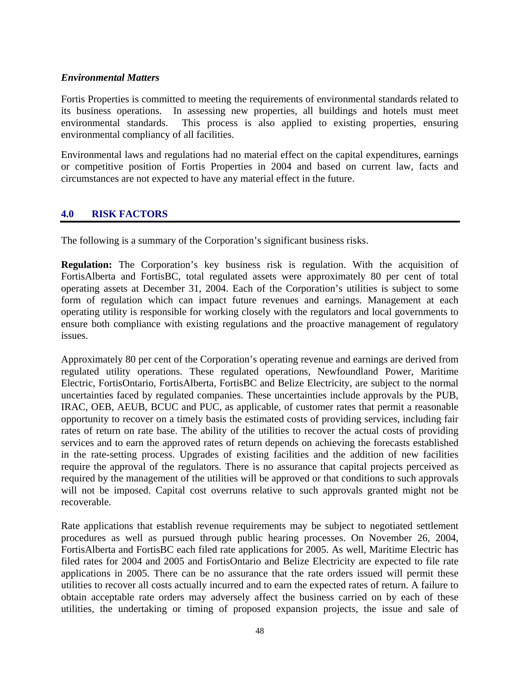### *Environmental Matters*

Fortis Properties is committed to meeting the requirements of environmental standards related to its business operations. In assessing new properties, all buildings and hotels must meet environmental standards. This process is also applied to existing properties, ensuring environmental compliancy of all facilities.

Environmental laws and regulations had no material effect on the capital expenditures, earnings or competitive position of Fortis Properties in 2004 and based on current law, facts and circumstances are not expected to have any material effect in the future.

### **4.0 RISK FACTORS**

The following is a summary of the Corporation's significant business risks.

**Regulation:** The Corporation's key business risk is regulation. With the acquisition of FortisAlberta and FortisBC, total regulated assets were approximately 80 per cent of total operating assets at December 31, 2004. Each of the Corporation's utilities is subject to some form of regulation which can impact future revenues and earnings. Management at each operating utility is responsible for working closely with the regulators and local governments to ensure both compliance with existing regulations and the proactive management of regulatory issues.

Approximately 80 per cent of the Corporation's operating revenue and earnings are derived from regulated utility operations. These regulated operations, Newfoundland Power, Maritime Electric, FortisOntario, FortisAlberta, FortisBC and Belize Electricity, are subject to the normal uncertainties faced by regulated companies. These uncertainties include approvals by the PUB, IRAC, OEB, AEUB, BCUC and PUC, as applicable, of customer rates that permit a reasonable opportunity to recover on a timely basis the estimated costs of providing services, including fair rates of return on rate base. The ability of the utilities to recover the actual costs of providing services and to earn the approved rates of return depends on achieving the forecasts established in the rate-setting process. Upgrades of existing facilities and the addition of new facilities require the approval of the regulators. There is no assurance that capital projects perceived as required by the management of the utilities will be approved or that conditions to such approvals will not be imposed. Capital cost overruns relative to such approvals granted might not be recoverable.

Rate applications that establish revenue requirements may be subject to negotiated settlement procedures as well as pursued through public hearing processes. On November 26, 2004, FortisAlberta and FortisBC each filed rate applications for 2005. As well, Maritime Electric has filed rates for 2004 and 2005 and FortisOntario and Belize Electricity are expected to file rate applications in 2005. There can be no assurance that the rate orders issued will permit these utilities to recover all costs actually incurred and to earn the expected rates of return. A failure to obtain acceptable rate orders may adversely affect the business carried on by each of these utilities, the undertaking or timing of proposed expansion projects, the issue and sale of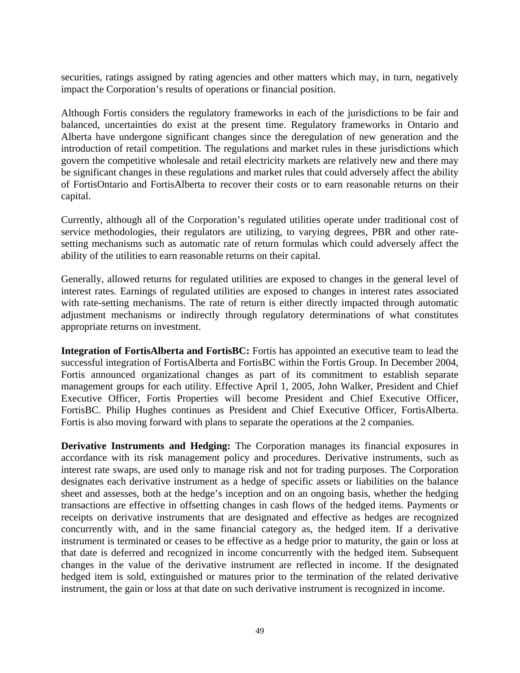securities, ratings assigned by rating agencies and other matters which may, in turn, negatively impact the Corporation's results of operations or financial position.

Although Fortis considers the regulatory frameworks in each of the jurisdictions to be fair and balanced, uncertainties do exist at the present time. Regulatory frameworks in Ontario and Alberta have undergone significant changes since the deregulation of new generation and the introduction of retail competition. The regulations and market rules in these jurisdictions which govern the competitive wholesale and retail electricity markets are relatively new and there may be significant changes in these regulations and market rules that could adversely affect the ability of FortisOntario and FortisAlberta to recover their costs or to earn reasonable returns on their capital.

Currently, although all of the Corporation's regulated utilities operate under traditional cost of service methodologies, their regulators are utilizing, to varying degrees, PBR and other ratesetting mechanisms such as automatic rate of return formulas which could adversely affect the ability of the utilities to earn reasonable returns on their capital.

Generally, allowed returns for regulated utilities are exposed to changes in the general level of interest rates. Earnings of regulated utilities are exposed to changes in interest rates associated with rate-setting mechanisms. The rate of return is either directly impacted through automatic adjustment mechanisms or indirectly through regulatory determinations of what constitutes appropriate returns on investment.

**Integration of FortisAlberta and FortisBC:** Fortis has appointed an executive team to lead the successful integration of FortisAlberta and FortisBC within the Fortis Group. In December 2004, Fortis announced organizational changes as part of its commitment to establish separate management groups for each utility. Effective April 1, 2005, John Walker, President and Chief Executive Officer, Fortis Properties will become President and Chief Executive Officer, FortisBC. Philip Hughes continues as President and Chief Executive Officer, FortisAlberta. Fortis is also moving forward with plans to separate the operations at the 2 companies.

**Derivative Instruments and Hedging:** The Corporation manages its financial exposures in accordance with its risk management policy and procedures. Derivative instruments, such as interest rate swaps, are used only to manage risk and not for trading purposes. The Corporation designates each derivative instrument as a hedge of specific assets or liabilities on the balance sheet and assesses, both at the hedge's inception and on an ongoing basis, whether the hedging transactions are effective in offsetting changes in cash flows of the hedged items. Payments or receipts on derivative instruments that are designated and effective as hedges are recognized concurrently with, and in the same financial category as, the hedged item. If a derivative instrument is terminated or ceases to be effective as a hedge prior to maturity, the gain or loss at that date is deferred and recognized in income concurrently with the hedged item. Subsequent changes in the value of the derivative instrument are reflected in income. If the designated hedged item is sold, extinguished or matures prior to the termination of the related derivative instrument, the gain or loss at that date on such derivative instrument is recognized in income.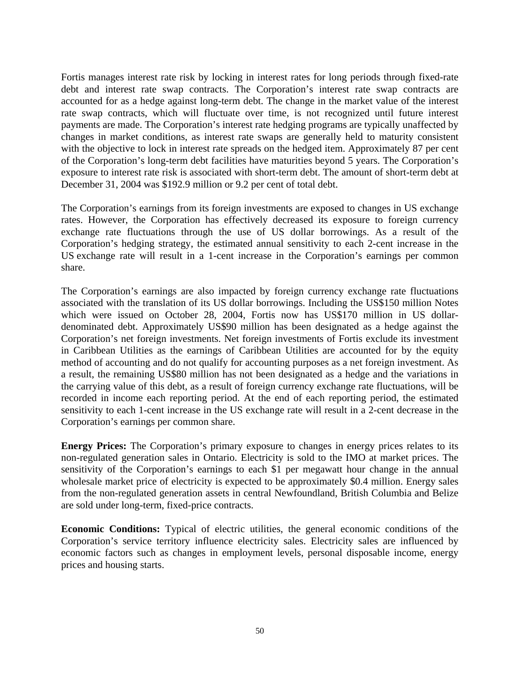Fortis manages interest rate risk by locking in interest rates for long periods through fixed-rate debt and interest rate swap contracts. The Corporation's interest rate swap contracts are accounted for as a hedge against long-term debt. The change in the market value of the interest rate swap contracts, which will fluctuate over time, is not recognized until future interest payments are made. The Corporation's interest rate hedging programs are typically unaffected by changes in market conditions, as interest rate swaps are generally held to maturity consistent with the objective to lock in interest rate spreads on the hedged item. Approximately 87 per cent of the Corporation's long-term debt facilities have maturities beyond 5 years. The Corporation's exposure to interest rate risk is associated with short-term debt. The amount of short-term debt at December 31, 2004 was \$192.9 million or 9.2 per cent of total debt.

The Corporation's earnings from its foreign investments are exposed to changes in US exchange rates. However, the Corporation has effectively decreased its exposure to foreign currency exchange rate fluctuations through the use of US dollar borrowings. As a result of the Corporation's hedging strategy, the estimated annual sensitivity to each 2-cent increase in the US exchange rate will result in a 1-cent increase in the Corporation's earnings per common share.

The Corporation's earnings are also impacted by foreign currency exchange rate fluctuations associated with the translation of its US dollar borrowings. Including the US\$150 million Notes which were issued on October 28, 2004, Fortis now has US\$170 million in US dollardenominated debt. Approximately US\$90 million has been designated as a hedge against the Corporation's net foreign investments. Net foreign investments of Fortis exclude its investment in Caribbean Utilities as the earnings of Caribbean Utilities are accounted for by the equity method of accounting and do not qualify for accounting purposes as a net foreign investment. As a result, the remaining US\$80 million has not been designated as a hedge and the variations in the carrying value of this debt, as a result of foreign currency exchange rate fluctuations, will be recorded in income each reporting period. At the end of each reporting period, the estimated sensitivity to each 1-cent increase in the US exchange rate will result in a 2-cent decrease in the Corporation's earnings per common share.

**Energy Prices:** The Corporation's primary exposure to changes in energy prices relates to its non-regulated generation sales in Ontario. Electricity is sold to the IMO at market prices. The sensitivity of the Corporation's earnings to each \$1 per megawatt hour change in the annual wholesale market price of electricity is expected to be approximately \$0.4 million. Energy sales from the non-regulated generation assets in central Newfoundland, British Columbia and Belize are sold under long-term, fixed-price contracts.

**Economic Conditions:** Typical of electric utilities, the general economic conditions of the Corporation's service territory influence electricity sales. Electricity sales are influenced by economic factors such as changes in employment levels, personal disposable income, energy prices and housing starts.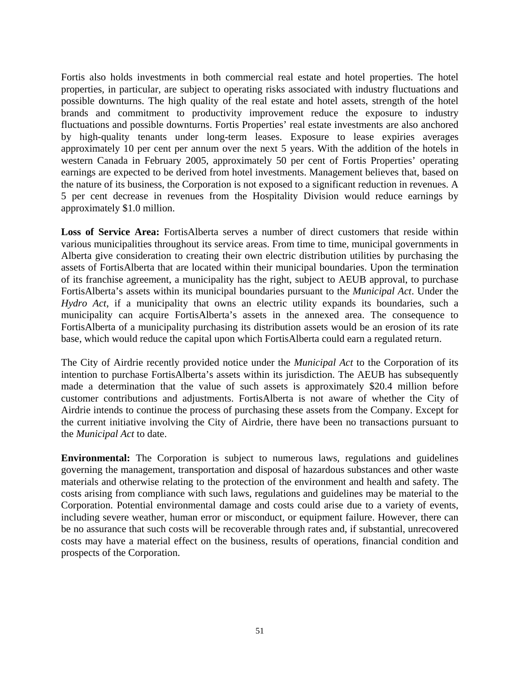Fortis also holds investments in both commercial real estate and hotel properties. The hotel properties, in particular, are subject to operating risks associated with industry fluctuations and possible downturns. The high quality of the real estate and hotel assets, strength of the hotel brands and commitment to productivity improvement reduce the exposure to industry fluctuations and possible downturns. Fortis Properties' real estate investments are also anchored by high-quality tenants under long-term leases. Exposure to lease expiries averages approximately 10 per cent per annum over the next 5 years. With the addition of the hotels in western Canada in February 2005, approximately 50 per cent of Fortis Properties' operating earnings are expected to be derived from hotel investments. Management believes that, based on the nature of its business, the Corporation is not exposed to a significant reduction in revenues. A 5 per cent decrease in revenues from the Hospitality Division would reduce earnings by approximately \$1.0 million.

**Loss of Service Area:** FortisAlberta serves a number of direct customers that reside within various municipalities throughout its service areas. From time to time, municipal governments in Alberta give consideration to creating their own electric distribution utilities by purchasing the assets of FortisAlberta that are located within their municipal boundaries. Upon the termination of its franchise agreement, a municipality has the right, subject to AEUB approval, to purchase FortisAlberta's assets within its municipal boundaries pursuant to the *Municipal Act*. Under the *Hydro Act*, if a municipality that owns an electric utility expands its boundaries, such a municipality can acquire FortisAlberta's assets in the annexed area. The consequence to FortisAlberta of a municipality purchasing its distribution assets would be an erosion of its rate base, which would reduce the capital upon which FortisAlberta could earn a regulated return.

The City of Airdrie recently provided notice under the *Municipal Act* to the Corporation of its intention to purchase FortisAlberta's assets within its jurisdiction. The AEUB has subsequently made a determination that the value of such assets is approximately \$20.4 million before customer contributions and adjustments. FortisAlberta is not aware of whether the City of Airdrie intends to continue the process of purchasing these assets from the Company. Except for the current initiative involving the City of Airdrie, there have been no transactions pursuant to the *Municipal Act* to date.

**Environmental:** The Corporation is subject to numerous laws, regulations and guidelines governing the management, transportation and disposal of hazardous substances and other waste materials and otherwise relating to the protection of the environment and health and safety. The costs arising from compliance with such laws, regulations and guidelines may be material to the Corporation. Potential environmental damage and costs could arise due to a variety of events, including severe weather, human error or misconduct, or equipment failure. However, there can be no assurance that such costs will be recoverable through rates and, if substantial, unrecovered costs may have a material effect on the business, results of operations, financial condition and prospects of the Corporation.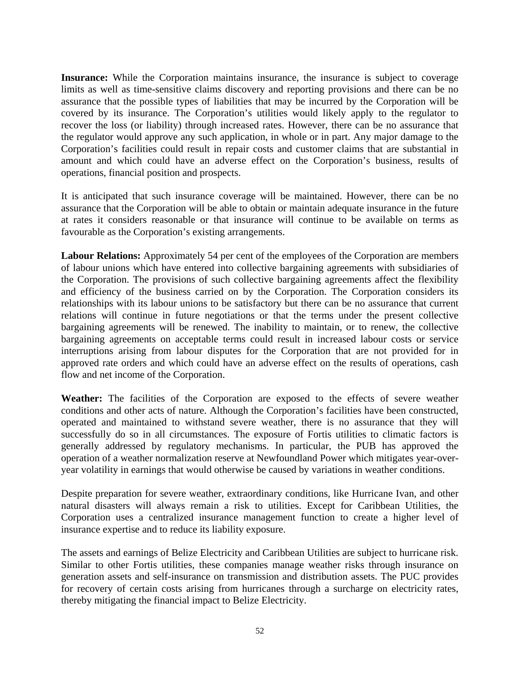**Insurance:** While the Corporation maintains insurance, the insurance is subject to coverage limits as well as time-sensitive claims discovery and reporting provisions and there can be no assurance that the possible types of liabilities that may be incurred by the Corporation will be covered by its insurance. The Corporation's utilities would likely apply to the regulator to recover the loss (or liability) through increased rates. However, there can be no assurance that the regulator would approve any such application, in whole or in part. Any major damage to the Corporation's facilities could result in repair costs and customer claims that are substantial in amount and which could have an adverse effect on the Corporation's business, results of operations, financial position and prospects.

It is anticipated that such insurance coverage will be maintained. However, there can be no assurance that the Corporation will be able to obtain or maintain adequate insurance in the future at rates it considers reasonable or that insurance will continue to be available on terms as favourable as the Corporation's existing arrangements.

**Labour Relations:** Approximately 54 per cent of the employees of the Corporation are members of labour unions which have entered into collective bargaining agreements with subsidiaries of the Corporation. The provisions of such collective bargaining agreements affect the flexibility and efficiency of the business carried on by the Corporation. The Corporation considers its relationships with its labour unions to be satisfactory but there can be no assurance that current relations will continue in future negotiations or that the terms under the present collective bargaining agreements will be renewed. The inability to maintain, or to renew, the collective bargaining agreements on acceptable terms could result in increased labour costs or service interruptions arising from labour disputes for the Corporation that are not provided for in approved rate orders and which could have an adverse effect on the results of operations, cash flow and net income of the Corporation.

**Weather:** The facilities of the Corporation are exposed to the effects of severe weather conditions and other acts of nature. Although the Corporation's facilities have been constructed, operated and maintained to withstand severe weather, there is no assurance that they will successfully do so in all circumstances. The exposure of Fortis utilities to climatic factors is generally addressed by regulatory mechanisms. In particular, the PUB has approved the operation of a weather normalization reserve at Newfoundland Power which mitigates year-overyear volatility in earnings that would otherwise be caused by variations in weather conditions.

Despite preparation for severe weather, extraordinary conditions, like Hurricane Ivan, and other natural disasters will always remain a risk to utilities. Except for Caribbean Utilities, the Corporation uses a centralized insurance management function to create a higher level of insurance expertise and to reduce its liability exposure.

The assets and earnings of Belize Electricity and Caribbean Utilities are subject to hurricane risk. Similar to other Fortis utilities, these companies manage weather risks through insurance on generation assets and self-insurance on transmission and distribution assets. The PUC provides for recovery of certain costs arising from hurricanes through a surcharge on electricity rates, thereby mitigating the financial impact to Belize Electricity.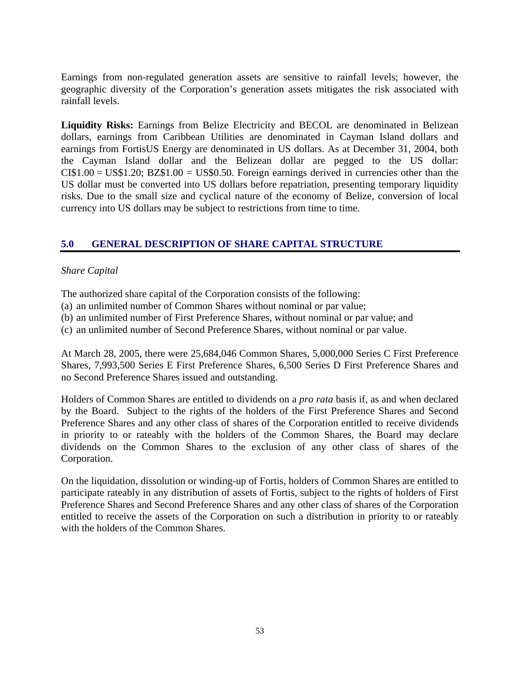Earnings from non-regulated generation assets are sensitive to rainfall levels; however, the geographic diversity of the Corporation's generation assets mitigates the risk associated with rainfall levels.

**Liquidity Risks:** Earnings from Belize Electricity and BECOL are denominated in Belizean dollars, earnings from Caribbean Utilities are denominated in Cayman Island dollars and earnings from FortisUS Energy are denominated in US dollars. As at December 31, 2004, both the Cayman Island dollar and the Belizean dollar are pegged to the US dollar:  $CI$1.00 = US$1.20; BZ$1.00 = US$0.50. Foreign earnings derived in currencies other than the$ US dollar must be converted into US dollars before repatriation, presenting temporary liquidity risks. Due to the small size and cyclical nature of the economy of Belize, conversion of local currency into US dollars may be subject to restrictions from time to time.

# **5.0 GENERAL DESCRIPTION OF SHARE CAPITAL STRUCTURE**

### *Share Capital*

The authorized share capital of the Corporation consists of the following:

- (a) an unlimited number of Common Shares without nominal or par value;
- (b) an unlimited number of First Preference Shares, without nominal or par value; and
- (c) an unlimited number of Second Preference Shares, without nominal or par value.

At March 28, 2005, there were 25,684,046 Common Shares, 5,000,000 Series C First Preference Shares, 7,993,500 Series E First Preference Shares, 6,500 Series D First Preference Shares and no Second Preference Shares issued and outstanding.

Holders of Common Shares are entitled to dividends on a *pro rata* basis if, as and when declared by the Board. Subject to the rights of the holders of the First Preference Shares and Second Preference Shares and any other class of shares of the Corporation entitled to receive dividends in priority to or rateably with the holders of the Common Shares, the Board may declare dividends on the Common Shares to the exclusion of any other class of shares of the Corporation.

On the liquidation, dissolution or winding-up of Fortis, holders of Common Shares are entitled to participate rateably in any distribution of assets of Fortis, subject to the rights of holders of First Preference Shares and Second Preference Shares and any other class of shares of the Corporation entitled to receive the assets of the Corporation on such a distribution in priority to or rateably with the holders of the Common Shares.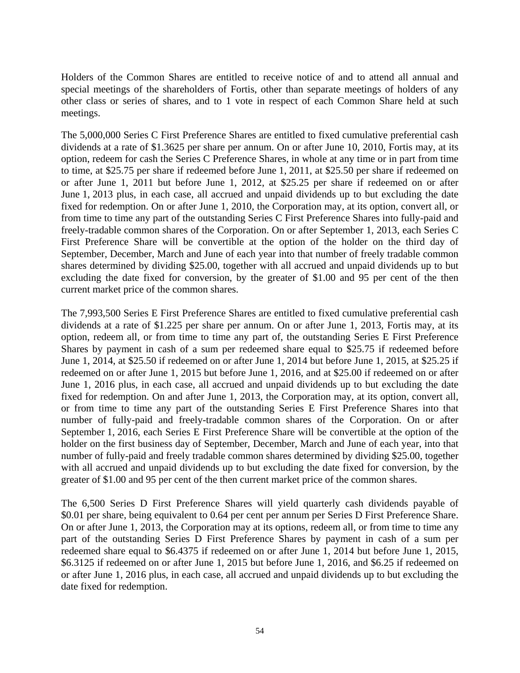Holders of the Common Shares are entitled to receive notice of and to attend all annual and special meetings of the shareholders of Fortis, other than separate meetings of holders of any other class or series of shares, and to 1 vote in respect of each Common Share held at such meetings.

The 5,000,000 Series C First Preference Shares are entitled to fixed cumulative preferential cash dividends at a rate of \$1.3625 per share per annum. On or after June 10, 2010, Fortis may, at its option, redeem for cash the Series C Preference Shares, in whole at any time or in part from time to time, at \$25.75 per share if redeemed before June 1, 2011, at \$25.50 per share if redeemed on or after June 1, 2011 but before June 1, 2012, at \$25.25 per share if redeemed on or after June 1, 2013 plus, in each case, all accrued and unpaid dividends up to but excluding the date fixed for redemption. On or after June 1, 2010, the Corporation may, at its option, convert all, or from time to time any part of the outstanding Series C First Preference Shares into fully-paid and freely-tradable common shares of the Corporation. On or after September 1, 2013, each Series C First Preference Share will be convertible at the option of the holder on the third day of September, December, March and June of each year into that number of freely tradable common shares determined by dividing \$25.00, together with all accrued and unpaid dividends up to but excluding the date fixed for conversion, by the greater of \$1.00 and 95 per cent of the then current market price of the common shares.

The 7,993,500 Series E First Preference Shares are entitled to fixed cumulative preferential cash dividends at a rate of \$1.225 per share per annum. On or after June 1, 2013, Fortis may, at its option, redeem all, or from time to time any part of, the outstanding Series E First Preference Shares by payment in cash of a sum per redeemed share equal to \$25.75 if redeemed before June 1, 2014, at \$25.50 if redeemed on or after June 1, 2014 but before June 1, 2015, at \$25.25 if redeemed on or after June 1, 2015 but before June 1, 2016, and at \$25.00 if redeemed on or after June 1, 2016 plus, in each case, all accrued and unpaid dividends up to but excluding the date fixed for redemption. On and after June 1, 2013, the Corporation may, at its option, convert all, or from time to time any part of the outstanding Series E First Preference Shares into that number of fully-paid and freely-tradable common shares of the Corporation. On or after September 1, 2016, each Series E First Preference Share will be convertible at the option of the holder on the first business day of September, December, March and June of each year, into that number of fully-paid and freely tradable common shares determined by dividing \$25.00, together with all accrued and unpaid dividends up to but excluding the date fixed for conversion, by the greater of \$1.00 and 95 per cent of the then current market price of the common shares.

The 6,500 Series D First Preference Shares will yield quarterly cash dividends payable of \$0.01 per share, being equivalent to 0.64 per cent per annum per Series D First Preference Share. On or after June 1, 2013, the Corporation may at its options, redeem all, or from time to time any part of the outstanding Series D First Preference Shares by payment in cash of a sum per redeemed share equal to \$6.4375 if redeemed on or after June 1, 2014 but before June 1, 2015, \$6.3125 if redeemed on or after June 1, 2015 but before June 1, 2016, and \$6.25 if redeemed on or after June 1, 2016 plus, in each case, all accrued and unpaid dividends up to but excluding the date fixed for redemption.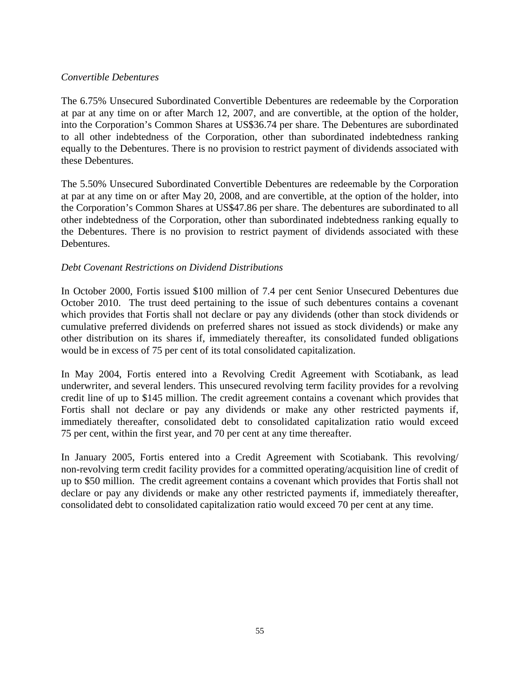#### *Convertible Debentures*

The 6.75% Unsecured Subordinated Convertible Debentures are redeemable by the Corporation at par at any time on or after March 12, 2007, and are convertible, at the option of the holder, into the Corporation's Common Shares at US\$36.74 per share. The Debentures are subordinated to all other indebtedness of the Corporation, other than subordinated indebtedness ranking equally to the Debentures. There is no provision to restrict payment of dividends associated with these Debentures.

The 5.50% Unsecured Subordinated Convertible Debentures are redeemable by the Corporation at par at any time on or after May 20, 2008, and are convertible, at the option of the holder, into the Corporation's Common Shares at US\$47.86 per share. The debentures are subordinated to all other indebtedness of the Corporation, other than subordinated indebtedness ranking equally to the Debentures. There is no provision to restrict payment of dividends associated with these Debentures.

### *Debt Covenant Restrictions on Dividend Distributions*

In October 2000, Fortis issued \$100 million of 7.4 per cent Senior Unsecured Debentures due October 2010. The trust deed pertaining to the issue of such debentures contains a covenant which provides that Fortis shall not declare or pay any dividends (other than stock dividends or cumulative preferred dividends on preferred shares not issued as stock dividends) or make any other distribution on its shares if, immediately thereafter, its consolidated funded obligations would be in excess of 75 per cent of its total consolidated capitalization.

In May 2004, Fortis entered into a Revolving Credit Agreement with Scotiabank, as lead underwriter, and several lenders. This unsecured revolving term facility provides for a revolving credit line of up to \$145 million. The credit agreement contains a covenant which provides that Fortis shall not declare or pay any dividends or make any other restricted payments if, immediately thereafter, consolidated debt to consolidated capitalization ratio would exceed 75 per cent, within the first year, and 70 per cent at any time thereafter.

In January 2005, Fortis entered into a Credit Agreement with Scotiabank. This revolving/ non-revolving term credit facility provides for a committed operating/acquisition line of credit of up to \$50 million. The credit agreement contains a covenant which provides that Fortis shall not declare or pay any dividends or make any other restricted payments if, immediately thereafter, consolidated debt to consolidated capitalization ratio would exceed 70 per cent at any time.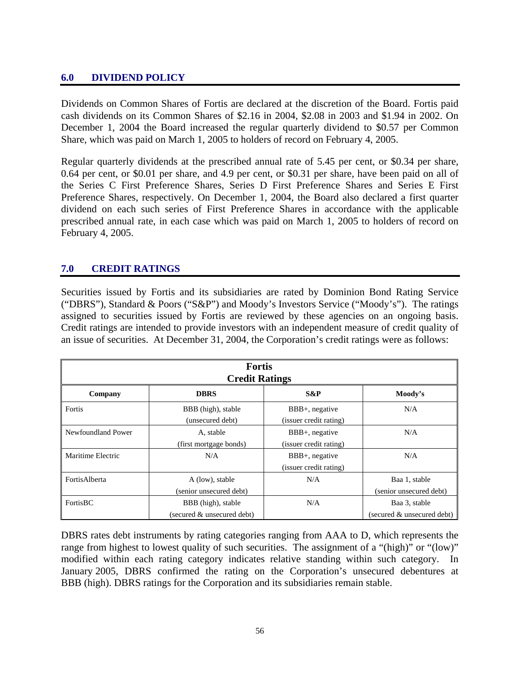# **6.0 DIVIDEND POLICY**

Dividends on Common Shares of Fortis are declared at the discretion of the Board. Fortis paid cash dividends on its Common Shares of \$2.16 in 2004, \$2.08 in 2003 and \$1.94 in 2002. On December 1, 2004 the Board increased the regular quarterly dividend to \$0.57 per Common Share, which was paid on March 1, 2005 to holders of record on February 4, 2005.

Regular quarterly dividends at the prescribed annual rate of 5.45 per cent, or \$0.34 per share, 0.64 per cent, or \$0.01 per share, and 4.9 per cent, or \$0.31 per share, have been paid on all of the Series C First Preference Shares, Series D First Preference Shares and Series E First Preference Shares, respectively. On December 1, 2004, the Board also declared a first quarter dividend on each such series of First Preference Shares in accordance with the applicable prescribed annual rate, in each case which was paid on March 1, 2005 to holders of record on February 4, 2005.

# **7.0 CREDIT RATINGS**

Securities issued by Fortis and its subsidiaries are rated by Dominion Bond Rating Service ("DBRS"), Standard & Poors ("S&P") and Moody's Investors Service ("Moody's"). The ratings assigned to securities issued by Fortis are reviewed by these agencies on an ongoing basis. Credit ratings are intended to provide investors with an independent measure of credit quality of an issue of securities. At December 31, 2004, the Corporation's credit ratings were as follows:

| <b>Fortis</b><br><b>Credit Ratings</b> |                                                  |                                             |                                             |  |
|----------------------------------------|--------------------------------------------------|---------------------------------------------|---------------------------------------------|--|
| Company                                | <b>DBRS</b>                                      | $S\&P$                                      | Moody's                                     |  |
| Fortis                                 | BBB (high), stable<br>(unsecured debt)           | $BBB+$ , negative<br>(issuer credit rating) | N/A                                         |  |
| Newfoundland Power                     | A, stable<br>(first mortgage bonds)              | $BBB+$ , negative<br>(issuer credit rating) | N/A                                         |  |
| Maritime Electric                      | N/A                                              | $BBB+$ , negative<br>(issuer credit rating) | N/A                                         |  |
| FortisAlberta                          | A (low), stable<br>(senior unsecured debt)       | N/A                                         | Baa 1, stable<br>(senior unsecured debt)    |  |
| FortisBC                               | BBB (high), stable<br>(secured & unsecured debt) | N/A                                         | Baa 3, stable<br>(secured & unsecured debt) |  |

DBRS rates debt instruments by rating categories ranging from AAA to D, which represents the range from highest to lowest quality of such securities. The assignment of a "(high)" or "(low)" modified within each rating category indicates relative standing within such category. In January 2005, DBRS confirmed the rating on the Corporation's unsecured debentures at BBB (high). DBRS ratings for the Corporation and its subsidiaries remain stable.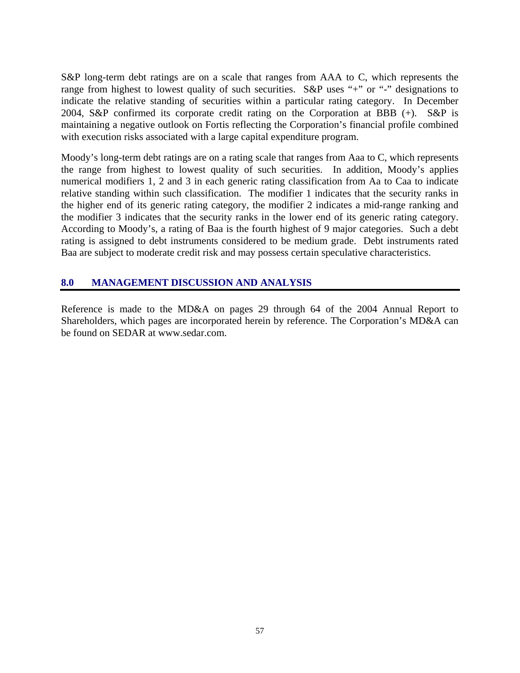S&P long-term debt ratings are on a scale that ranges from AAA to C, which represents the range from highest to lowest quality of such securities. S&P uses "+" or "-" designations to indicate the relative standing of securities within a particular rating category. In December 2004, S&P confirmed its corporate credit rating on the Corporation at BBB (+). S&P is maintaining a negative outlook on Fortis reflecting the Corporation's financial profile combined with execution risks associated with a large capital expenditure program.

Moody's long-term debt ratings are on a rating scale that ranges from Aaa to C, which represents the range from highest to lowest quality of such securities. In addition, Moody's applies numerical modifiers 1, 2 and 3 in each generic rating classification from Aa to Caa to indicate relative standing within such classification. The modifier 1 indicates that the security ranks in the higher end of its generic rating category, the modifier 2 indicates a mid-range ranking and the modifier 3 indicates that the security ranks in the lower end of its generic rating category. According to Moody's, a rating of Baa is the fourth highest of 9 major categories. Such a debt rating is assigned to debt instruments considered to be medium grade. Debt instruments rated Baa are subject to moderate credit risk and may possess certain speculative characteristics.

# **8.0 MANAGEMENT DISCUSSION AND ANALYSIS**

Reference is made to the MD&A on pages 29 through 64 of the 2004 Annual Report to Shareholders, which pages are incorporated herein by reference. The Corporation's MD&A can be found on SEDAR at www.sedar.com.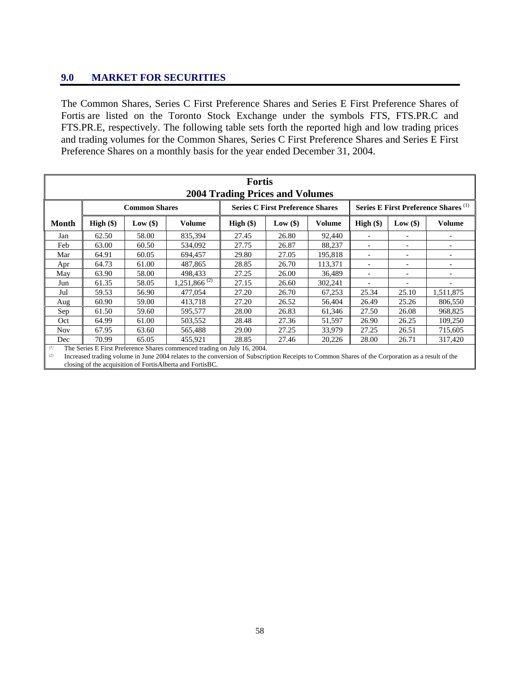# **9.0 MARKET FOR SECURITIES**

The Common Shares, Series C First Preference Shares and Series E First Preference Shares of Fortis are listed on the Toronto Stock Exchange under the symbols FTS, FTS.PR.C and FTS.PR.E, respectively. The following table sets forth the reported high and low trading prices and trading volumes for the Common Shares, Series C First Preference Shares and Series E First Preference Shares on a monthly basis for the year ended December 31, 2004.

| <b>Fortis</b><br><b>2004 Trading Prices and Volumes</b>                                                                                                              |                                                                          |                      |                   |             |                                         |         |                          |                                                 |                          |
|----------------------------------------------------------------------------------------------------------------------------------------------------------------------|--------------------------------------------------------------------------|----------------------|-------------------|-------------|-----------------------------------------|---------|--------------------------|-------------------------------------------------|--------------------------|
|                                                                                                                                                                      |                                                                          | <b>Common Shares</b> |                   |             | <b>Series C First Preference Shares</b> |         |                          | Series E First Preference Shares <sup>(1)</sup> |                          |
| Month                                                                                                                                                                | $High (\$)$                                                              | Low $(\$)$           | <b>Volume</b>     | $High (\$)$ | Low $(\$)$                              | Volume  | $High (\$)$              | Low(\$)                                         | <b>Volume</b>            |
| Jan                                                                                                                                                                  | 62.50                                                                    | 58.00                | 835.394           | 27.45       | 26.80                                   | 92,440  |                          |                                                 |                          |
| Feb                                                                                                                                                                  | 63.00                                                                    | 60.50                | 534,092           | 27.75       | 26.87                                   | 88,237  |                          |                                                 |                          |
| Mar                                                                                                                                                                  | 64.91                                                                    | 60.05                | 694.457           | 29.80       | 27.05                                   | 195,818 |                          |                                                 |                          |
| Apr                                                                                                                                                                  | 64.73                                                                    | 61.00                | 487.865           | 28.85       | 26.70                                   | 113,371 |                          |                                                 |                          |
| May                                                                                                                                                                  | 63.90                                                                    | 58.00                | 498,433           | 27.25       | 26.00                                   | 36,489  | $\overline{\phantom{a}}$ |                                                 |                          |
| Jun                                                                                                                                                                  | 61.35                                                                    | 58.05                | $1,251,866^{(2)}$ | 27.15       | 26.60                                   | 302,241 |                          |                                                 | $\overline{\phantom{a}}$ |
| Jul                                                                                                                                                                  | 59.53                                                                    | 56.90                | 477,054           | 27.20       | 26.70                                   | 67,253  | 25.34                    | 25.10                                           | 1,511,875                |
| Aug                                                                                                                                                                  | 60.90                                                                    | 59.00                | 413,718           | 27.20       | 26.52                                   | 56,404  | 26.49                    | 25.26                                           | 806,550                  |
| Sep                                                                                                                                                                  | 61.50                                                                    | 59.60                | 595,577           | 28.00       | 26.83                                   | 61,346  | 27.50                    | 26.08                                           | 968,825                  |
| Oct                                                                                                                                                                  | 64.99                                                                    | 61.00                | 503,552           | 28.48       | 27.36                                   | 51,597  | 26.90                    | 26.25                                           | 109,250                  |
| <b>Nov</b>                                                                                                                                                           | 67.95                                                                    | 63.60                | 565,488           | 29.00       | 27.25                                   | 33,979  | 27.25                    | 26.51                                           | 715,605                  |
| Dec                                                                                                                                                                  | 70.99                                                                    | 65.05                | 455,921           | 28.85       | 27.46                                   | 20,226  | 28.00                    | 26.71                                           | 317,420                  |
| (1)                                                                                                                                                                  | The Series E First Preference Shares commenced trading on July 16, 2004. |                      |                   |             |                                         |         |                          |                                                 |                          |
| Increased trading volume in June 2004 relates to the conversion of Subscription Receipts to Common Shares of the Corporation as a result of the<br>$\left( 2\right)$ |                                                                          |                      |                   |             |                                         |         |                          |                                                 |                          |

closing of the acquisition of FortisAlberta and FortisBC.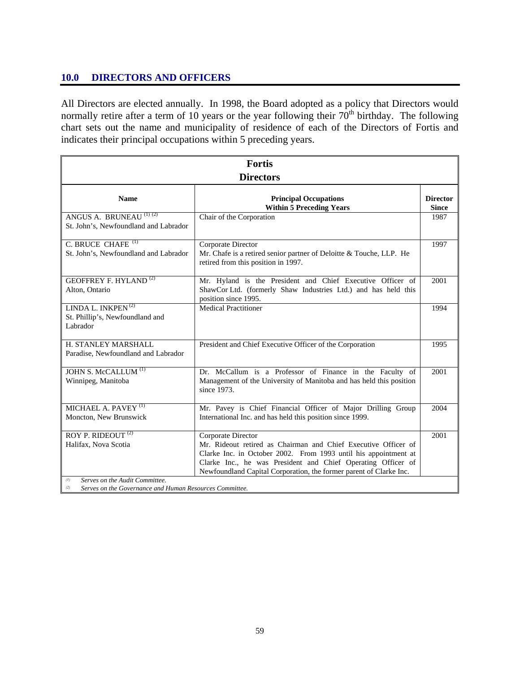### **10.0 DIRECTORS AND OFFICERS**

All Directors are elected annually. In 1998, the Board adopted as a policy that Directors would normally retire after a term of 10 years or the year following their  $70<sup>th</sup>$  birthday. The following chart sets out the name and municipality of residence of each of the Directors of Fortis and indicates their principal occupations within 5 preceding years.

| <b>Fortis</b>                                                                                  |                                                                                                                                                                                                                                                                                               |                                 |  |  |
|------------------------------------------------------------------------------------------------|-----------------------------------------------------------------------------------------------------------------------------------------------------------------------------------------------------------------------------------------------------------------------------------------------|---------------------------------|--|--|
|                                                                                                | <b>Directors</b>                                                                                                                                                                                                                                                                              |                                 |  |  |
| <b>Name</b>                                                                                    | <b>Principal Occupations</b><br><b>Within 5 Preceding Years</b>                                                                                                                                                                                                                               | <b>Director</b><br><b>Since</b> |  |  |
| ANGUS A. BRUNEAU <sup>(1)(2)</sup><br>St. John's, Newfoundland and Labrador                    | Chair of the Corporation                                                                                                                                                                                                                                                                      | 1987                            |  |  |
| C. BRUCE CHAFE <sup>(1)</sup><br>St. John's, Newfoundland and Labrador                         | Corporate Director<br>Mr. Chafe is a retired senior partner of Deloitte & Touche, LLP. He<br>retired from this position in 1997.                                                                                                                                                              | 1997                            |  |  |
| <b>GEOFFREY F. HYLAND</b> <sup>(2)</sup><br>Alton, Ontario                                     | Mr. Hyland is the President and Chief Executive Officer of<br>ShawCor Ltd. (formerly Shaw Industries Ltd.) and has held this<br>position since 1995.                                                                                                                                          | 2001                            |  |  |
| LINDA L. INKPEN <sup>(2)</sup><br>St. Phillip's, Newfoundland and<br>Labrador                  | <b>Medical Practitioner</b>                                                                                                                                                                                                                                                                   | 1994                            |  |  |
| H. STANLEY MARSHALL<br>Paradise, Newfoundland and Labrador                                     | President and Chief Executive Officer of the Corporation                                                                                                                                                                                                                                      | 1995                            |  |  |
| JOHN S. McCALLUM <sup>(1)</sup><br>Winnipeg, Manitoba                                          | Dr. McCallum is a Professor of Finance in the Faculty of<br>Management of the University of Manitoba and has held this position<br>since 1973.                                                                                                                                                | 2001                            |  |  |
| MICHAEL A. PAVEY <sup>(1)</sup><br>Moncton, New Brunswick                                      | Mr. Pavey is Chief Financial Officer of Major Drilling Group<br>International Inc. and has held this position since 1999.                                                                                                                                                                     | 2004                            |  |  |
| ROY P. RIDEOUT <sup>(2)</sup><br>Halifax, Nova Scotia<br>Serves on the Audit Committee.<br>(1) | Corporate Director<br>Mr. Rideout retired as Chairman and Chief Executive Officer of<br>Clarke Inc. in October 2002. From 1993 until his appointment at<br>Clarke Inc., he was President and Chief Operating Officer of<br>Newfoundland Capital Corporation, the former parent of Clarke Inc. | 2001                            |  |  |
| Serves on the Governance and Human Resources Committee.<br>(2)                                 |                                                                                                                                                                                                                                                                                               |                                 |  |  |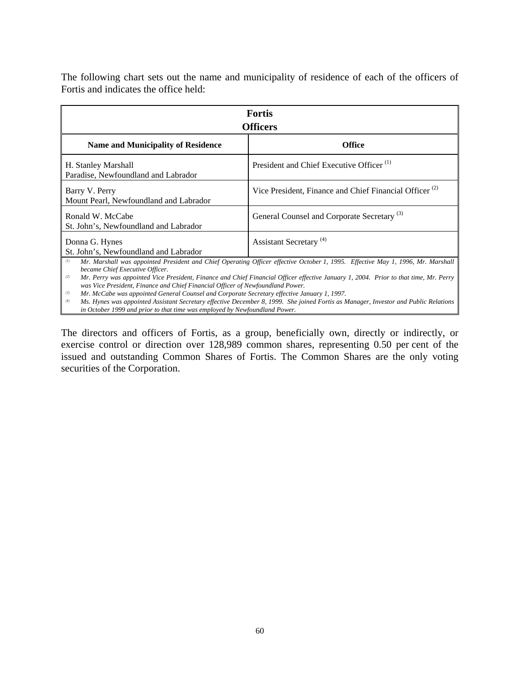The following chart sets out the name and municipality of residence of each of the officers of Fortis and indicates the office held:

| <b>Fortis</b><br><b>Officers</b>                                                                                                                                                                                                                                                                                                                                                                                                                                                                                 |                                                                    |  |  |  |
|------------------------------------------------------------------------------------------------------------------------------------------------------------------------------------------------------------------------------------------------------------------------------------------------------------------------------------------------------------------------------------------------------------------------------------------------------------------------------------------------------------------|--------------------------------------------------------------------|--|--|--|
| <b>Name and Municipality of Residence</b>                                                                                                                                                                                                                                                                                                                                                                                                                                                                        | <b>Office</b>                                                      |  |  |  |
| H. Stanley Marshall<br>Paradise, Newfoundland and Labrador                                                                                                                                                                                                                                                                                                                                                                                                                                                       | President and Chief Executive Officer <sup>(1)</sup>               |  |  |  |
| Barry V. Perry<br>Mount Pearl, Newfoundland and Labrador                                                                                                                                                                                                                                                                                                                                                                                                                                                         | Vice President, Finance and Chief Financial Officer <sup>(2)</sup> |  |  |  |
| Ronald W. McCabe<br>St. John's, Newfoundland and Labrador                                                                                                                                                                                                                                                                                                                                                                                                                                                        | General Counsel and Corporate Secretary <sup>(3)</sup>             |  |  |  |
| Donna G. Hynes<br>St. John's, Newfoundland and Labrador                                                                                                                                                                                                                                                                                                                                                                                                                                                          | Assistant Secretary <sup>(4)</sup>                                 |  |  |  |
| (1)<br>Mr. Marshall was appointed President and Chief Operating Officer effective October 1, 1995. Effective May 1, 1996, Mr. Marshall<br>became Chief Executive Officer.<br>Mr. Perry was appointed Vice President, Finance and Chief Financial Officer effective January 1, 2004. Prior to that time, Mr. Perry<br>(2)<br>was Vice President, Finance and Chief Financial Officer of Newfoundland Power.<br>Mr. McCabe was appointed General Counsel and Corporate Secretary effective January 1, 1997.<br>(3) |                                                                    |  |  |  |

*(4) Ms. Hynes was appointed Assistant Secretary effective December 8, 1999. She joined Fortis as Manager, Investor and Public Relations in October 1999 and prior to that time was employed by Newfoundland Power.* 

The directors and officers of Fortis, as a group, beneficially own, directly or indirectly, or exercise control or direction over 128,989 common shares, representing 0.50 per cent of the issued and outstanding Common Shares of Fortis. The Common Shares are the only voting securities of the Corporation.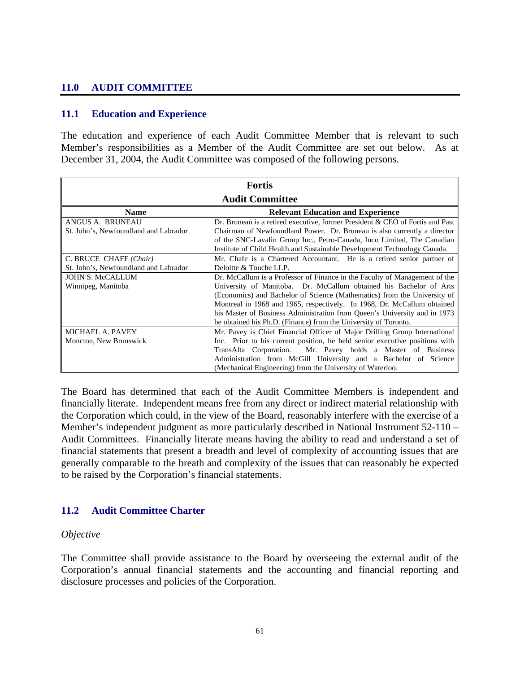# **11.0 AUDIT COMMITTEE**

### **11.1 Education and Experience**

The education and experience of each Audit Committee Member that is relevant to such Member's responsibilities as a Member of the Audit Committee are set out below. As at December 31, 2004, the Audit Committee was composed of the following persons.

| <b>Fortis</b>                         |                                                                               |  |  |
|---------------------------------------|-------------------------------------------------------------------------------|--|--|
|                                       | <b>Audit Committee</b>                                                        |  |  |
| <b>Name</b>                           | <b>Relevant Education and Experience</b>                                      |  |  |
| ANGUS A. BRUNEAU                      | Dr. Bruneau is a retired executive, former President & CEO of Fortis and Past |  |  |
| St. John's, Newfoundland and Labrador | Chairman of Newfoundland Power. Dr. Bruneau is also currently a director      |  |  |
|                                       | of the SNC-Lavalin Group Inc., Petro-Canada, Inco Limited, The Canadian       |  |  |
|                                       | Institute of Child Health and Sustainable Development Technology Canada.      |  |  |
| C. BRUCE CHAFE (Chair)                | Mr. Chafe is a Chartered Accountant. He is a retired senior partner of        |  |  |
| St. John's, Newfoundland and Labrador | Deloitte & Touche LLP.                                                        |  |  |
| <b>JOHN S. McCALLUM</b>               | Dr. McCallum is a Professor of Finance in the Faculty of Management of the    |  |  |
| Winnipeg, Manitoba                    | University of Manitoba. Dr. McCallum obtained his Bachelor of Arts            |  |  |
|                                       | (Economics) and Bachelor of Science (Mathematics) from the University of      |  |  |
|                                       | Montreal in 1968 and 1965, respectively. In 1968, Dr. McCallum obtained       |  |  |
|                                       | his Master of Business Administration from Queen's University and in 1973     |  |  |
|                                       | he obtained his Ph.D. (Finance) from the University of Toronto.               |  |  |
| MICHAEL A. PAVEY                      | Mr. Pavey is Chief Financial Officer of Major Drilling Group International    |  |  |
| Moncton, New Brunswick                | Inc. Prior to his current position, he held senior executive positions with   |  |  |
|                                       | Mr. Pavey holds a Master of Business<br>TransAlta Corporation.                |  |  |
|                                       | Administration from McGill University and a Bachelor of Science               |  |  |
|                                       | (Mechanical Engineering) from the University of Waterloo.                     |  |  |

The Board has determined that each of the Audit Committee Members is independent and financially literate. Independent means free from any direct or indirect material relationship with the Corporation which could, in the view of the Board, reasonably interfere with the exercise of a Member's independent judgment as more particularly described in National Instrument 52-110 – Audit Committees. Financially literate means having the ability to read and understand a set of financial statements that present a breadth and level of complexity of accounting issues that are generally comparable to the breath and complexity of the issues that can reasonably be expected to be raised by the Corporation's financial statements.

### **11.2 Audit Committee Charter**

#### *Objective*

The Committee shall provide assistance to the Board by overseeing the external audit of the Corporation's annual financial statements and the accounting and financial reporting and disclosure processes and policies of the Corporation.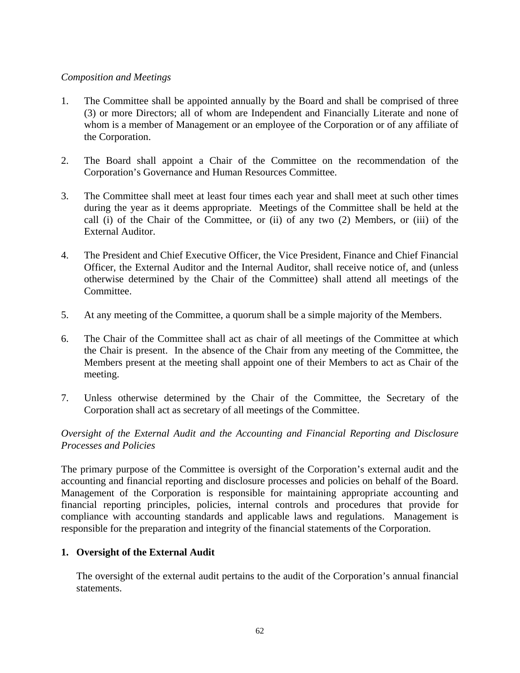#### *Composition and Meetings*

- 1. The Committee shall be appointed annually by the Board and shall be comprised of three (3) or more Directors; all of whom are Independent and Financially Literate and none of whom is a member of Management or an employee of the Corporation or of any affiliate of the Corporation.
- 2. The Board shall appoint a Chair of the Committee on the recommendation of the Corporation's Governance and Human Resources Committee.
- 3. The Committee shall meet at least four times each year and shall meet at such other times during the year as it deems appropriate. Meetings of the Committee shall be held at the call (i) of the Chair of the Committee, or (ii) of any two (2) Members, or (iii) of the External Auditor.
- 4. The President and Chief Executive Officer, the Vice President, Finance and Chief Financial Officer, the External Auditor and the Internal Auditor, shall receive notice of, and (unless otherwise determined by the Chair of the Committee) shall attend all meetings of the Committee.
- 5. At any meeting of the Committee, a quorum shall be a simple majority of the Members.
- 6. The Chair of the Committee shall act as chair of all meetings of the Committee at which the Chair is present. In the absence of the Chair from any meeting of the Committee, the Members present at the meeting shall appoint one of their Members to act as Chair of the meeting.
- 7. Unless otherwise determined by the Chair of the Committee, the Secretary of the Corporation shall act as secretary of all meetings of the Committee.

### *Oversight of the External Audit and the Accounting and Financial Reporting and Disclosure Processes and Policies*

The primary purpose of the Committee is oversight of the Corporation's external audit and the accounting and financial reporting and disclosure processes and policies on behalf of the Board. Management of the Corporation is responsible for maintaining appropriate accounting and financial reporting principles, policies, internal controls and procedures that provide for compliance with accounting standards and applicable laws and regulations. Management is responsible for the preparation and integrity of the financial statements of the Corporation.

### **1. Oversight of the External Audit**

The oversight of the external audit pertains to the audit of the Corporation's annual financial statements.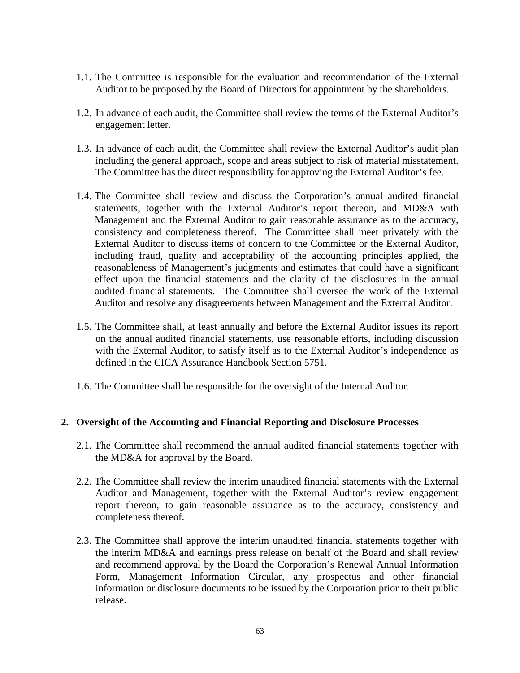- 1.1. The Committee is responsible for the evaluation and recommendation of the External Auditor to be proposed by the Board of Directors for appointment by the shareholders.
- 1.2. In advance of each audit, the Committee shall review the terms of the External Auditor's engagement letter.
- 1.3. In advance of each audit, the Committee shall review the External Auditor's audit plan including the general approach, scope and areas subject to risk of material misstatement. The Committee has the direct responsibility for approving the External Auditor's fee.
- 1.4. The Committee shall review and discuss the Corporation's annual audited financial statements, together with the External Auditor's report thereon, and MD&A with Management and the External Auditor to gain reasonable assurance as to the accuracy, consistency and completeness thereof. The Committee shall meet privately with the External Auditor to discuss items of concern to the Committee or the External Auditor, including fraud, quality and acceptability of the accounting principles applied, the reasonableness of Management's judgments and estimates that could have a significant effect upon the financial statements and the clarity of the disclosures in the annual audited financial statements. The Committee shall oversee the work of the External Auditor and resolve any disagreements between Management and the External Auditor.
- 1.5. The Committee shall, at least annually and before the External Auditor issues its report on the annual audited financial statements, use reasonable efforts, including discussion with the External Auditor, to satisfy itself as to the External Auditor's independence as defined in the CICA Assurance Handbook Section 5751.
- 1.6. The Committee shall be responsible for the oversight of the Internal Auditor.

#### **2. Oversight of the Accounting and Financial Reporting and Disclosure Processes**

- 2.1. The Committee shall recommend the annual audited financial statements together with the MD&A for approval by the Board.
- 2.2. The Committee shall review the interim unaudited financial statements with the External Auditor and Management, together with the External Auditor's review engagement report thereon, to gain reasonable assurance as to the accuracy, consistency and completeness thereof.
- 2.3. The Committee shall approve the interim unaudited financial statements together with the interim MD&A and earnings press release on behalf of the Board and shall review and recommend approval by the Board the Corporation's Renewal Annual Information Form, Management Information Circular, any prospectus and other financial information or disclosure documents to be issued by the Corporation prior to their public release.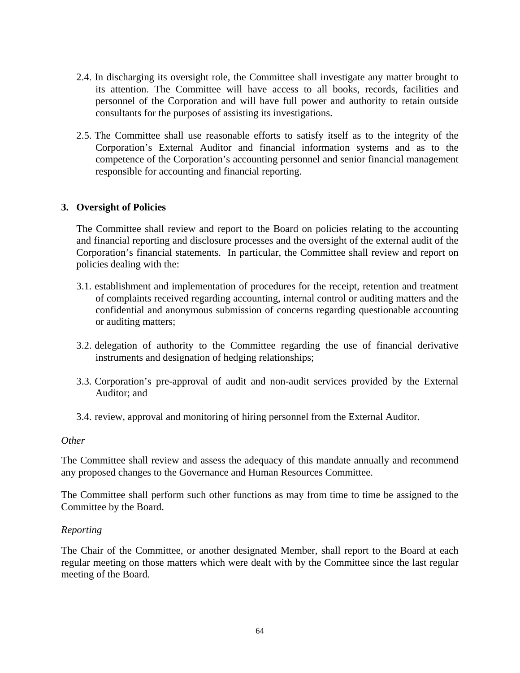- 2.4. In discharging its oversight role, the Committee shall investigate any matter brought to its attention. The Committee will have access to all books, records, facilities and personnel of the Corporation and will have full power and authority to retain outside consultants for the purposes of assisting its investigations.
- 2.5. The Committee shall use reasonable efforts to satisfy itself as to the integrity of the Corporation's External Auditor and financial information systems and as to the competence of the Corporation's accounting personnel and senior financial management responsible for accounting and financial reporting.

#### **3. Oversight of Policies**

The Committee shall review and report to the Board on policies relating to the accounting and financial reporting and disclosure processes and the oversight of the external audit of the Corporation's financial statements. In particular, the Committee shall review and report on policies dealing with the:

- 3.1. establishment and implementation of procedures for the receipt, retention and treatment of complaints received regarding accounting, internal control or auditing matters and the confidential and anonymous submission of concerns regarding questionable accounting or auditing matters;
- 3.2. delegation of authority to the Committee regarding the use of financial derivative instruments and designation of hedging relationships;
- 3.3. Corporation's pre-approval of audit and non-audit services provided by the External Auditor; and
- 3.4. review, approval and monitoring of hiring personnel from the External Auditor.

#### *Other*

The Committee shall review and assess the adequacy of this mandate annually and recommend any proposed changes to the Governance and Human Resources Committee.

The Committee shall perform such other functions as may from time to time be assigned to the Committee by the Board.

#### *Reporting*

The Chair of the Committee, or another designated Member, shall report to the Board at each regular meeting on those matters which were dealt with by the Committee since the last regular meeting of the Board.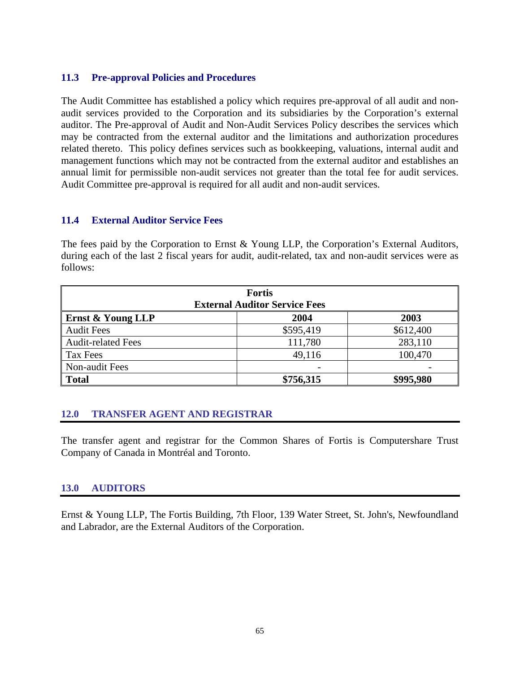### **11.3 Pre-approval Policies and Procedures**

The Audit Committee has established a policy which requires pre-approval of all audit and nonaudit services provided to the Corporation and its subsidiaries by the Corporation's external auditor. The Pre-approval of Audit and Non-Audit Services Policy describes the services which may be contracted from the external auditor and the limitations and authorization procedures related thereto. This policy defines services such as bookkeeping, valuations, internal audit and management functions which may not be contracted from the external auditor and establishes an annual limit for permissible non-audit services not greater than the total fee for audit services. Audit Committee pre-approval is required for all audit and non-audit services.

#### **11.4 External Auditor Service Fees**

The fees paid by the Corporation to Ernst & Young LLP, the Corporation's External Auditors, during each of the last 2 fiscal years for audit, audit-related, tax and non-audit services were as follows:

| <b>Fortis</b><br><b>External Auditor Service Fees</b> |                          |           |  |  |
|-------------------------------------------------------|--------------------------|-----------|--|--|
| <b>Ernst &amp; Young LLP</b>                          | 2004                     | 2003      |  |  |
| <b>Audit Fees</b>                                     | \$595,419                | \$612,400 |  |  |
| <b>Audit-related Fees</b>                             | 111,780                  | 283,110   |  |  |
| Tax Fees                                              | 49,116                   | 100,470   |  |  |
| Non-audit Fees                                        | $\overline{\phantom{a}}$ |           |  |  |
| <b>Total</b>                                          | \$756,315                | \$995,980 |  |  |

### **12.0 TRANSFER AGENT AND REGISTRAR**

The transfer agent and registrar for the Common Shares of Fortis is Computershare Trust Company of Canada in Montréal and Toronto.

#### **13.0 AUDITORS**

Ernst & Young LLP, The Fortis Building, 7th Floor, 139 Water Street, St. John's, Newfoundland and Labrador, are the External Auditors of the Corporation.